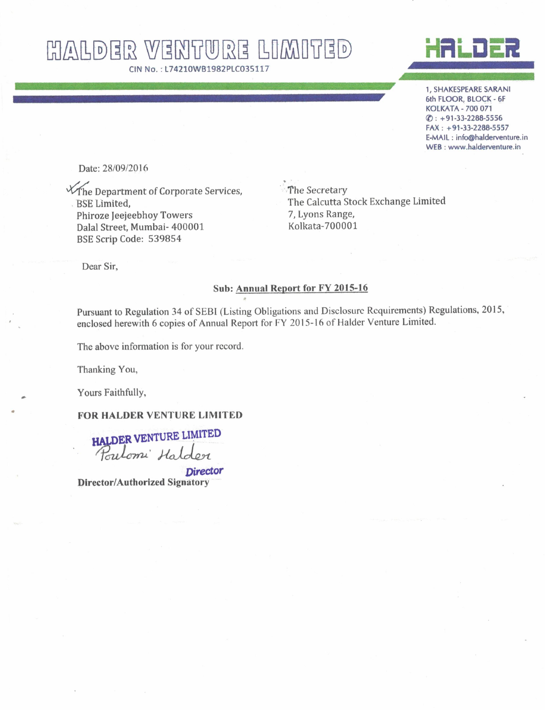# HALDER VENTURE LIMITED





1, SHAKESPEARE SARANI 6th FLOOR, BLOCK - 6F KOLKATA - 700 071  $\circled{0}: +91-33-2288-5556$  $FAX: +91-33-2288-5557$ E-MAIL: info@halderventure.in WEB : www.halderventure.in

Date: 28/09/2016

VThe Department of Corporate Services, **BSE** Limited, Phiroze Jeejeebhoy Towers Dalal Street, Mumbai- 400001 BSE Scrip Code: 539854

The Secretary The Calcutta Stock Exchange Limited 7, Lyons Range, Kolkata-700001

Dear Sir,

#### Sub: Annual Report for FY 2015-16

Pursuant to Regulation 34 of SEBI (Listing Obligations and Disclosure Requirements) Regulations, 2015, enclosed herewith 6 copies of Annual Report for FY 2015-16 of Halder Venture Limited.

The above information is for your record.

Thanking You,

Yours Faithfully,

#### **FOR HALDER VENTURE LIMITED**

HALDER VENTURE LIMITED Poulomi Halder

**Director Director/Authorized Signatory**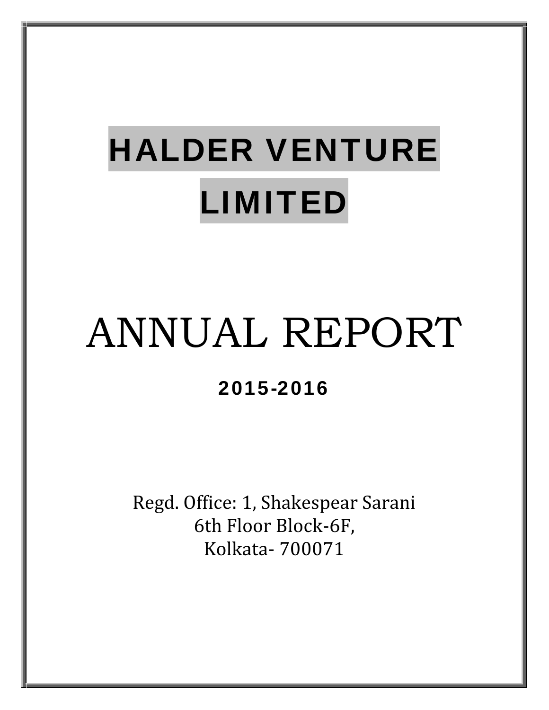# **HALDER VENTURE LIMITED**

# ANNUAL REPORT

# **2015-2016**

Regd. Office: 1, Shakespear Sarani 6th Floor Block-6F, Kolkata- 700071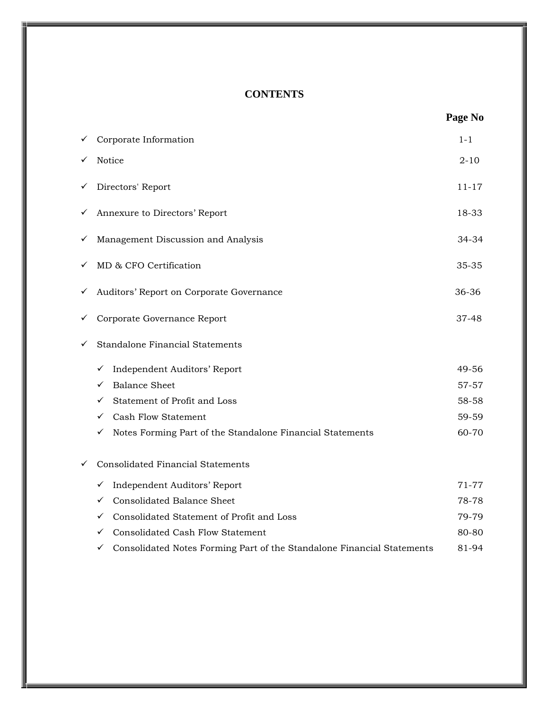# **CONTENTS**

**Page No**

| ✓ | Corporate Information                                                       | $1 - 1$   |
|---|-----------------------------------------------------------------------------|-----------|
| ✓ | Notice                                                                      | $2 - 10$  |
| ✓ | Directors' Report                                                           | $11 - 17$ |
| ✓ | Annexure to Directors' Report                                               | 18-33     |
| ✓ | Management Discussion and Analysis                                          | 34-34     |
| ✓ | MD & CFO Certification                                                      | 35-35     |
| ✓ | Auditors' Report on Corporate Governance                                    | 36-36     |
| ✓ | Corporate Governance Report                                                 | 37-48     |
| ✓ | <b>Standalone Financial Statements</b>                                      |           |
|   | Independent Auditors' Report<br>✓                                           | 49-56     |
|   | <b>Balance Sheet</b><br>✓                                                   | 57-57     |
|   | Statement of Profit and Loss<br>✓                                           | 58-58     |
|   | <b>Cash Flow Statement</b><br>✓                                             | 59-59     |
|   | Notes Forming Part of the Standalone Financial Statements<br>✓              | 60-70     |
| ✓ | <b>Consolidated Financial Statements</b>                                    |           |
|   | Independent Auditors' Report<br>✓                                           | 71-77     |
|   | <b>Consolidated Balance Sheet</b><br>✓                                      | 78-78     |
|   | Consolidated Statement of Profit and Loss                                   | 79-79     |
|   | Consolidated Cash Flow Statement                                            | 80-80     |
|   | Consolidated Notes Forming Part of the Standalone Financial Statements<br>✓ | 81-94     |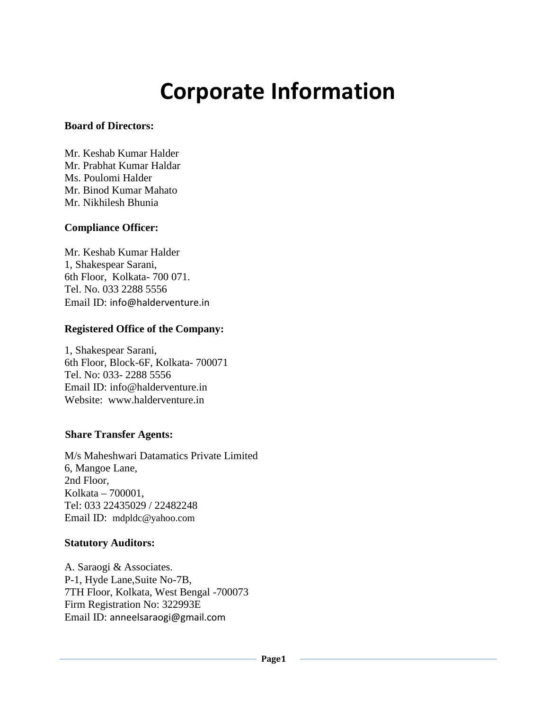# **Corporate Information**

# **Board of Directors:**

Mr. Keshab Kumar Halder Mr. Prabhat Kumar Haldar Ms. Poulomi Halder Mr. Binod Kumar Mahato Mr. Nikhilesh Bhunia

# **Compliance Officer:**

Mr. Keshab Kumar Halder 1, Shakespear Sarani, 6th Floor, Kolkata- 700 071. Tel. No. 033 2288 5556 Email ID: info@halderventure.in

# **Registered Office of the Company:**

1, Shakespear Sarani, 6th Floor, Block-6F, Kolkata- 700071 Tel. No: 033- 2288 5556 Email ID: info@halderventure.in Website: www.halderventure.in

# **Share Transfer Agents:**

M/s Maheshwari Datamatics Private Limited 6, Mangoe Lane, 2nd Floor, Kolkata – 700001, Tel: 033 22435029 / 22482248 Email ID: mdpldc@yahoo.com

# **Statutory Auditors:**

A. Saraogi & Associates. P-1, Hyde Lane,Suite No-7B, 7TH Floor, Kolkata, West Bengal -700073 Firm Registration No: 322993E Email ID: anneelsaraogi@gmail.com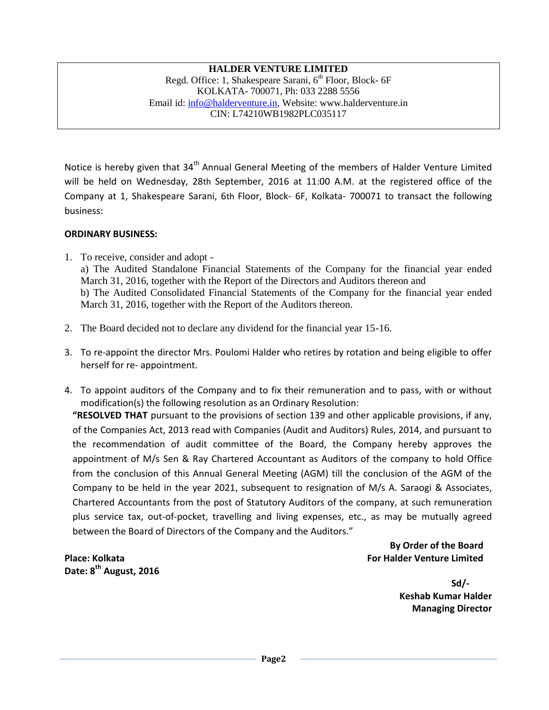#### **HALDER VENTURE LIMITED** Regd. Office: 1, Shakespeare Sarani, 6<sup>th</sup> Floor, Block- 6F KOLKATA- 700071, Ph: 033 2288 5556 Email id: info@halderventure.in, Website: www.halderventure.in CIN: L74210WB1982PLC035117

Notice is hereby given that 34<sup>th</sup> Annual General Meeting of the members of Halder Venture Limited will be held on Wednesday, 28th September, 2016 at 11:00 A.M. at the registered office of the Company at 1, Shakespeare Sarani, 6th Floor, Block- 6F, Kolkata- 700071 to transact the following business:

## **ORDINARY BUSINESS:**

- 1. To receive, consider and adopt a) The Audited Standalone Financial Statements of the Company for the financial year ended March 31, 2016, together with the Report of the Directors and Auditors thereon and b) The Audited Consolidated Financial Statements of the Company for the financial year ended March 31, 2016, together with the Report of the Auditors thereon.
- 2. The Board decided not to declare any dividend for the financial year 15-16.
- 3. To re-appoint the director Mrs. Poulomi Halder who retires by rotation and being eligible to offer herself for re- appointment.
- 4. To appoint auditors of the Company and to fix their remuneration and to pass, with or without modification(s) the following resolution as an Ordinary Resolution:

**"RESOLVED THAT** pursuant to the provisions of section 139 and other applicable provisions, if any, of the Companies Act, 2013 read with Companies (Audit and Auditors) Rules, 2014, and pursuant to the recommendation of audit committee of the Board, the Company hereby approves the appointment of M/s Sen & Ray Chartered Accountant as Auditors of the company to hold Office from the conclusion of this Annual General Meeting (AGM) till the conclusion of the AGM of the Company to be held in the year 2021, subsequent to resignation of M/s A. Saraogi & Associates, Chartered Accountants from the post of Statutory Auditors of the company, at such remuneration plus service tax, out-of-pocket, travelling and living expenses, etc., as may be mutually agreed between the Board of Directors of the Company and the Auditors."

**Date: 8th August, 2016**

**By Order of the Board Place: Kolkata For Halder Venture Limited**

> **Sd/- Keshab Kumar Halder Managing Director**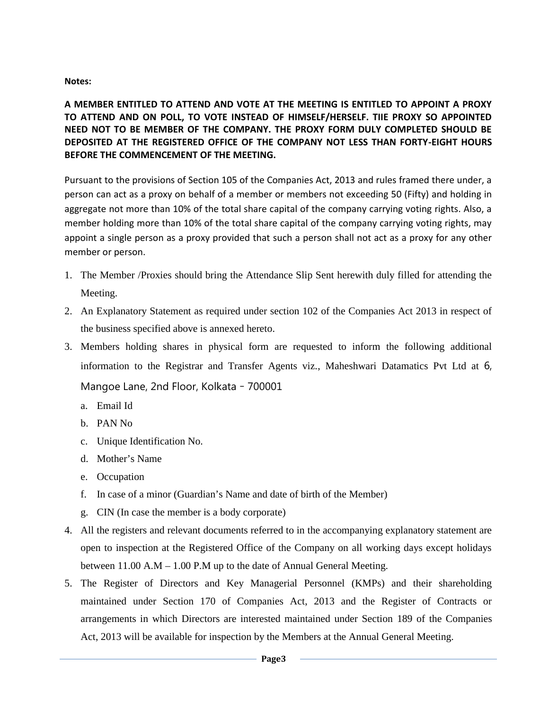#### **Notes:**

**A MEMBER ENTITLED TO ATTEND AND VOTE AT THE MEETING IS ENTITLED TO APPOINT A PROXY TO ATTEND AND ON POLL, TO VOTE INSTEAD OF HIMSELF/HERSELF. TIIE PROXY SO APPOINTED NEED NOT TO BE MEMBER OF THE COMPANY. THE PROXY FORM DULY COMPLETED SHOULD BE DEPOSITED AT THE REGISTERED OFFICE OF THE COMPANY NOT LESS THAN FORTY-EIGHT HOURS BEFORE THE COMMENCEMENT OF THE MEETING.**

Pursuant to the provisions of Section 105 of the Companies Act, 2013 and rules framed there under, a person can act as a proxy on behalf of a member or members not exceeding 50 (Fifty) and holding in aggregate not more than 10% of the total share capital of the company carrying voting rights. Also, a member holding more than 10% of the total share capital of the company carrying voting rights, may appoint a single person as a proxy provided that such a person shall not act as a proxy for any other member or person.

- 1. The Member /Proxies should bring the Attendance Slip Sent herewith duly filled for attending the Meeting.
- 2. An Explanatory Statement as required under section 102 of the Companies Act 2013 in respect of the business specified above is annexed hereto.
- 3. Members holding shares in physical form are requested to inform the following additional information to the Registrar and Transfer Agents viz., Maheshwari Datamatics Pvt Ltd at 6, Mangoe Lane, 2nd Floor, Kolkata – 700001
	- a. Email Id
	- b. PAN No
	- c. Unique Identification No.
	- d. Mother's Name
	- e. Occupation
	- f. In case of a minor (Guardian's Name and date of birth of the Member)
	- g. CIN (In case the member is a body corporate)
- 4. All the registers and relevant documents referred to in the accompanying explanatory statement are open to inspection at the Registered Office of the Company on all working days except holidays between 11.00 A.M – 1.00 P.M up to the date of Annual General Meeting.
- 5. The Register of Directors and Key Managerial Personnel (KMPs) and their shareholding maintained under Section 170 of Companies Act, 2013 and the Register of Contracts or arrangements in which Directors are interested maintained under Section 189 of the Companies Act, 2013 will be available for inspection by the Members at the Annual General Meeting.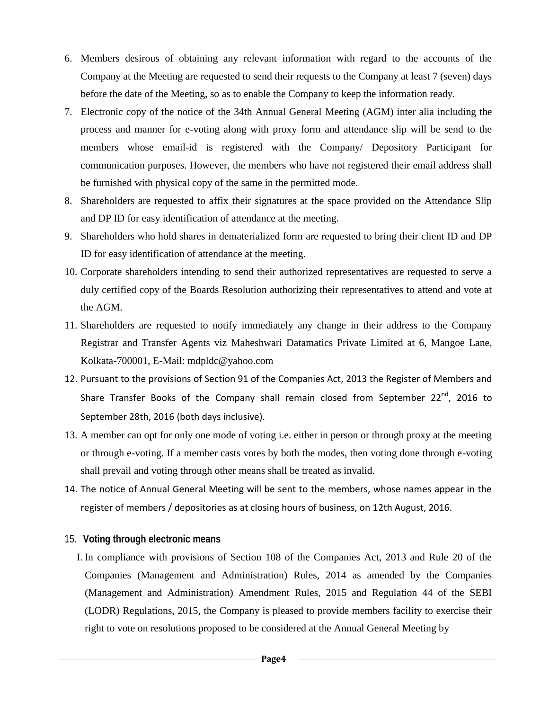- 6. Members desirous of obtaining any relevant information with regard to the accounts of the Company at the Meeting are requested to send their requests to the Company at least 7 (seven) days before the date of the Meeting, so as to enable the Company to keep the information ready.
- 7. Electronic copy of the notice of the 34th Annual General Meeting (AGM) inter alia including the process and manner for e-voting along with proxy form and attendance slip will be send to the members whose email-id is registered with the Company/ Depository Participant for communication purposes. However, the members who have not registered their email address shall be furnished with physical copy of the same in the permitted mode.
- 8. Shareholders are requested to affix their signatures at the space provided on the Attendance Slip and DP ID for easy identification of attendance at the meeting.
- 9. Shareholders who hold shares in dematerialized form are requested to bring their client ID and DP ID for easy identification of attendance at the meeting.
- 10. Corporate shareholders intending to send their authorized representatives are requested to serve a duly certified copy of the Boards Resolution authorizing their representatives to attend and vote at the AGM.
- 11. Shareholders are requested to notify immediately any change in their address to the Company Registrar and Transfer Agents viz Maheshwari Datamatics Private Limited at 6, Mangoe Lane, Kolkata-700001, E-Mail: mdpldc@yahoo.com
- 12. Pursuant to the provisions of Section 91 of the Companies Act, 2013 the Register of Members and Share Transfer Books of the Company shall remain closed from September 22<sup>nd</sup>, 2016 to September 28th, 2016 (both days inclusive).
- 13. A member can opt for only one mode of voting i.e. either in person or through proxy at the meeting or through e-voting. If a member casts votes by both the modes, then voting done through e-voting shall prevail and voting through other means shall be treated as invalid.
- 14. The notice of Annual General Meeting will be sent to the members, whose names appear in the register of members / depositories as at closing hours of business, on 12th August, 2016.

# 15. **Voting through electronic means**

I. In compliance with provisions of Section 108 of the Companies Act, 2013 and Rule 20 of the Companies (Management and Administration) Rules, 2014 as amended by the Companies (Management and Administration) Amendment Rules, 2015 and Regulation 44 of the SEBI (LODR) Regulations, 2015, the Company is pleased to provide members facility to exercise their right to vote on resolutions proposed to be considered at the Annual General Meeting by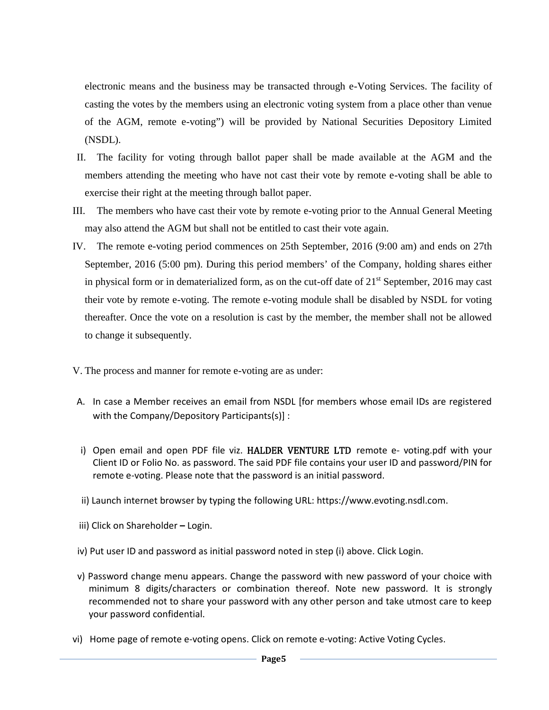electronic means and the business may be transacted through e-Voting Services. The facility of casting the votes by the members using an electronic voting system from a place other than venue of the AGM, remote e-voting") will be provided by National Securities Depository Limited (NSDL).

- II. The facility for voting through ballot paper shall be made available at the AGM and the members attending the meeting who have not cast their vote by remote e-voting shall be able to exercise their right at the meeting through ballot paper.
- III. The members who have cast their vote by remote e-voting prior to the Annual General Meeting may also attend the AGM but shall not be entitled to cast their vote again.
- IV. The remote e-voting period commences on 25th September, 2016 (9:00 am) and ends on 27th September, 2016 (5:00 pm). During this period members' of the Company, holding shares either in physical form or in dematerialized form, as on the cut-off date of  $21<sup>st</sup>$  September, 2016 may cast their vote by remote e-voting. The remote e-voting module shall be disabled by NSDL for voting thereafter. Once the vote on a resolution is cast by the member, the member shall not be allowed to change it subsequently.
- V. The process and manner for remote e-voting are as under:
- A. In case a Member receives an email from NSDL [for members whose email IDs are registered with the Company/Depository Participants(s)] :
- i) Open email and open PDF file viz. **HALDER VENTURE LTD** remote e- voting.pdf with your Client ID or Folio No. as password. The said PDF file contains your user ID and password/PIN for remote e-voting. Please note that the password is an initial password.
- ii) Launch internet browser by typing the following URL: https://www.evoting.nsdl.com.
- iii) Click on Shareholder **–** Login.
- iv) Put user ID and password as initial password noted in step (i) above. Click Login.
- v) Password change menu appears. Change the password with new password of your choice with minimum 8 digits/characters or combination thereof. Note new password. It is strongly recommended not to share your password with any other person and take utmost care to keep your password confidential.
- vi) Home page of remote e-voting opens. Click on remote e-voting: Active Voting Cycles.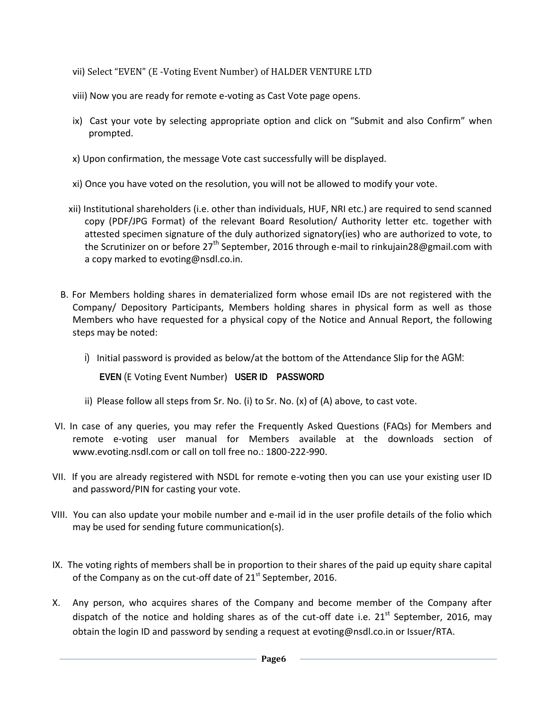- vii) Select "EVEN" (E -Voting Event Number) of HALDER VENTURE LTD
- viii) Now you are ready for remote e-voting as Cast Vote page opens.
- ix) Cast your vote by selecting appropriate option and click on "Submit and also Confirm" when prompted.
- x) Upon confirmation, the message Vote cast successfully will be displayed.
- xi) Once you have voted on the resolution, you will not be allowed to modify your vote.
- xii) Institutional shareholders (i.e. other than individuals, HUF, NRI etc.) are required to send scanned copy (PDF/JPG Format) of the relevant Board Resolution/ Authority letter etc. together with attested specimen signature of the duly authorized signatory(ies) who are authorized to vote, to the Scrutinizer on or before  $27<sup>th</sup>$  September, 2016 through e-mail to rinkujain28@gmail.com with a copy marked to evoting@nsdl.co.in.
- B. For Members holding shares in dematerialized form whose email IDs are not registered with the Company/ Depository Participants, Members holding shares in physical form as well as those Members who have requested for a physical copy of the Notice and Annual Report, the following steps may be noted:
	- i) Initial password is provided as below/at the bottom of the Attendance Slip for the  $AGM$ :

**EVEN** (E Voting Event Number) **USER ID PASSWORD**

- ii) Please follow all steps from Sr. No. (i) to Sr. No. (x) of (A) above, to cast vote.
- VI. In case of any queries, you may refer the Frequently Asked Questions (FAQs) for Members and remote e-voting user manual for Members available at the downloads section of www.evoting.nsdl.com or call on toll free no.: 1800-222-990.
- VII. If you are already registered with NSDL for remote e-voting then you can use your existing user ID and password/PIN for casting your vote.
- VIII. You can also update your mobile number and e-mail id in the user profile details of the folio which may be used for sending future communication(s).
- IX. The voting rights of members shall be in proportion to their shares of the paid up equity share capital of the Company as on the cut-off date of  $21<sup>st</sup>$  September, 2016.
- X. Any person, who acquires shares of the Company and become member of the Company after dispatch of the notice and holding shares as of the cut-off date i.e.  $21^{st}$  September, 2016, may obtain the login ID and password by sending a request at evoting@nsdl.co.in or Issuer/RTA.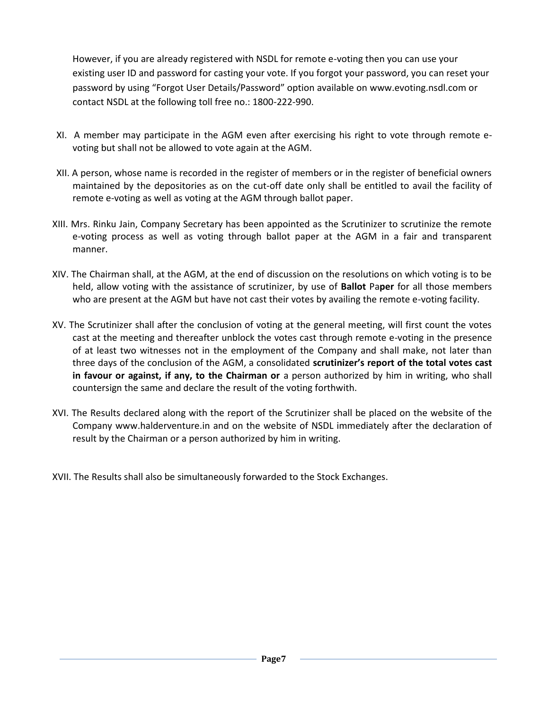However, if you are already registered with NSDL for remote e-voting then you can use your existing user ID and password for casting your vote. If you forgot your password, you can reset your password by using "Forgot User Details/Password" option available on www.evoting.nsdl.com or contact NSDL at the following toll free no.: 1800-222-990.

- XI. A member may participate in the AGM even after exercising his right to vote through remote e voting but shall not be allowed to vote again at the AGM.
- XII. A person, whose name is recorded in the register of members or in the register of beneficial owners maintained by the depositories as on the cut-off date only shall be entitled to avail the facility of remote e-voting as well as voting at the AGM through ballot paper.
- XIII. Mrs. Rinku Jain, Company Secretary has been appointed as the Scrutinizer to scrutinize the remote e-voting process as well as voting through ballot paper at the AGM in a fair and transparent manner.
- XIV. The Chairman shall, at the AGM, at the end of discussion on the resolutions on which voting is to be held, allow voting with the assistance of scrutinizer, by use of **Ballot** Pa**per** for all those members who are present at the AGM but have not cast their votes by availing the remote e-voting facility.
- XV. The Scrutinizer shall after the conclusion of voting at the general meeting, will first count the votes cast at the meeting and thereafter unblock the votes cast through remote e-voting in the presence of at least two witnesses not in the employment of the Company and shall make, not later than three days of the conclusion of the AGM, a consolidated **scrutinizer's report of the total votes cast in favour or against, if any, to the Chairman or** a person authorized by him in writing, who shall countersign the same and declare the result of the voting forthwith.
- XVI. The Results declared along with the report of the Scrutinizer shall be placed on the website of the Company www.halderventure.in and on the website of NSDL immediately after the declaration of result by the Chairman or a person authorized by him in writing.

XVII. The Results shall also be simultaneously forwarded to the Stock Exchanges.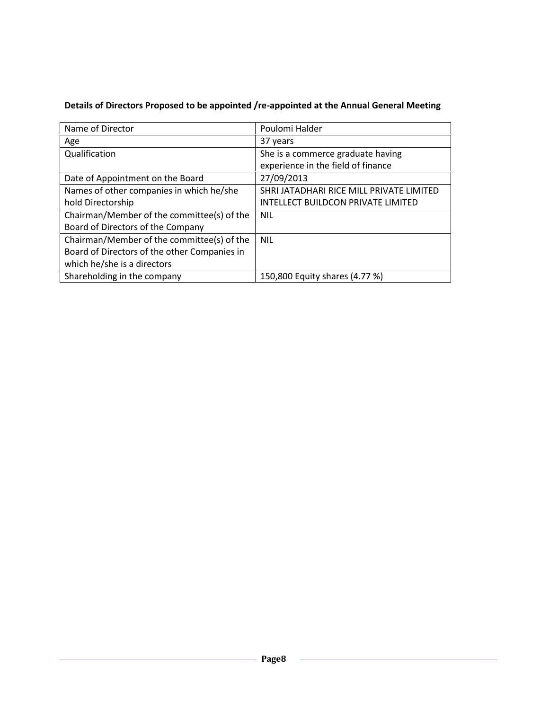| Name of Director                                                                | Poulomi Halder                                                          |
|---------------------------------------------------------------------------------|-------------------------------------------------------------------------|
| Age                                                                             | 37 years                                                                |
| Qualification                                                                   | She is a commerce graduate having<br>experience in the field of finance |
| Date of Appointment on the Board                                                | 27/09/2013                                                              |
| Names of other companies in which he/she                                        | SHRI JATADHARI RICE MILL PRIVATE LIMITED                                |
| hold Directorship                                                               | INTELLECT BUILDCON PRIVATE LIMITED                                      |
| Chairman/Member of the committee(s) of the<br>Board of Directors of the Company | <b>NIL</b>                                                              |
| Chairman/Member of the committee(s) of the                                      | <b>NIL</b>                                                              |
| Board of Directors of the other Companies in                                    |                                                                         |
| which he/she is a directors                                                     |                                                                         |
| Shareholding in the company                                                     | 150,800 Equity shares (4.77 %)                                          |

# **Details of Directors Proposed to be appointed /re-appointed at the Annual General Meeting**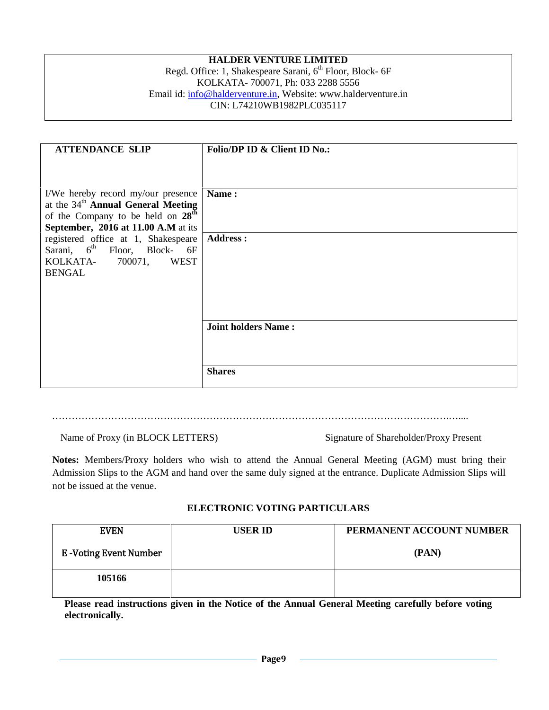# **HALDER VENTURE LIMITED**

Regd. Office: 1, Shakespeare Sarani, 6<sup>th</sup> Floor, Block- 6F KOLKATA- 700071, Ph: 033 2288 5556 Email id: info@halderventure.in, Website: www.halderventure.in CIN: L74210WB1982PLC035117

| <b>ATTENDANCE SLIP</b>                                                          | Folio/DP ID & Client ID No.: |
|---------------------------------------------------------------------------------|------------------------------|
|                                                                                 |                              |
|                                                                                 |                              |
|                                                                                 |                              |
| I/We hereby record my/our presence                                              | Name:                        |
| at the 34 <sup>th</sup> Annual General Meeting                                  |                              |
| of the Company to be held on 28 <sup>th</sup>                                   |                              |
| September, 2016 at 11.00 A.M at its                                             | <b>Address:</b>              |
| registered office at 1, Shakespeare<br>Sarani, 6 <sup>th</sup> Floor, Block- 6F |                              |
| KOLKATA- 700071,<br>WEST                                                        |                              |
| <b>BENGAL</b>                                                                   |                              |
|                                                                                 |                              |
|                                                                                 |                              |
|                                                                                 |                              |
|                                                                                 |                              |
|                                                                                 | <b>Joint holders Name:</b>   |
|                                                                                 |                              |
|                                                                                 |                              |
|                                                                                 | <b>Shares</b>                |
|                                                                                 |                              |
|                                                                                 |                              |

………………………………………………………………………………………………………….…....

Name of Proxy (in BLOCK LETTERS) Signature of Shareholder/Proxy Present

**Notes:** Members/Proxy holders who wish to attend the Annual General Meeting (AGM) must bring their Admission Slips to the AGM and hand over the same duly signed at the entrance. Duplicate Admission Slips will not be issued at the venue.

#### **ELECTRONIC VOTING PARTICULARS**

| <b>EVEN</b>                  | <b>USER ID</b> | PERMANENT ACCOUNT NUMBER |
|------------------------------|----------------|--------------------------|
| <b>E-Voting Event Number</b> |                | (PAN)                    |
| 105166                       |                |                          |

**Please read instructions given in the Notice of the Annual General Meeting carefully before voting electronically.**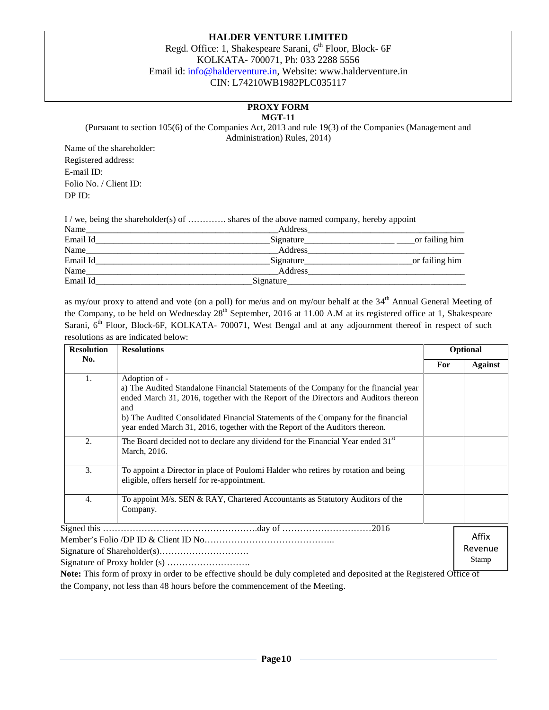#### **HALDER VENTURE LIMITED** Regd. Office: 1, Shakespeare Sarani, 6<sup>th</sup> Floor, Block- 6F KOLKATA- 700071, Ph: 033 2288 5556 Email id: info@halderventure.in, Website: www.halderventure.in CIN: L74210WB1982PLC035117

#### **PROXY FORM MGT-11**

(Pursuant to section 105(6) of the Companies Act, 2013 and rule 19(3) of the Companies (Management and Administration) Rules, 2014)

Name of the shareholder: Registered address: E-mail ID: Folio No. / Client ID: DP ID:

|          | I/we, being the shareholder(s) of  shares of the above named company, hereby appoint |                |
|----------|--------------------------------------------------------------------------------------|----------------|
| Name     | Address                                                                              |                |
| Email Id | Signature                                                                            | or failing him |
| Name     | Address                                                                              |                |
| Email Id | Signature                                                                            | or failing him |
| Name     | Address                                                                              |                |
| Email Id | Signature                                                                            |                |

as my/our proxy to attend and vote (on a poll) for me/us and on my/our behalf at the 34<sup>th</sup> Annual General Meeting of the Company, to be held on Wednesday 28<sup>th</sup> September, 2016 at 11.00 A.M at its registered office at 1, Shakespeare Sarani, 6<sup>th</sup> Floor, Block-6F, KOLKATA- 700071, West Bengal and at any adjournment thereof in respect of such resolutions as are indicated below:

| <b>Resolution</b> | <b>Resolutions</b>                                                                                                                                                                                                                                                                                                                                                        |     | Optional         |  |
|-------------------|---------------------------------------------------------------------------------------------------------------------------------------------------------------------------------------------------------------------------------------------------------------------------------------------------------------------------------------------------------------------------|-----|------------------|--|
| No.               |                                                                                                                                                                                                                                                                                                                                                                           | For | <b>Against</b>   |  |
| 1.                | Adoption of -<br>a) The Audited Standalone Financial Statements of the Company for the financial year<br>ended March 31, 2016, together with the Report of the Directors and Auditors thereon<br>and<br>b) The Audited Consolidated Financial Statements of the Company for the financial<br>year ended March 31, 2016, together with the Report of the Auditors thereon. |     |                  |  |
| 2.                | The Board decided not to declare any dividend for the Financial Year ended 31st<br>March, 2016.                                                                                                                                                                                                                                                                           |     |                  |  |
| 3.                | To appoint a Director in place of Poulomi Halder who retires by rotation and being<br>eligible, offers herself for re-appointment.                                                                                                                                                                                                                                        |     |                  |  |
| $\overline{4}$ .  | To appoint M/s. SEN & RAY, Chartered Accountants as Statutory Auditors of the<br>Company.                                                                                                                                                                                                                                                                                 |     |                  |  |
|                   |                                                                                                                                                                                                                                                                                                                                                                           |     | Affix            |  |
|                   |                                                                                                                                                                                                                                                                                                                                                                           |     | Revenue<br>Stamp |  |

**Note:** This form of proxy in order to be effective should be duly completed and deposited at the Registered Office of the Company, not less than 48 hours before the commencement of the Meeting.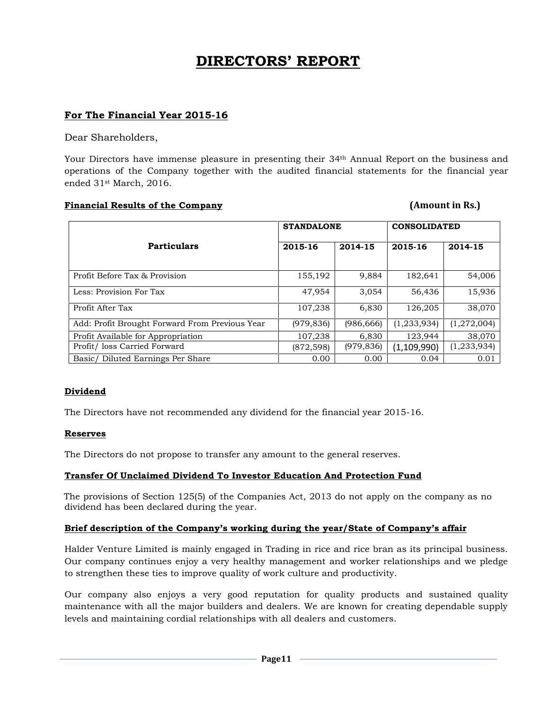# **DIRECTORS' REPORT**

#### **For The Financial Year 2015-16**

Dear Shareholders,

Your Directors have immense pleasure in presenting their 34th Annual Report on the business and operations of the Company together with the audited financial statements for the financial year ended 31st March, 2016.

#### **Financial Results of the Company** *(Amount in Rs.)*

|                                                | <b>STANDALONE</b> |            | <b>CONSOLIDATED</b> |             |
|------------------------------------------------|-------------------|------------|---------------------|-------------|
| <b>Particulars</b>                             | 2015-16           | 2014-15    | 2015-16             | 2014-15     |
| Profit Before Tax & Provision                  | 155,192           | 9.884      | 182,641             | 54,006      |
| Less: Provision For Tax                        | 47,954            | 3.054      | 56,436              | 15,936      |
| Profit After Tax                               | 107,238           | 6.830      | 126,205             | 38,070      |
| Add: Profit Brought Forward From Previous Year | (979, 836)        | (986, 666) | (1,233,934)         | (1,272,004) |
| Profit Available for Appropriation             | 107,238           | 6,830      | 123,944             | 38,070      |
| Profit/loss Carried Forward                    | (872, 598)        | (979, 836) | (1, 109, 990)       | (1,233,934) |
| Basic/Diluted Earnings Per Share               | 0.00              | 0.00       | 0.04                | 0.01        |

#### **Dividend**

The Directors have not recommended any dividend for the financial year 2015-16.

#### **Reserves**

The Directors do not propose to transfer any amount to the general reserves.

#### **Transfer Of Unclaimed Dividend To Investor Education And Protection Fund**

The provisions of Section 125(5) of the Companies Act, 2013 do not apply on the company as no dividend has been declared during the year.

#### **Brief description of the Company's working during the year/State of Company's affair**

Halder Venture Limited is mainly engaged in Trading in rice and rice bran as its principal business. Our company continues enjoy a very healthy management and worker relationships and we pledge to strengthen these ties to improve quality of work culture and productivity.

Our company also enjoys a very good reputation for quality products and sustained quality maintenance with all the major builders and dealers. We are known for creating dependable supply levels and maintaining cordial relationships with all dealers and customers.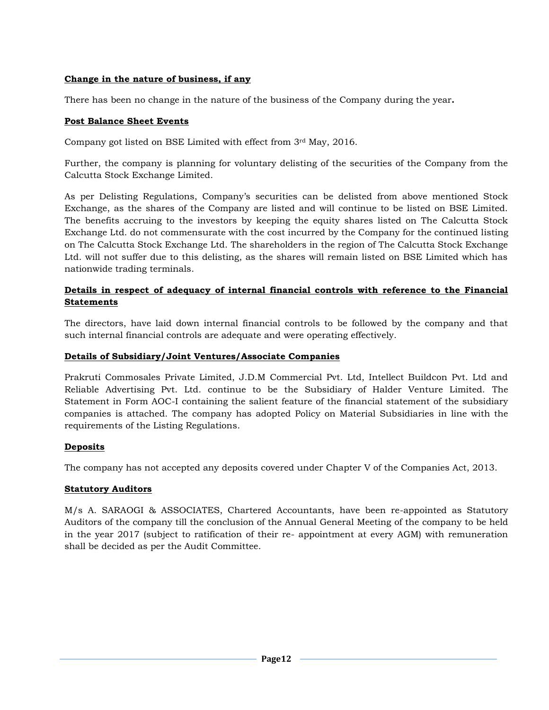## **Change in the nature of business, if any**

There has been no change in the nature of the business of the Company during the year**.**

#### **Post Balance Sheet Events**

Company got listed on BSE Limited with effect from 3rd May, 2016.

Further, the company is planning for voluntary delisting of the securities of the Company from the Calcutta Stock Exchange Limited.

As per Delisting Regulations, Company's securities can be delisted from above mentioned Stock Exchange, as the shares of the Company are listed and will continue to be listed on BSE Limited. The benefits accruing to the investors by keeping the equity shares listed on The Calcutta Stock Exchange Ltd. do not commensurate with the cost incurred by the Company for the continued listing on The Calcutta Stock Exchange Ltd. The shareholders in the region of The Calcutta Stock Exchange Ltd. will not suffer due to this delisting, as the shares will remain listed on BSE Limited which has nationwide trading terminals.

#### **Details in respect of adequacy of internal financial controls with reference to the Financial Statements**

The directors, have laid down internal financial controls to be followed by the company and that such internal financial controls are adequate and were operating effectively.

#### **Details of Subsidiary/Joint Ventures/Associate Companies**

Prakruti Commosales Private Limited, J.D.M Commercial Pvt. Ltd, Intellect Buildcon Pvt. Ltd and Reliable Advertising Pvt. Ltd. continue to be the Subsidiary of Halder Venture Limited. The Statement in Form AOC-I containing the salient feature of the financial statement of the subsidiary companies is attached. The company has adopted Policy on Material Subsidiaries in line with the requirements of the Listing Regulations.

#### **Deposits**

The company has not accepted any deposits covered under Chapter V of the Companies Act, 2013.

#### **Statutory Auditors**

M/s A. SARAOGI & ASSOCIATES, Chartered Accountants, have been re-appointed as Statutory Auditors of the company till the conclusion of the Annual General Meeting of the company to be held in the year 2017 (subject to ratification of their re- appointment at every AGM) with remuneration shall be decided as per the Audit Committee.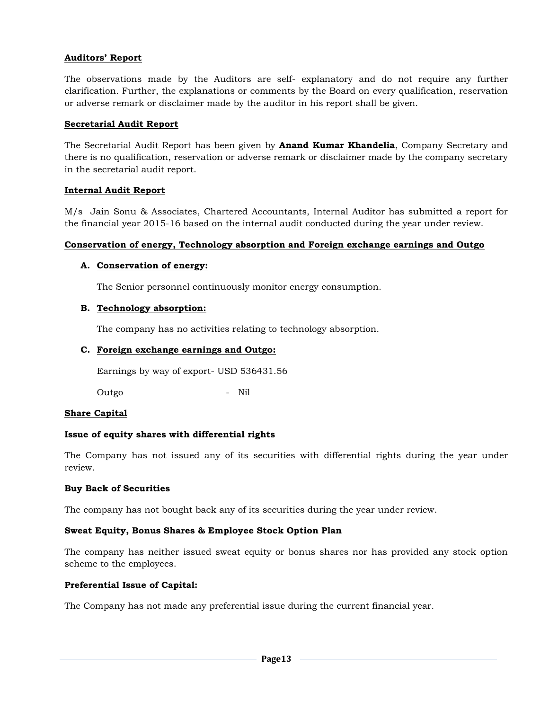#### **Auditors' Report**

The observations made by the Auditors are self- explanatory and do not require any further clarification. Further, the explanations or comments by the Board on every qualification, reservation or adverse remark or disclaimer made by the auditor in his report shall be given.

#### **Secretarial Audit Report**

The Secretarial Audit Report has been given by **Anand Kumar Khandelia**, Company Secretary and there is no qualification, reservation or adverse remark or disclaimer made by the company secretary in the secretarial audit report.

#### **Internal Audit Report**

M/s Jain Sonu & Associates, Chartered Accountants, Internal Auditor has submitted a report for the financial year 2015-16 based on the internal audit conducted during the year under review.

#### **Conservation of energy, Technology absorption and Foreign exchange earnings and Outgo**

#### **A. Conservation of energy:**

The Senior personnel continuously monitor energy consumption.

#### **B. Technology absorption:**

The company has no activities relating to technology absorption.

#### **C. Foreign exchange earnings and Outgo:**

Earnings by way of export- USD 536431.56

Outgo - Nil

#### **Share Capital**

#### **Issue of equity shares with differential rights**

The Company has not issued any of its securities with differential rights during the year under review.

#### **Buy Back of Securities**

The company has not bought back any of its securities during the year under review.

#### **Sweat Equity, Bonus Shares & Employee Stock Option Plan**

The company has neither issued sweat equity or bonus shares nor has provided any stock option scheme to the employees.

#### **Preferential Issue of Capital:**

The Company has not made any preferential issue during the current financial year.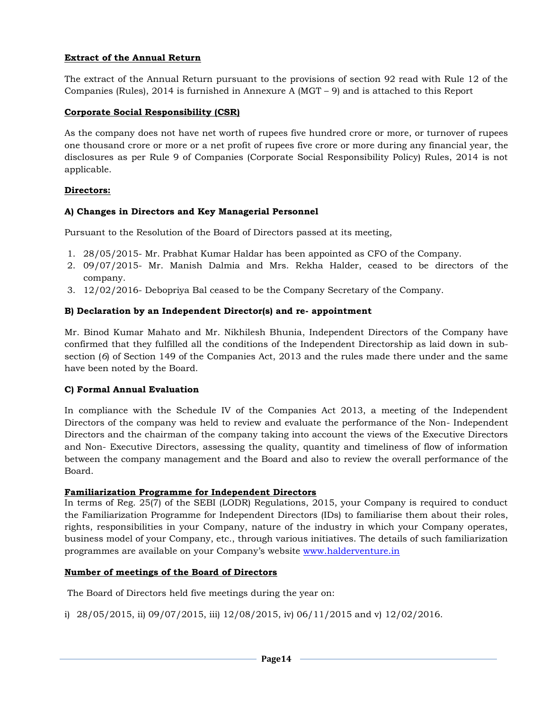## **Extract of the Annual Return**

The extract of the Annual Return pursuant to the provisions of section 92 read with Rule 12 of the Companies (Rules), 2014 is furnished in Annexure A (MGT – 9) and is attached to this Report

#### **Corporate Social Responsibility (CSR)**

As the company does not have net worth of rupees five hundred crore or more, or turnover of rupees one thousand crore or more or a net profit of rupees five crore or more during any financial year, the disclosures as per Rule 9 of Companies (Corporate Social Responsibility Policy) Rules, 2014 is not applicable.

#### **Directors:**

#### **A) Changes in Directors and Key Managerial Personnel**

Pursuant to the Resolution of the Board of Directors passed at its meeting,

- 1. 28/05/2015- Mr. Prabhat Kumar Haldar has been appointed as CFO of the Company.
- 2. 09/07/2015- Mr. Manish Dalmia and Mrs. Rekha Halder, ceased to be directors of the company.
- 3. 12/02/2016- Debopriya Bal ceased to be the Company Secretary of the Company.

#### **B) Declaration by an Independent Director(s) and re- appointment**

Mr. Binod Kumar Mahato and Mr. Nikhilesh Bhunia, Independent Directors of the Company have confirmed that they fulfilled all the conditions of the Independent Directorship as laid down in sub section (*6*) of Section 149 of the Companies Act, 2013 and the rules made there under and the same have been noted by the Board.

#### **C) Formal Annual Evaluation**

In compliance with the Schedule IV of the Companies Act 2013, a meeting of the Independent Directors of the company was held to review and evaluate the performance of the Non- Independent Directors and the chairman of the company taking into account the views of the Executive Directors and Non- Executive Directors, assessing the quality, quantity and timeliness of flow of information between the company management and the Board and also to review the overall performance of the Board.

#### **Familiarization Programme for Independent Directors**

In terms of Reg. 25(7) of the SEBI (LODR) Regulations, 2015, your Company is required to conduct the Familiarization Programme for Independent Directors (IDs) to familiarise them about their roles, rights, responsibilities in your Company, nature of the industry in which your Company operates, business model of your Company, etc., through various initiatives. The details of such familiarization programmes are available on your Company's website www.halderventure.in

#### **Number of meetings of the Board of Directors**

The Board of Directors held five meetings during the year on:

i)  $28/05/2015$ , ii)  $09/07/2015$ , iii)  $12/08/2015$ , iv)  $06/11/2015$  and v)  $12/02/2016$ .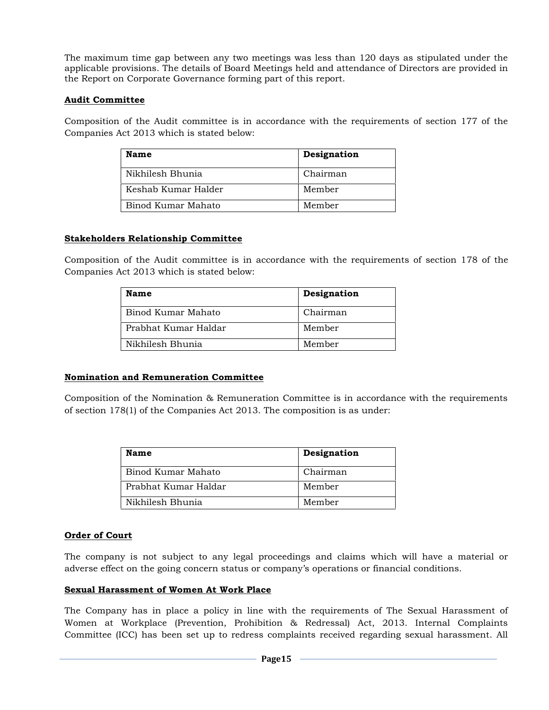The maximum time gap between any two meetings was less than 120 days as stipulated under the applicable provisions. The details of Board Meetings held and attendance of Directors are provided in the Report on Corporate Governance forming part of this report.

#### **Audit Committee**

Composition of the Audit committee is in accordance with the requirements of section 177 of the Companies Act 2013 which is stated below:

| Name                | Designation |
|---------------------|-------------|
| Nikhilesh Bhunia    | Chairman    |
| Keshab Kumar Halder | Member      |
| Binod Kumar Mahato  | Member      |

#### **Stakeholders Relationship Committee**

Composition of the Audit committee is in accordance with the requirements of section 178 of the Companies Act 2013 which is stated below:

| Name                 | Designation |
|----------------------|-------------|
| Binod Kumar Mahato   | Chairman    |
| Prabhat Kumar Haldar | Member      |
| Nikhilesh Bhunia     | Member      |

#### **Nomination and Remuneration Committee**

Composition of the Nomination & Remuneration Committee is in accordance with the requirements of section 178(1) of the Companies Act 2013. The composition is as under:

| Name                 | Designation |
|----------------------|-------------|
| Binod Kumar Mahato   | Chairman    |
| Prabhat Kumar Haldar | Member      |
| Nikhilesh Bhunia     | Member      |

#### **Order of Court**

The company is not subject to any legal proceedings and claims which will have a material or adverse effect on the going concern status or company's operations or financial conditions.

#### **Sexual Harassment of Women At Work Place**

The Company has in place a policy in line with the requirements of The Sexual Harassment of Women at Workplace (Prevention, Prohibition & Redressal) Act, 2013. Internal Complaints Committee (ICC) has been set up to redress complaints received regarding sexual harassment. All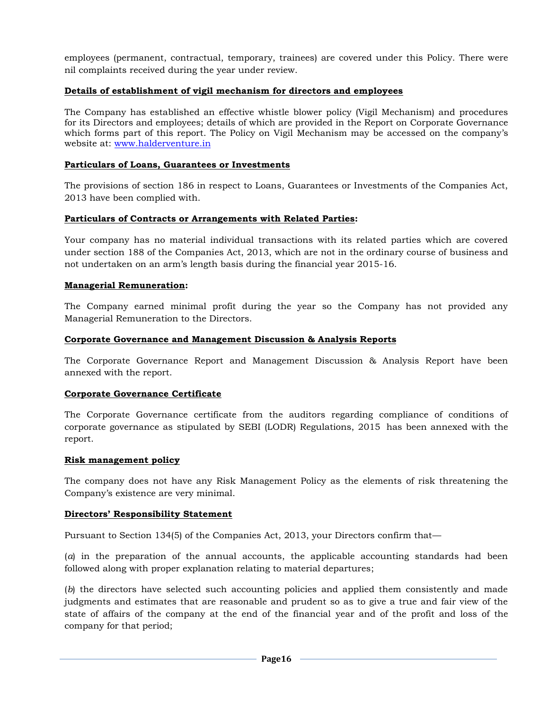employees (permanent, contractual, temporary, trainees) are covered under this Policy. There were nil complaints received during the year under review.

#### **Details of establishment of vigil mechanism for directors and employees**

The Company has established an effective whistle blower policy (Vigil Mechanism) and procedures for its Directors and employees; details of which are provided in the Report on Corporate Governance which forms part of this report. The Policy on Vigil Mechanism may be accessed on the company's website at: www.halderventure.in

#### **Particulars of Loans, Guarantees or Investments**

The provisions of section 186 in respect to Loans, Guarantees or Investments of the Companies Act, 2013 have been complied with.

#### **Particulars of Contracts or Arrangements with Related Parties:**

Your company has no material individual transactions with its related parties which are covered under section 188 of the Companies Act, 2013, which are not in the ordinary course of business and not undertaken on an arm's length basis during the financial year 2015-16.

#### **Managerial Remuneration:**

The Company earned minimal profit during the year so the Company has not provided any Managerial Remuneration to the Directors.

#### **Corporate Governance and Management Discussion & Analysis Reports**

The Corporate Governance Report and Management Discussion & Analysis Report have been annexed with the report.

#### **Corporate Governance Certificate**

The Corporate Governance certificate from the auditors regarding compliance of conditions of corporate governance as stipulated by SEBI (LODR) Regulations, 2015 has been annexed with the report.

#### **Risk management policy**

The company does not have any Risk Management Policy as the elements of risk threatening the Company's existence are very minimal.

#### **Directors' Responsibility Statement**

Pursuant to Section 134(5) of the Companies Act, 2013, your Directors confirm that—

(*a*) in the preparation of the annual accounts, the applicable accounting standards had been followed along with proper explanation relating to material departures;

(*b*) the directors have selected such accounting policies and applied them consistently and made judgments and estimates that are reasonable and prudent so as to give a true and fair view of the state of affairs of the company at the end of the financial year and of the profit and loss of the company for that period;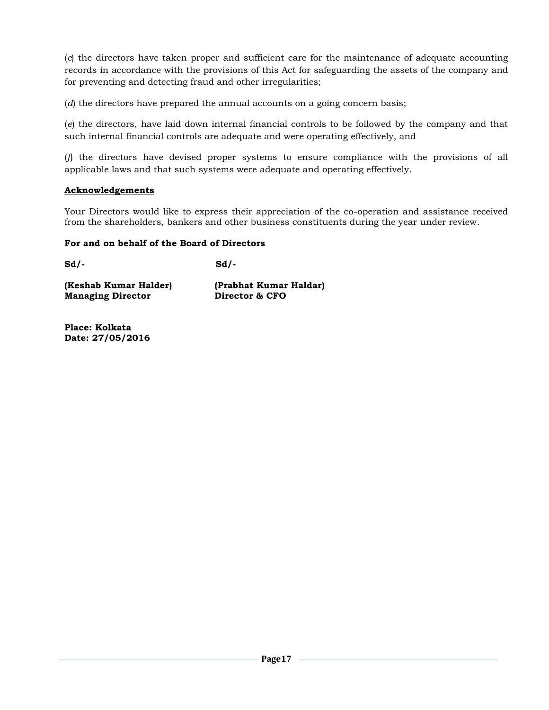(*c*) the directors have taken proper and sufficient care for the maintenance of adequate accounting records in accordance with the provisions of this Act for safeguarding the assets of the company and for preventing and detecting fraud and other irregularities;

(*d*) the directors have prepared the annual accounts on a going concern basis;

(*e*) the directors, have laid down internal financial controls to be followed by the company and that such internal financial controls are adequate and were operating effectively, and

(*f*) the directors have devised proper systems to ensure compliance with the provisions of all applicable laws and that such systems were adequate and operating effectively.

#### **Acknowledgements**

Your Directors would like to express their appreciation of the co-operation and assistance received from the shareholders, bankers and other business constituents during the year under review.

#### **For and on behalf of the Board of Directors**

**Sd/- Sd/-**

**(Keshab Kumar Halder) (Prabhat Kumar Haldar) Managing Director** 

**Place: Kolkata Date: 27/05/2016**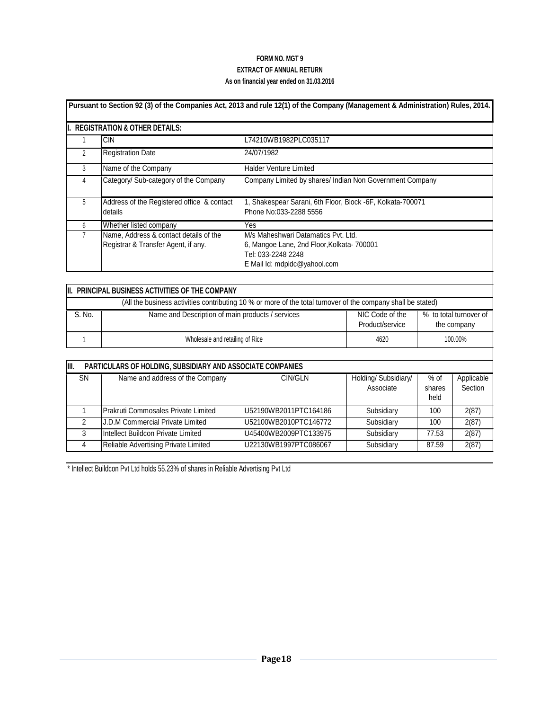#### **FORM NO. MGT 9 EXTRACT OF ANNUAL RETURN As on financial year ended on 31.03.2016**

| Pursuant to Section 92 (3) of the Companies Act, 2013 and rule 12(1) of the Company (Management & Administration) Rules, 2014. |                                                                               |                                                                                                                                         |  |  |  |
|--------------------------------------------------------------------------------------------------------------------------------|-------------------------------------------------------------------------------|-----------------------------------------------------------------------------------------------------------------------------------------|--|--|--|
|                                                                                                                                | I. REGISTRATION & OTHER DETAILS:                                              |                                                                                                                                         |  |  |  |
|                                                                                                                                | <b>CIN</b>                                                                    | L74210WB1982PLC035117                                                                                                                   |  |  |  |
| 2                                                                                                                              | <b>Registration Date</b>                                                      | 24/07/1982                                                                                                                              |  |  |  |
| 3                                                                                                                              | Name of the Company                                                           | <b>Halder Venture Limited</b>                                                                                                           |  |  |  |
| 4                                                                                                                              | Category/ Sub-category of the Company                                         | Company Limited by shares/ Indian Non Government Company                                                                                |  |  |  |
| 5                                                                                                                              | Address of the Registered office & contact<br>details                         | 1, Shakespear Sarani, 6th Floor, Block -6F, Kolkata-700071<br>Phone No:033-2288 5556                                                    |  |  |  |
| 6                                                                                                                              | Whether listed company                                                        | Yes                                                                                                                                     |  |  |  |
|                                                                                                                                | Name, Address & contact details of the<br>Registrar & Transfer Agent, if any. | M/s Maheshwari Datamatics Pvt. Ltd.<br>6, Mangoe Lane, 2nd Floor, Kolkata- 700001<br>Tel: 033-2248 2248<br>E Mail Id: mdpldc@yahool.com |  |  |  |

| <b>III. PRINCIPAL BUSINESS ACTIVITIES OF THE COMPANY</b>                                                     |                                                  |                                    |                                       |  |  |
|--------------------------------------------------------------------------------------------------------------|--------------------------------------------------|------------------------------------|---------------------------------------|--|--|
| (All the business activities contributing 10 % or more of the total turnover of the company shall be stated) |                                                  |                                    |                                       |  |  |
| S. No.                                                                                                       | Name and Description of main products / services | NIC Code of the<br>Product/service | % to total turnover of<br>the company |  |  |
|                                                                                                              | Wholesale and retailing of Rice                  | 4620                               | 100.00%                               |  |  |

| III.      | PARTICULARS OF HOLDING, SUBSIDIARY AND ASSOCIATE COMPANIES |                       |                                   |                        |                       |  |  |  |  |  |
|-----------|------------------------------------------------------------|-----------------------|-----------------------------------|------------------------|-----------------------|--|--|--|--|--|
| <b>SN</b> | Name and address of the Company                            | CIN/GLN               | Holding/ Subsidiary/<br>Associate | % of<br>shares<br>held | Applicable<br>Section |  |  |  |  |  |
|           | <b>IPrakruti Commosales Private Limited</b>                | U52190WB2011PTC164186 | Subsidiary                        | 100                    | 2(87)                 |  |  |  |  |  |
|           | J.D.M Commercial Private Limited                           | U52100WB2010PTC146772 | Subsidiary                        | 100                    | 2(87)                 |  |  |  |  |  |
|           | Intellect Buildcon Private Limited                         | U45400WB2009PTC133975 | Subsidiary                        | 77.53                  | 2(87)                 |  |  |  |  |  |
|           | Reliable Advertising Private Limited                       | U22130WB1997PTC086067 | Subsidiary                        | 87.59                  | 2(87)                 |  |  |  |  |  |

\* Intellect Buildcon Pvt Ltd holds 55.23% of shares in Reliable Advertising Pvt Ltd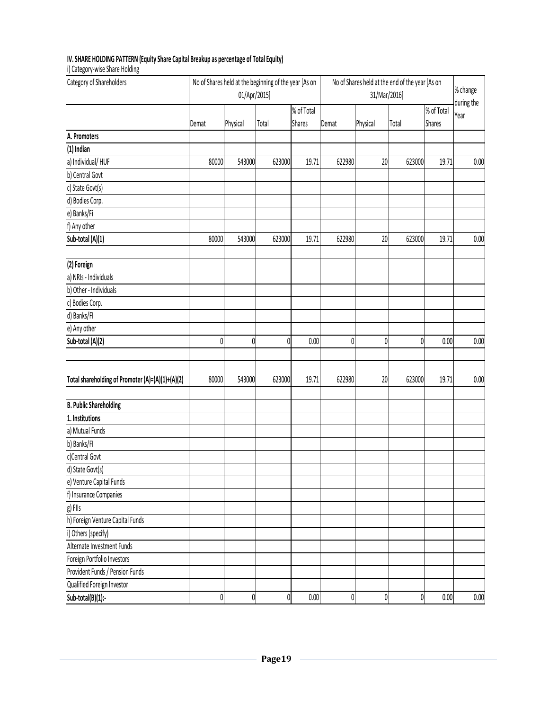#### **IV. SHARE HOLDING PATTERN (Equity Share Capital Breakup as percentage of Total Equity)**

i) Category-wise Share Holding

| ייט ויט<br>U<br>Category of Shareholders         |       | 01/Apr/2015]     | No of Shares held at the beginning of the year [As on |               |          | 31/Mar/2016] | No of Shares held at the end of the year [As on |               | % change<br>during the |
|--------------------------------------------------|-------|------------------|-------------------------------------------------------|---------------|----------|--------------|-------------------------------------------------|---------------|------------------------|
|                                                  |       |                  |                                                       | % of Total    |          |              |                                                 | % of Total    | Year                   |
|                                                  | Demat | Physical         | Total                                                 | <b>Shares</b> | Demat    | Physical     | Total                                           | <b>Shares</b> |                        |
| A. Promoters                                     |       |                  |                                                       |               |          |              |                                                 |               |                        |
| $(1)$ Indian                                     |       |                  |                                                       |               |          |              |                                                 |               |                        |
| a) Individual/HUF                                | 80000 | 543000           | 623000                                                | 19.71         | 622980   | 20           | 623000                                          | 19.71         | 0.00                   |
| b) Central Govt                                  |       |                  |                                                       |               |          |              |                                                 |               |                        |
| c) State Govt(s)                                 |       |                  |                                                       |               |          |              |                                                 |               |                        |
| d) Bodies Corp.                                  |       |                  |                                                       |               |          |              |                                                 |               |                        |
| e) Banks/Fi                                      |       |                  |                                                       |               |          |              |                                                 |               |                        |
| f) Any other                                     |       |                  |                                                       |               |          |              |                                                 |               |                        |
| Sub-total (A)(1)                                 | 80000 | 543000           | 623000                                                | 19.71         | 622980   | 20           | 623000                                          | 19.71         | 0.00                   |
| (2) Foreign                                      |       |                  |                                                       |               |          |              |                                                 |               |                        |
| a) NRIs - Individuals                            |       |                  |                                                       |               |          |              |                                                 |               |                        |
| b) Other - Individuals                           |       |                  |                                                       |               |          |              |                                                 |               |                        |
| c) Bodies Corp.                                  |       |                  |                                                       |               |          |              |                                                 |               |                        |
| d) Banks/FI                                      |       |                  |                                                       |               |          |              |                                                 |               |                        |
| e) Any other                                     |       |                  |                                                       |               |          |              |                                                 |               |                        |
| Sub-total (A)(2)                                 | 0     | $\pmb{0}$        | 0                                                     | 0.00          | 0        | 0            | 0                                               | 0.00          | 0.00                   |
|                                                  |       |                  |                                                       |               |          |              |                                                 |               |                        |
| Total shareholding of Promoter (A)=(A)(1)+(A)(2) | 80000 | 543000           | 623000                                                | 19.71         | 622980   | 20           | 623000                                          | 19.71         | 0.00                   |
| <b>B. Public Shareholding</b>                    |       |                  |                                                       |               |          |              |                                                 |               |                        |
| 1. Institutions                                  |       |                  |                                                       |               |          |              |                                                 |               |                        |
| a) Mutual Funds                                  |       |                  |                                                       |               |          |              |                                                 |               |                        |
| b) Banks/FI                                      |       |                  |                                                       |               |          |              |                                                 |               |                        |
| c)Central Govt                                   |       |                  |                                                       |               |          |              |                                                 |               |                        |
| d) State Govt(s)                                 |       |                  |                                                       |               |          |              |                                                 |               |                        |
| e) Venture Capital Funds                         |       |                  |                                                       |               |          |              |                                                 |               |                        |
| f) Insurance Companies                           |       |                  |                                                       |               |          |              |                                                 |               |                        |
| g) FIIs                                          |       |                  |                                                       |               |          |              |                                                 |               |                        |
| h) Foreign Venture Capital Funds                 |       |                  |                                                       |               |          |              |                                                 |               |                        |
| i) Others (specify)                              |       |                  |                                                       |               |          |              |                                                 |               |                        |
| Alternate Investment Funds                       |       |                  |                                                       |               |          |              |                                                 |               |                        |
| Foreign Portfolio Investors                      |       |                  |                                                       |               |          |              |                                                 |               |                        |
| Provident Funds / Pension Funds                  |       |                  |                                                       |               |          |              |                                                 |               |                        |
| Qualified Foreign Investor                       |       |                  |                                                       |               |          |              |                                                 |               |                        |
| Sub-total(B)(1):-                                | 0     | $\boldsymbol{0}$ | $\mathbf{0}$                                          | 0.00          | $\theta$ | $\mathbf{0}$ | $\theta$                                        | $0.00\,$      | 0.00                   |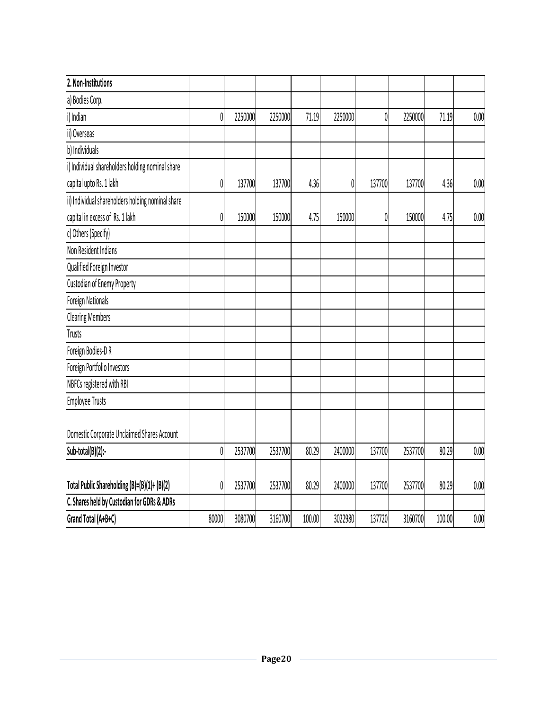| 2. Non-Institutions                               |       |         |         |        |         |        |         |        |      |
|---------------------------------------------------|-------|---------|---------|--------|---------|--------|---------|--------|------|
| a) Bodies Corp.                                   |       |         |         |        |         |        |         |        |      |
| i) Indian                                         | N     | 2250000 | 2250000 | 71.19  | 2250000 | 0      | 2250000 | 71.19  | 0.00 |
| ii) Overseas                                      |       |         |         |        |         |        |         |        |      |
| b) Individuals                                    |       |         |         |        |         |        |         |        |      |
| i) Individual shareholders holding nominal share  |       |         |         |        |         |        |         |        |      |
| capital upto Rs. 1 lakh                           | 0     | 137700  | 137700  | 4.36   | 0       | 137700 | 137700  | 4.36   | 0.00 |
| ii) Individual shareholders holding nominal share |       |         |         |        |         |        |         |        |      |
| capital in excess of Rs. 1 lakh                   |       | 150000  | 150000  | 4.75   | 150000  | O      | 150000  | 4.75   | 0.00 |
| c) Others (Specify)                               |       |         |         |        |         |        |         |        |      |
| Non Resident Indians                              |       |         |         |        |         |        |         |        |      |
| Qualified Foreign Investor                        |       |         |         |        |         |        |         |        |      |
| Custodian of Enemy Property                       |       |         |         |        |         |        |         |        |      |
| <b>Foreign Nationals</b>                          |       |         |         |        |         |        |         |        |      |
| <b>Clearing Members</b>                           |       |         |         |        |         |        |         |        |      |
| <b>Trusts</b>                                     |       |         |         |        |         |        |         |        |      |
| Foreign Bodies-D R                                |       |         |         |        |         |        |         |        |      |
| Foreign Portfolio Investors                       |       |         |         |        |         |        |         |        |      |
| NBFCs registered with RBI                         |       |         |         |        |         |        |         |        |      |
| <b>Employee Trusts</b>                            |       |         |         |        |         |        |         |        |      |
| Domestic Corporate Unclaimed Shares Account       |       |         |         |        |         |        |         |        |      |
| Sub-total(B)(2):-                                 | 0     | 2537700 | 2537700 | 80.29  | 2400000 | 137700 | 2537700 | 80.29  | 0.00 |
| Total Public Shareholding (B)=(B)(1)+ (B)(2)      | 0     | 2537700 | 2537700 | 80.29  | 2400000 | 137700 | 2537700 | 80.29  | 0.00 |
| C. Shares held by Custodian for GDRs & ADRs       |       |         |         |        |         |        |         |        |      |
| Grand Total (A+B+C)                               | 80000 | 3080700 | 3160700 | 100.00 | 3022980 | 137720 | 3160700 | 100.00 | 0.00 |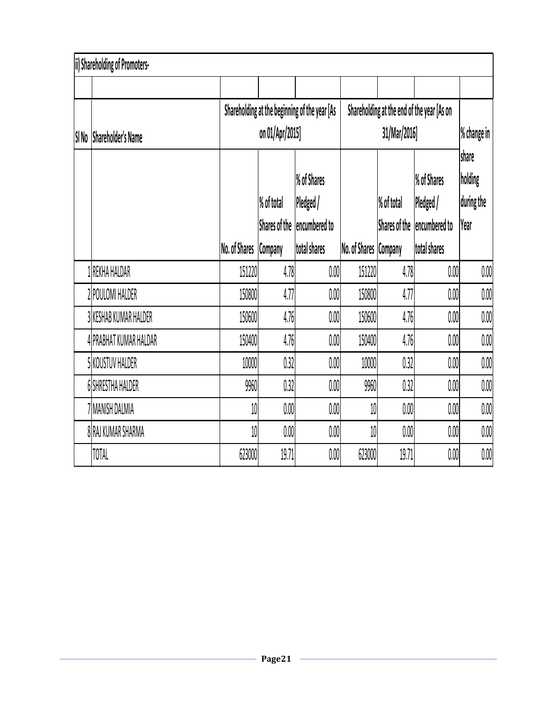|       | ii) Shareholding of Promoters- |                                                                                                                                |            |                                                           |                         |                             |                                            |                                               |
|-------|--------------------------------|--------------------------------------------------------------------------------------------------------------------------------|------------|-----------------------------------------------------------|-------------------------|-----------------------------|--------------------------------------------|-----------------------------------------------|
| SI No | Shareholder's Name             | Shareholding at the beginning of the year [As<br>Shareholding at the end of the year [As on<br>on 01/Apr/2015]<br>31/Mar/2016] |            |                                                           |                         |                             | % change in                                |                                               |
|       |                                |                                                                                                                                | % of total | I% of Shares<br>Pledged /<br>Shares of the lencumbered to |                         | % of total<br>Shares of the | % of Shares<br>Pledged /<br>lencumbered to | <b>share</b><br>holding<br>during the<br>Year |
|       |                                | No. of Shares                                                                                                                  | Company    | total shares                                              | No. of Shares   Company |                             | total shares                               |                                               |
|       | 1 REKHA HALDAR                 | 151220                                                                                                                         | 4.78       | 0.00                                                      | 151220                  | 4.78                        | 0.00                                       | 0.00                                          |
|       | 2 POULOMI HALDER               | 150800                                                                                                                         | 4.77       | 0.00                                                      | 150800                  | 4.77                        | 0.00                                       | 0.00                                          |
|       | 3 KESHAB KUMAR HALDER          | 150600                                                                                                                         | 4.76       | 0.00                                                      | 150600                  | 4.76                        | 0.00                                       | 0.00                                          |
|       | 4 PRABHAT KUMAR HALDAR         | 150400                                                                                                                         | 4.76       | 0.00                                                      | 150400                  | 4.76                        | 0.00                                       | 0.00                                          |
|       | 5 KOUSTUV HALDER               | 10000                                                                                                                          | 0.32       | 0.00                                                      | 10000                   | 0.32                        | 0.00                                       | 0.00                                          |
|       | <b>6 SHRESTHA HALDER</b>       | 9960                                                                                                                           | 0.32       | 0.00                                                      | 9960                    | 0.32                        | 0.00                                       | 0.00                                          |
|       | 7 MANISH DALMIA                | 10                                                                                                                             | 0.00       | 0.00                                                      | 10                      | 0.00                        | 0.00                                       | 0.00                                          |
|       | 8 RAJ KUMAR SHARMA             | 10                                                                                                                             | 0.00       | 0.00                                                      | 10                      | 0.00                        | 0.00                                       | 0.00                                          |
|       | <b>TOTAL</b>                   | 623000                                                                                                                         | 19.71      | 0.00                                                      | 623000                  | 19.71                       | 0.00                                       | 0.00                                          |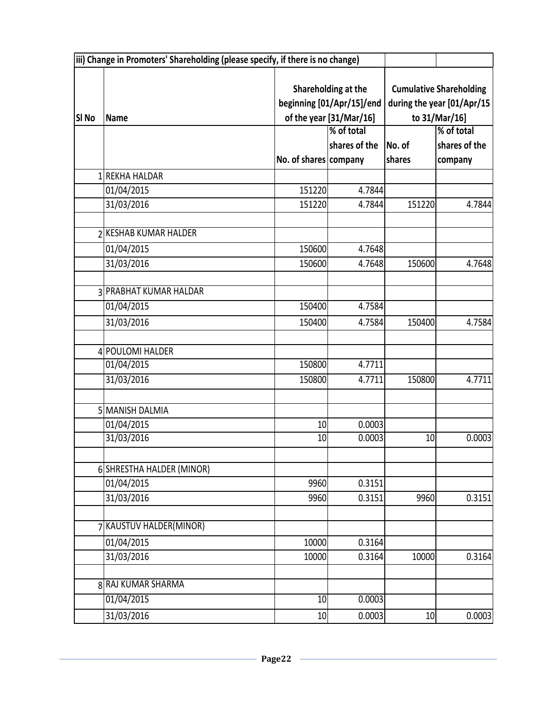| Shareholding at the<br>beginning [01/Apr/15]/end<br>of the year [31/Mar/16]<br><b>SI No</b><br><b>Name</b> | <b>Cumulative Shareholding</b><br>during the year [01/Apr/15<br>to 31/Mar/16] |                                        |  |
|------------------------------------------------------------------------------------------------------------|-------------------------------------------------------------------------------|----------------------------------------|--|
| % of total<br>shares of the<br>No. of shares company                                                       | No. of<br>shares                                                              | % of total<br>shares of the<br>company |  |
| 1 REKHA HALDAR                                                                                             |                                                                               |                                        |  |
| 151220<br>4.7844<br>01/04/2015                                                                             |                                                                               |                                        |  |
| 31/03/2016<br>151220<br>4.7844                                                                             | 151220                                                                        | 4.7844                                 |  |
| 2 KESHAB KUMAR HALDER                                                                                      |                                                                               |                                        |  |
| 150600<br>4.7648<br>01/04/2015                                                                             |                                                                               |                                        |  |
| 31/03/2016<br>150600<br>4.7648                                                                             | 150600                                                                        | 4.7648                                 |  |
| 3 PRABHAT KUMAR HALDAR                                                                                     |                                                                               |                                        |  |
| 01/04/2015<br>150400<br>4.7584                                                                             |                                                                               |                                        |  |
| 31/03/2016<br>150400<br>4.7584                                                                             | 150400                                                                        | 4.7584                                 |  |
| 4 POULOMI HALDER                                                                                           |                                                                               |                                        |  |
| 4.7711<br>01/04/2015<br>150800                                                                             |                                                                               |                                        |  |
| 31/03/2016<br>150800<br>4.7711                                                                             | 150800                                                                        | 4.7711                                 |  |
| 5 MANISH DALMIA                                                                                            |                                                                               |                                        |  |
| 01/04/2015<br>0.0003<br>10                                                                                 |                                                                               |                                        |  |
| 31/03/2016<br>10<br>0.0003                                                                                 | 10                                                                            | 0.0003                                 |  |
| 6 SHRESTHA HALDER (MINOR)                                                                                  |                                                                               |                                        |  |
| 01/04/2015<br>9960<br>0.3151                                                                               |                                                                               |                                        |  |
| 31/03/2016<br>9960<br>0.3151                                                                               | 9960                                                                          | 0.3151                                 |  |
| <b>KAUSTUV HALDER(MINOR)</b><br>$\overline{7}$                                                             |                                                                               |                                        |  |
| 01/04/2015<br>10000<br>0.3164                                                                              |                                                                               |                                        |  |
| 31/03/2016<br>10000<br>0.3164                                                                              | 10000                                                                         | 0.3164                                 |  |
| 8 RAJ KUMAR SHARMA                                                                                         |                                                                               |                                        |  |
| 01/04/2015<br>10<br>0.0003                                                                                 |                                                                               |                                        |  |
| 31/03/2016<br>10<br>0.0003                                                                                 | 10                                                                            | 0.0003                                 |  |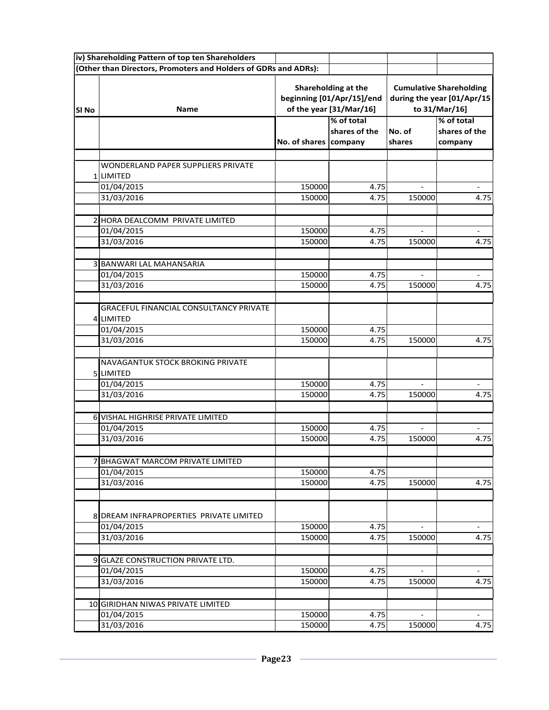|                  | iv) Shareholding Pattern of top ten Shareholders                |                       |                                                                             |                                                                               |                                        |  |
|------------------|-----------------------------------------------------------------|-----------------------|-----------------------------------------------------------------------------|-------------------------------------------------------------------------------|----------------------------------------|--|
|                  | (Other than Directors, Promoters and Holders of GDRs and ADRs): |                       |                                                                             |                                                                               |                                        |  |
| SI <sub>No</sub> | <b>Name</b>                                                     |                       | Shareholding at the<br>beginning [01/Apr/15]/end<br>of the year [31/Mar/16] | <b>Cumulative Shareholding</b><br>during the year [01/Apr/15<br>to 31/Mar/16] |                                        |  |
|                  |                                                                 | No. of shares company | % of total<br>shares of the                                                 | No. of<br>shares                                                              | % of total<br>shares of the<br>company |  |
|                  | <b>WONDERLAND PAPER SUPPLIERS PRIVATE</b>                       |                       |                                                                             |                                                                               |                                        |  |
|                  | 1 LIMITED                                                       |                       |                                                                             |                                                                               |                                        |  |
|                  | 01/04/2015                                                      | 150000                | 4.75                                                                        | ä,                                                                            |                                        |  |
|                  | 31/03/2016                                                      | 150000                | 4.75                                                                        | 150000                                                                        | 4.75                                   |  |
|                  |                                                                 |                       |                                                                             |                                                                               |                                        |  |
|                  | 2 HORA DEALCOMM PRIVATE LIMITED                                 |                       |                                                                             |                                                                               |                                        |  |
|                  | 01/04/2015                                                      |                       | 4.75                                                                        | $\overline{a}$                                                                | $\sim$                                 |  |
|                  | 31/03/2016                                                      | 150000<br>150000      | 4.75                                                                        | 150000                                                                        | 4.75                                   |  |
|                  |                                                                 |                       |                                                                             |                                                                               |                                        |  |
|                  |                                                                 |                       |                                                                             |                                                                               |                                        |  |
|                  | 3 BANWARI LAL MAHANSARIA                                        |                       |                                                                             |                                                                               |                                        |  |
|                  | 01/04/2015                                                      | 150000                | 4.75                                                                        |                                                                               |                                        |  |
|                  | 31/03/2016                                                      | 150000                | 4.75                                                                        | 150000                                                                        | 4.75                                   |  |
|                  |                                                                 |                       |                                                                             |                                                                               |                                        |  |
|                  | <b>GRACEFUL FINANCIAL CONSULTANCY PRIVATE</b>                   |                       |                                                                             |                                                                               |                                        |  |
|                  | 4 LIMITED                                                       |                       |                                                                             |                                                                               |                                        |  |
|                  | 01/04/2015                                                      | 150000                | 4.75                                                                        |                                                                               |                                        |  |
|                  | 31/03/2016                                                      | 150000                | 4.75                                                                        | 150000                                                                        | 4.75                                   |  |
|                  |                                                                 |                       |                                                                             |                                                                               |                                        |  |
|                  | NAVAGANTUK STOCK BROKING PRIVATE                                |                       |                                                                             |                                                                               |                                        |  |
|                  | 5 LIMITED                                                       |                       |                                                                             |                                                                               |                                        |  |
|                  | 01/04/2015                                                      | 150000                | 4.75                                                                        |                                                                               |                                        |  |
|                  | 31/03/2016                                                      | 150000                | 4.75                                                                        | 150000                                                                        | 4.75                                   |  |
|                  |                                                                 |                       |                                                                             |                                                                               |                                        |  |
|                  | 6 VISHAL HIGHRISE PRIVATE LIMITED                               |                       |                                                                             |                                                                               |                                        |  |
|                  | 01/04/2015                                                      | 150000                | 4.75                                                                        |                                                                               | $\overline{\phantom{a}}$               |  |
|                  | 31/03/2016                                                      | 150000                | 4.75                                                                        | 150000                                                                        | 4.75                                   |  |
|                  |                                                                 |                       |                                                                             |                                                                               |                                        |  |
|                  | 7 BHAGWAT MARCOM PRIVATE LIMITED                                |                       |                                                                             |                                                                               |                                        |  |
|                  | 01/04/2015                                                      | 150000                | 4.75                                                                        |                                                                               |                                        |  |
|                  | 31/03/2016                                                      | 150000                | 4.75                                                                        | 150000                                                                        | 4.75                                   |  |
|                  |                                                                 |                       |                                                                             |                                                                               |                                        |  |
|                  |                                                                 |                       |                                                                             |                                                                               |                                        |  |
|                  |                                                                 |                       |                                                                             |                                                                               |                                        |  |
|                  | 8 DREAM INFRAPROPERTIES PRIVATE LIMITED<br>01/04/2015           | 150000                | 4.75                                                                        | $\equiv$                                                                      | $\equiv$                               |  |
|                  |                                                                 |                       |                                                                             |                                                                               |                                        |  |
|                  | 31/03/2016                                                      | 150000                | 4.75                                                                        | 150000                                                                        | 4.75                                   |  |
|                  |                                                                 |                       |                                                                             |                                                                               |                                        |  |
|                  | 9 GLAZE CONSTRUCTION PRIVATE LTD.                               |                       |                                                                             |                                                                               |                                        |  |
|                  | 01/04/2015                                                      | 150000                | 4.75                                                                        |                                                                               |                                        |  |
|                  | 31/03/2016                                                      | 150000                | 4.75                                                                        | 150000                                                                        | 4.75                                   |  |
|                  |                                                                 |                       |                                                                             |                                                                               |                                        |  |
|                  | 10 GIRIDHAN NIWAS PRIVATE LIMITED                               |                       |                                                                             |                                                                               |                                        |  |
|                  | 01/04/2015                                                      | 150000                | 4.75                                                                        |                                                                               |                                        |  |
|                  | 31/03/2016                                                      | 150000                | 4.75                                                                        | 150000                                                                        | 4.75                                   |  |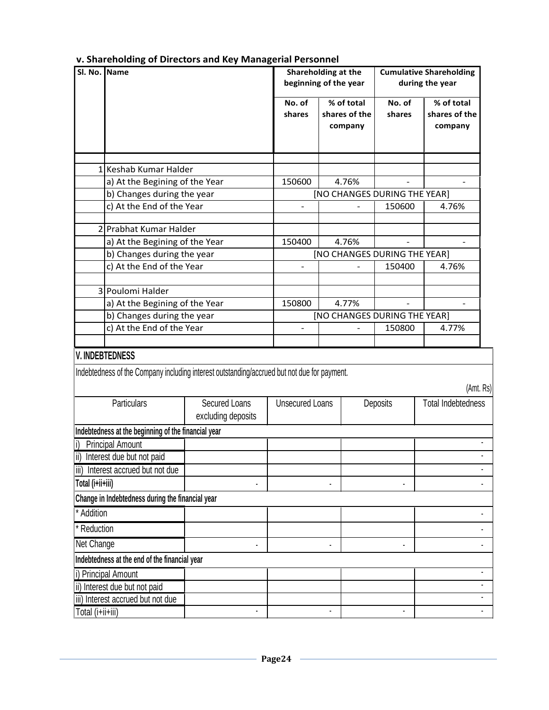|                  | Sl. No. IName                                       |                                                                                                                                    | Shareholding at the<br>beginning of the year |                                        | <b>Cumulative Shareholding</b><br>during the year |                                        |  |
|------------------|-----------------------------------------------------|------------------------------------------------------------------------------------------------------------------------------------|----------------------------------------------|----------------------------------------|---------------------------------------------------|----------------------------------------|--|
|                  |                                                     |                                                                                                                                    | No. of<br>shares                             | % of total<br>shares of the<br>company | No. of<br>shares                                  | % of total<br>shares of the<br>company |  |
|                  | 1 Keshab Kumar Halder                               |                                                                                                                                    |                                              |                                        |                                                   |                                        |  |
|                  | a) At the Begining of the Year                      |                                                                                                                                    | 150600                                       | 4.76%                                  |                                                   |                                        |  |
|                  | b) Changes during the year                          |                                                                                                                                    |                                              |                                        | [NO CHANGES DURING THE YEAR]                      |                                        |  |
|                  | c) At the End of the Year                           |                                                                                                                                    | $\blacksquare$                               |                                        | 150600                                            | 4.76%                                  |  |
|                  |                                                     |                                                                                                                                    |                                              |                                        |                                                   |                                        |  |
|                  | 2 Prabhat Kumar Halder                              |                                                                                                                                    |                                              |                                        |                                                   |                                        |  |
|                  | a) At the Begining of the Year                      |                                                                                                                                    | 150400                                       | 4.76%                                  |                                                   |                                        |  |
|                  | b) Changes during the year                          |                                                                                                                                    |                                              |                                        | [NO CHANGES DURING THE YEAR]                      |                                        |  |
|                  | c) At the End of the Year                           |                                                                                                                                    |                                              |                                        | 150400                                            | 4.76%                                  |  |
|                  | 3 Poulomi Halder                                    |                                                                                                                                    |                                              |                                        |                                                   |                                        |  |
|                  | a) At the Begining of the Year                      |                                                                                                                                    | 150800                                       | 4.77%                                  |                                                   |                                        |  |
|                  | b) Changes during the year                          |                                                                                                                                    |                                              |                                        | [NO CHANGES DURING THE YEAR]                      |                                        |  |
|                  | c) At the End of the Year                           |                                                                                                                                    | $\blacksquare$                               |                                        | 150800                                            | 4.77%                                  |  |
|                  |                                                     |                                                                                                                                    |                                              |                                        |                                                   |                                        |  |
|                  | <b>V. INDEBTEDNESS</b>                              |                                                                                                                                    |                                              |                                        |                                                   |                                        |  |
|                  | Particulars                                         | Indebtedness of the Company including interest outstanding/accrued but not due for payment.<br>Secured Loans<br>excluding deposits | <b>Unsecured Loans</b>                       |                                        | Deposits                                          | (Ant. Rs)<br><b>Total Indebtedness</b> |  |
|                  | Indebtedness at the beginning of the financial year |                                                                                                                                    |                                              |                                        |                                                   |                                        |  |
| i)               | <b>Principal Amount</b>                             |                                                                                                                                    |                                              |                                        |                                                   |                                        |  |
|                  | ii) Interest due but not paid                       |                                                                                                                                    |                                              |                                        |                                                   |                                        |  |
|                  | iii) Interest accrued but not due                   |                                                                                                                                    |                                              |                                        |                                                   |                                        |  |
| Total (i+ii+iii) |                                                     |                                                                                                                                    |                                              |                                        |                                                   |                                        |  |
|                  | Change in Indebtedness during the financial year    |                                                                                                                                    |                                              |                                        |                                                   |                                        |  |
| * Addition       |                                                     |                                                                                                                                    |                                              |                                        |                                                   |                                        |  |
| * Reduction      |                                                     |                                                                                                                                    |                                              |                                        |                                                   |                                        |  |
| Net Change       |                                                     |                                                                                                                                    |                                              |                                        |                                                   |                                        |  |
|                  | Indebtedness at the end of the financial year       |                                                                                                                                    |                                              |                                        |                                                   |                                        |  |
|                  | i) Principal Amount                                 |                                                                                                                                    |                                              |                                        |                                                   |                                        |  |
|                  | ii) Interest due but not paid                       |                                                                                                                                    |                                              |                                        |                                                   |                                        |  |
|                  | iii) Interest accrued but not due                   |                                                                                                                                    |                                              |                                        |                                                   |                                        |  |
| Total (i+ii+iii) |                                                     |                                                                                                                                    |                                              |                                        |                                                   |                                        |  |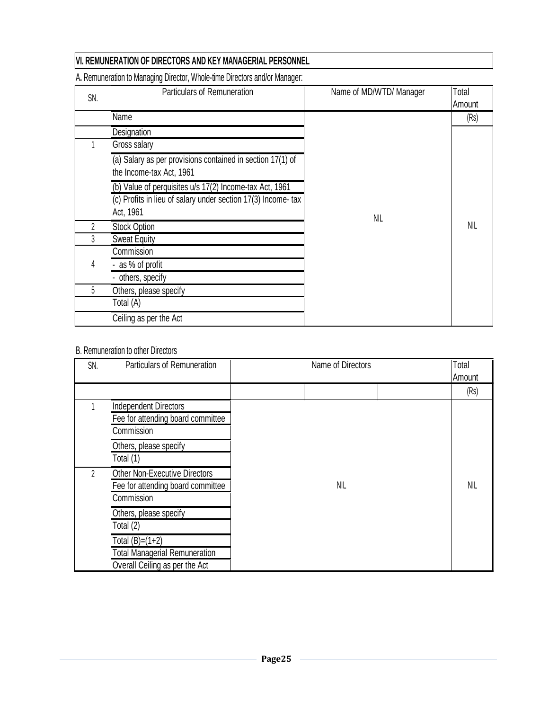# **VI. REMUNERATION OF DIRECTORS AND KEY MANAGERIAL PERSONNEL**

|                | יט ייט<br>Particulars of Remuneration                                                                                                 | Name of MD/WTD/ Manager | Total      |
|----------------|---------------------------------------------------------------------------------------------------------------------------------------|-------------------------|------------|
| SN.            |                                                                                                                                       |                         | Amount     |
|                | Name                                                                                                                                  |                         | (Rs)       |
|                | Designation                                                                                                                           |                         |            |
|                | Gross salary                                                                                                                          |                         |            |
|                | (a) Salary as per provisions contained in section 17(1) of<br>the Income-tax Act, 1961                                                |                         |            |
|                | (b) Value of perquisites u/s 17(2) Income-tax Act, 1961<br>(c) Profits in lieu of salary under section 17(3) Income- tax<br>Act, 1961 |                         |            |
| $\overline{2}$ | <b>Stock Option</b>                                                                                                                   | <b>NIL</b>              | <b>NIL</b> |
| 3              | <b>Sweat Equity</b>                                                                                                                   |                         |            |
|                | Commission                                                                                                                            |                         |            |
| 4              | as % of profit                                                                                                                        |                         |            |
|                | others, specify                                                                                                                       |                         |            |
| 5              | Others, please specify                                                                                                                |                         |            |
|                | Total (A)                                                                                                                             |                         |            |
|                | Ceiling as per the Act                                                                                                                |                         |            |

# A**.** Remuneration to Managing Director, Whole-time Directors and/or Manager:

# B. Remuneration to other Directors

| SN.            | Particulars of Remuneration                                                                 | Name of Directors | Total<br>Amount |
|----------------|---------------------------------------------------------------------------------------------|-------------------|-----------------|
|                |                                                                                             |                   | (Rs)            |
|                | Independent Directors<br>Fee for attending board committee<br>Commission                    |                   |                 |
|                | Others, please specify<br>Total (1)                                                         |                   |                 |
| $\overline{2}$ | <b>Other Non-Executive Directors</b><br>Fee for attending board committee<br>Commission     | <b>NIL</b>        | <b>NIL</b>      |
|                | Others, please specify<br>Total (2)                                                         |                   |                 |
|                | Total $(B)=(1+2)$<br><b>Total Managerial Remuneration</b><br>Overall Ceiling as per the Act |                   |                 |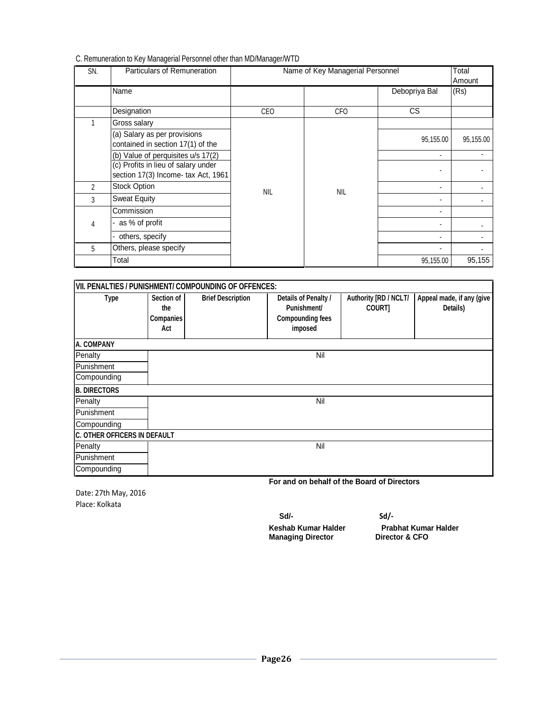#### C. Remuneration to Key Managerial Personnel other than MD/Manager/WTD

| SN.            | Particulars of Remuneration                                                |            | Name of Key Managerial Personnel |               | Total<br>Amount |
|----------------|----------------------------------------------------------------------------|------------|----------------------------------|---------------|-----------------|
|                | Name                                                                       |            |                                  | Debopriya Bal | (Rs)            |
|                | Designation                                                                | CEO        | <b>CFO</b>                       | <b>CS</b>     |                 |
|                | Gross salary                                                               |            |                                  |               |                 |
|                | (a) Salary as per provisions<br>contained in section 17(1) of the          |            |                                  | 95,155.00     | 95,155.00       |
|                | (b) Value of perquisites u/s 17(2)                                         |            |                                  | ٠             |                 |
|                | (c) Profits in lieu of salary under<br>section 17(3) Income- tax Act, 1961 |            |                                  |               |                 |
| $\overline{2}$ | Stock Option                                                               | <b>NIL</b> | NIL                              | ٠             |                 |
| 3              | <b>Sweat Equity</b>                                                        |            |                                  | ۰             |                 |
|                | Commission                                                                 |            |                                  | -             |                 |
| 4              | as % of profit                                                             |            |                                  | ۰             |                 |
|                | others, specify                                                            |            |                                  |               |                 |
| 5              | Others, please specify                                                     |            |                                  | ۰             |                 |
|                | Total                                                                      |            |                                  | 95,155.00     | 95,155          |

|                                      |                                       | VII. PENALTIES / PUNISHMENT/COMPOUNDING OF OFFENCES: |                                                                    |                                        |                                       |
|--------------------------------------|---------------------------------------|------------------------------------------------------|--------------------------------------------------------------------|----------------------------------------|---------------------------------------|
| <b>Type</b>                          | Section of<br>the<br>Companies<br>Act | <b>Brief Description</b>                             | Details of Penalty /<br>Punishment/<br>Compounding fees<br>imposed | Authority [RD / NCLT/<br><b>COURT]</b> | Appeal made, if any (give<br>Details) |
| <b>A. COMPANY</b>                    |                                       |                                                      |                                                                    |                                        |                                       |
| Penalty                              |                                       |                                                      | Nil                                                                |                                        |                                       |
| Punishment                           |                                       |                                                      |                                                                    |                                        |                                       |
| Compounding                          |                                       |                                                      |                                                                    |                                        |                                       |
| <b>B. DIRECTORS</b>                  |                                       |                                                      |                                                                    |                                        |                                       |
| Penalty                              |                                       |                                                      | Nil                                                                |                                        |                                       |
| Punishment                           |                                       |                                                      |                                                                    |                                        |                                       |
| Compounding                          |                                       |                                                      |                                                                    |                                        |                                       |
| <b>IC. OTHER OFFICERS IN DEFAULT</b> |                                       |                                                      |                                                                    |                                        |                                       |
| Penalty                              |                                       |                                                      | Nil                                                                |                                        |                                       |
| Punishment                           |                                       |                                                      |                                                                    |                                        |                                       |
| Compounding                          |                                       |                                                      |                                                                    |                                        |                                       |

**For and on behalf of the Board of Directors**

Date: 27th May, 2016 Place: Kolkata

**Sd/- Sd/- Managing Director Director & CFO**

**Keshab Kumar Halder Prabhat Kumar Halder**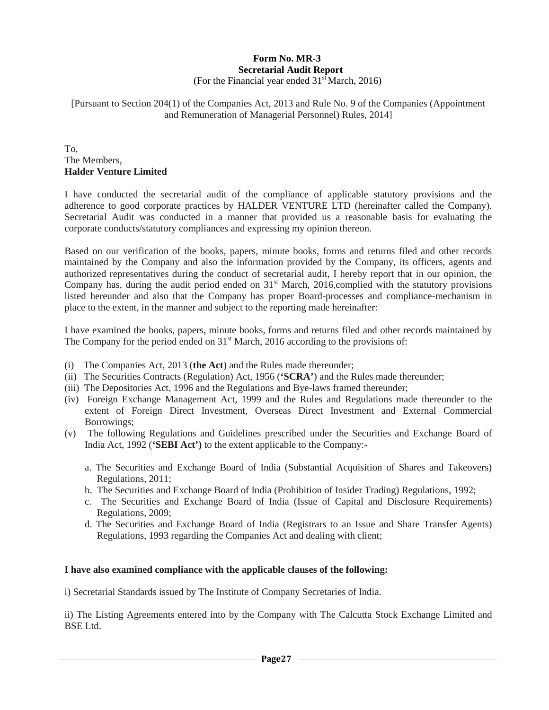#### **Form No. MR-3 Secretarial Audit Report** (For the Financial year ended  $31<sup>st</sup> March, 2016$ )

[Pursuant to Section 204(1) of the Companies Act, 2013 and Rule No. 9 of the Companies (Appointment and Remuneration of Managerial Personnel) Rules, 2014]

To, The Members, **Halder Venture Limited**

I have conducted the secretarial audit of the compliance of applicable statutory provisions and the adherence to good corporate practices by HALDER VENTURE LTD (hereinafter called the Company). Secretarial Audit was conducted in a manner that provided us a reasonable basis for evaluating the corporate conducts/statutory compliances and expressing my opinion thereon.

Based on our verification of the books, papers, minute books, forms and returns filed and other records maintained by the Company and also the information provided by the Company, its officers, agents and authorized representatives during the conduct of secretarial audit, I hereby report that in our opinion, the Company has, during the audit period ended on 31<sup>st</sup> March, 2016,complied with the statutory provisions listed hereunder and also that the Company has proper Board-processes and compliance-mechanism in place to the extent, in the manner and subject to the reporting made hereinafter:

I have examined the books, papers, minute books, forms and returns filed and other records maintained by The Company for the period ended on  $31<sup>st</sup>$  March, 2016 according to the provisions of:

- (i) The Companies Act, 2013 (**the Act**) and the Rules made thereunder;
- (ii) The Securities Contracts (Regulation) Act, 1956 (**'SCRA'**) and the Rules made thereunder;
- (iii) The Depositories Act, 1996 and the Regulations and Bye-laws framed thereunder;
- (iv) Foreign Exchange Management Act, 1999 and the Rules and Regulations made thereunder to the extent of Foreign Direct Investment, Overseas Direct Investment and External Commercial Borrowings;
- (v) The following Regulations and Guidelines prescribed under the Securities and Exchange Board of India Act, 1992 (**'SEBI Act')** to the extent applicable to the Company:
	- a. The Securities and Exchange Board of India (Substantial Acquisition of Shares and Takeovers) Regulations, 2011;
	- b. The Securities and Exchange Board of India (Prohibition of Insider Trading) Regulations, 1992;
	- c. The Securities and Exchange Board of India (Issue of Capital and Disclosure Requirements) Regulations, 2009;
	- d. The Securities and Exchange Board of India (Registrars to an Issue and Share Transfer Agents) Regulations, 1993 regarding the Companies Act and dealing with client;

#### **I have also examined compliance with the applicable clauses of the following:**

i) Secretarial Standards issued by The Institute of Company Secretaries of India.

ii) The Listing Agreements entered into by the Company with The Calcutta Stock Exchange Limited and BSE Ltd.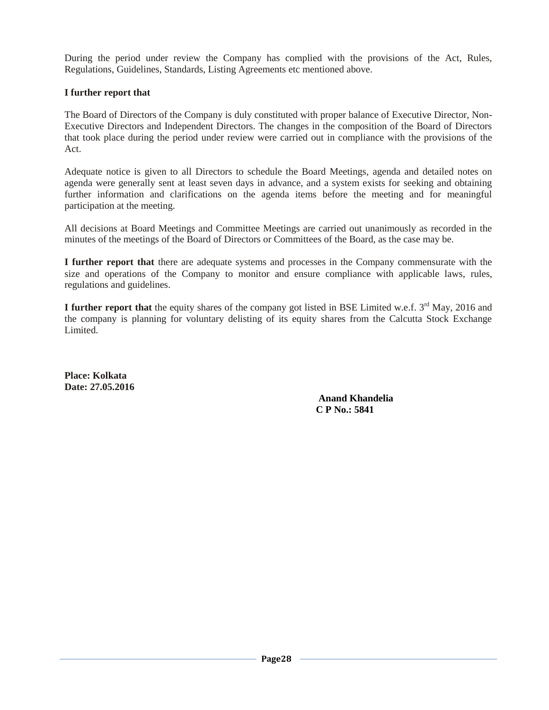During the period under review the Company has complied with the provisions of the Act, Rules, Regulations, Guidelines, Standards, Listing Agreements etc mentioned above.

## **I further report that**

The Board of Directors of the Company is duly constituted with proper balance of Executive Director, Non- Executive Directors and Independent Directors. The changes in the composition of the Board of Directors that took place during the period under review were carried out in compliance with the provisions of the Act.

Adequate notice is given to all Directors to schedule the Board Meetings, agenda and detailed notes on agenda were generally sent at least seven days in advance, and a system exists for seeking and obtaining further information and clarifications on the agenda items before the meeting and for meaningful participation at the meeting.

All decisions at Board Meetings and Committee Meetings are carried out unanimously as recorded in the minutes of the meetings of the Board of Directors or Committees of the Board, as the case may be.

**I further report that** there are adequate systems and processes in the Company commensurate with the size and operations of the Company to monitor and ensure compliance with applicable laws, rules, regulations and guidelines.

**I further report that** the equity shares of the company got listed in BSE Limited w.e.f. 3<sup>rd</sup> May, 2016 and the company is planning for voluntary delisting of its equity shares from the Calcutta Stock Exchange Limited.

**Place: Kolkata Date: 27.05.2016**

**Anand Khandelia C P No.: 5841**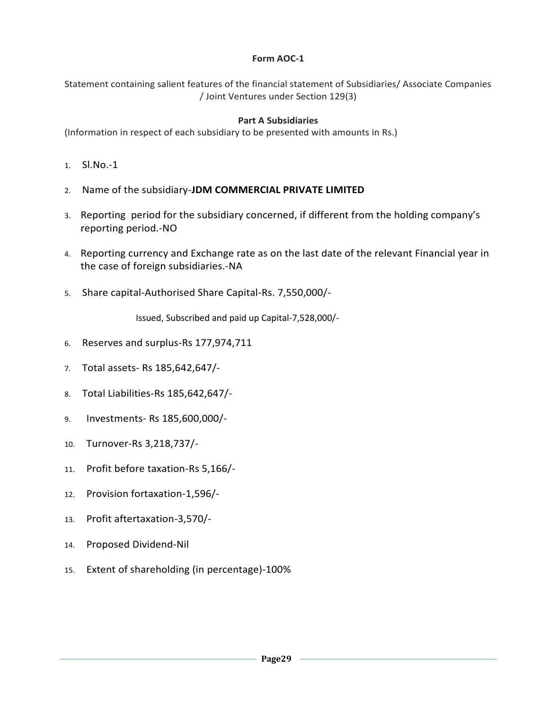# **Form AOC-1**

Statement containing salient features of the financial statement of Subsidiaries/ Associate Companies / Joint Ventures under Section 129(3)

## **Part A Subsidiaries**

(Information in respect of each subsidiary to be presented with amounts in Rs.)

- 1. Sl.No.-1
- 2. Name of the subsidiary-**JDM COMMERCIAL PRIVATE LIMITED**
- 3. Reporting period for the subsidiary concerned, if different from the holding company's reporting period.-NO
- 4. Reporting currency and Exchange rate as on the last date of the relevant Financial year in the case of foreign subsidiaries.-NA
- 5. Share capital-Authorised Share Capital-Rs. 7,550,000/-

Issued, Subscribed and paid up Capital-7,528,000/-

- 6. Reserves and surplus-Rs 177,974,711
- 7. Total assets- Rs 185,642,647/-
- 8. Total Liabilities-Rs 185,642,647/-
- 9. Investments- Rs 185,600,000/-
- 10. Turnover-Rs 3,218,737/-
- 11. Profit before taxation-Rs 5,166/-
- 12. Provision fortaxation-1,596/-
- 13. Profit aftertaxation-3,570/-
- 14. Proposed Dividend-Nil
- 15. Extent of shareholding (in percentage)-100%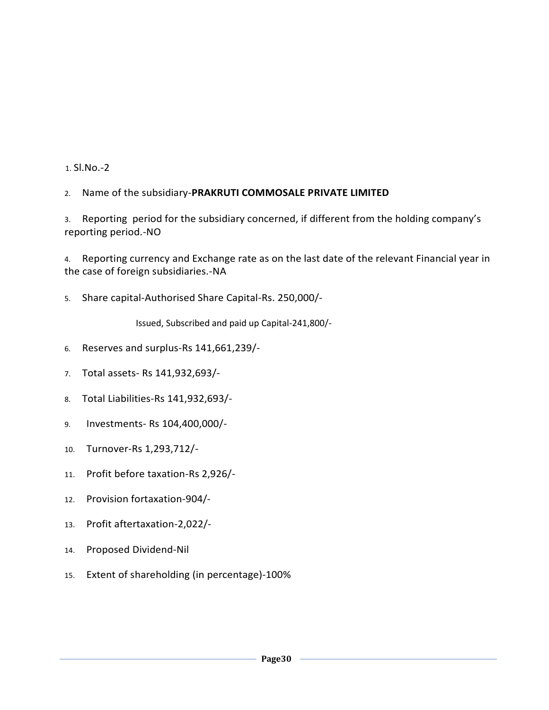# 1. Sl.No.-2

2. Name of the subsidiary-**PRAKRUTI COMMOSALE PRIVATE LIMITED**

3. Reporting period for the subsidiary concerned, if different from the holding company's reporting period.-NO

4. Reporting currency and Exchange rate as on the last date of the relevant Financial year in the case of foreign subsidiaries.-NA

5. Share capital-Authorised Share Capital-Rs. 250,000/-

Issued, Subscribed and paid up Capital-241,800/-

- 6. Reserves and surplus-Rs 141,661,239/-
- 7. Total assets- Rs 141,932,693/-
- 8. Total Liabilities-Rs 141,932,693/-
- 9. Investments- Rs 104,400,000/-
- 10. Turnover-Rs 1,293,712/-
- 11. Profit before taxation-Rs 2,926/-
- 12. Provision fortaxation-904/-
- 13. Profit aftertaxation-2,022/-
- 14. Proposed Dividend-Nil
- 15. Extent of shareholding (in percentage)-100%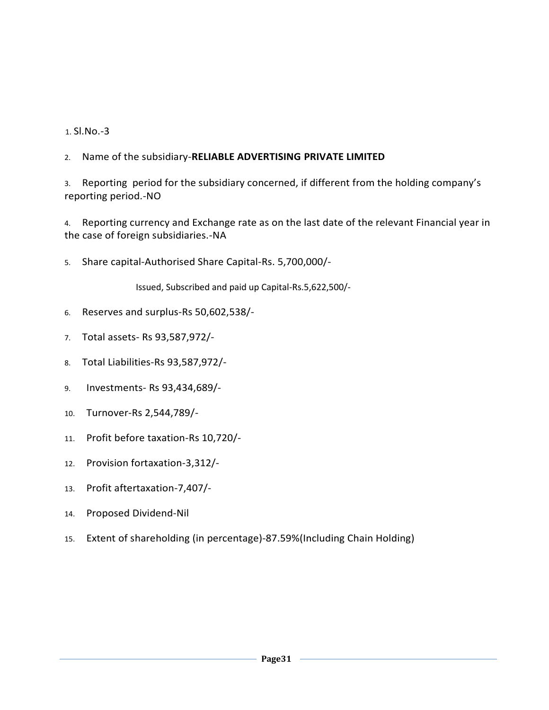# 1. Sl.No.-3

2. Name of the subsidiary-**RELIABLE ADVERTISING PRIVATE LIMITED**

3. Reporting period for the subsidiary concerned, if different from the holding company's reporting period.-NO

4. Reporting currency and Exchange rate as on the last date of the relevant Financial year in the case of foreign subsidiaries.-NA

5. Share capital-Authorised Share Capital-Rs. 5,700,000/-

Issued, Subscribed and paid up Capital-Rs.5,622,500/-

- 6. Reserves and surplus-Rs 50,602,538/-
- 7. Total assets- Rs 93,587,972/-
- 8. Total Liabilities-Rs 93,587,972/-
- 9. Investments- Rs 93,434,689/-
- 10. Turnover-Rs 2,544,789/-
- 11. Profit before taxation-Rs 10,720/-
- 12. Provision fortaxation-3,312/-
- 13. Profit aftertaxation-7,407/-
- 14. Proposed Dividend-Nil
- 15. Extent of shareholding (in percentage)-87.59%(Including Chain Holding)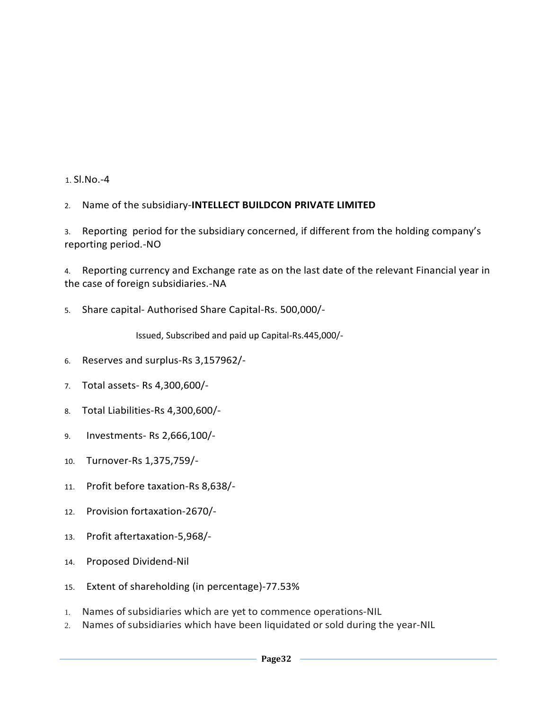1. Sl.No.-4

2. Name of the subsidiary-**INTELLECT BUILDCON PRIVATE LIMITED**

3. Reporting period for the subsidiary concerned, if different from the holding company's reporting period.-NO

4. Reporting currency and Exchange rate as on the last date of the relevant Financial year in the case of foreign subsidiaries.-NA

5. Share capital- Authorised Share Capital-Rs. 500,000/-

Issued, Subscribed and paid up Capital-Rs.445,000/-

- 6. Reserves and surplus-Rs 3,157962/-
- 7. Total assets- Rs 4,300,600/-
- 8. Total Liabilities-Rs 4,300,600/-
- 9. Investments- Rs 2,666,100/-
- 10. Turnover-Rs 1,375,759/-
- 11. Profit before taxation-Rs 8,638/-
- 12. Provision fortaxation-2670/-
- 13. Profit aftertaxation-5,968/-
- 14. Proposed Dividend-Nil
- 15. Extent of shareholding (in percentage)-77.53%
- 1. Names of subsidiaries which are yet to commence operations-NIL
- 2. Names of subsidiaries which have been liquidated or sold during the year-NIL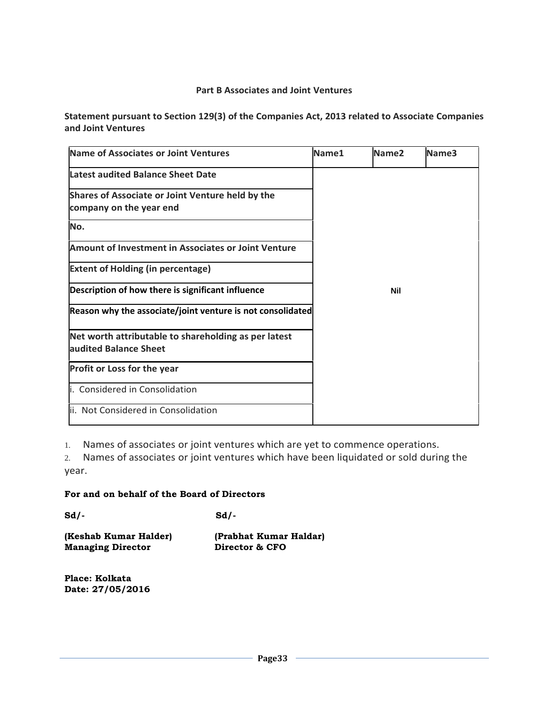#### **Part B Associates and Joint Ventures**

**Statement pursuant to Section 129(3) of the Companies Act, 2013 related to Associate Companies and Joint Ventures**

| Name of Associates or Joint Ventures                                          | Name1 | Name <sub>2</sub> | Name3 |
|-------------------------------------------------------------------------------|-------|-------------------|-------|
| Latest audited Balance Sheet Date                                             |       |                   |       |
| Shares of Associate or Joint Venture held by the<br>company on the year end   |       |                   |       |
| No.                                                                           |       |                   |       |
| Amount of Investment in Associates or Joint Venture                           |       |                   |       |
| <b>Extent of Holding (in percentage)</b>                                      |       |                   |       |
| Description of how there is significant influence                             |       | Nil               |       |
| Reason why the associate/joint venture is not consolidated                    |       |                   |       |
| Net worth attributable to shareholding as per latest<br>audited Balance Sheet |       |                   |       |
| <b>Profit or Loss for the year</b>                                            |       |                   |       |
| i. Considered in Consolidation                                                |       |                   |       |
| ii. Not Considered in Consolidation                                           |       |                   |       |

1. Names of associates or joint ventures which are yet to commence operations.

2. Names of associates or joint ventures which have been liquidated or sold during the year.

# **For and on behalf of the Board of Directors**

**Sd/- Sd/-**

**Managing Director** 

**(Keshab Kumar Halder) (Prabhat Kumar Haldar)**

**Place: Kolkata Date: 27/05/2016**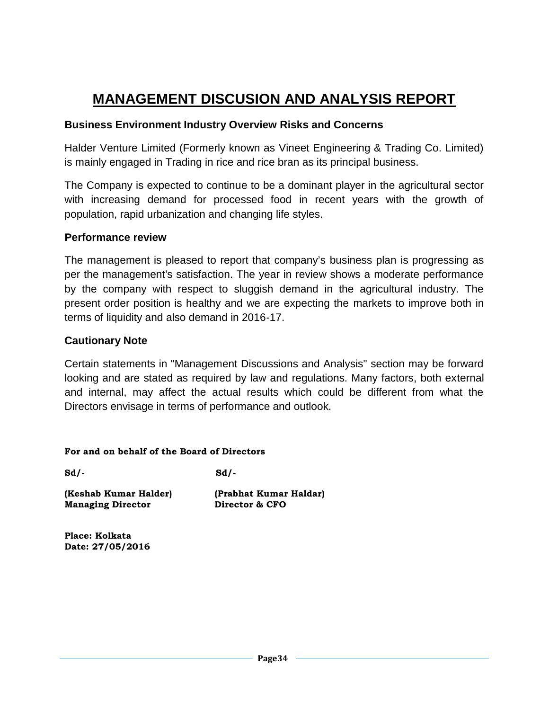# **MANAGEMENT DISCUSION AND ANALYSIS REPORT**

### **Business Environment Industry Overview Risks and Concerns**

Halder Venture Limited (Formerly known as Vineet Engineering & Trading Co. Limited) is mainly engaged in Trading in rice and rice bran as its principal business.

The Company is expected to continue to be a dominant player in the agricultural sector with increasing demand for processed food in recent years with the growth of population, rapid urbanization and changing life styles.

### **Performance review**

The management is pleased to report that company's business plan is progressing as per the management's satisfaction. The year in review shows a moderate performance by the company with respect to sluggish demand in the agricultural industry. The present order position is healthy and we are expecting the markets to improve both in terms of liquidity and also demand in 2016-17.

### **Cautionary Note**

Certain statements in "Management Discussions and Analysis" section may be forward looking and are stated as required by law and regulations. Many factors, both external and internal, may affect the actual results which could be different from what the Directors envisage in terms of performance and outlook.

### **For and on behalf of the Board of Directors**

**Sd/- Sd/-**

**(Keshab Kumar Halder) (Prabhat Kumar Haldar) Managing Director Director & CFO**

**Place: Kolkata Date: 27/05/2016**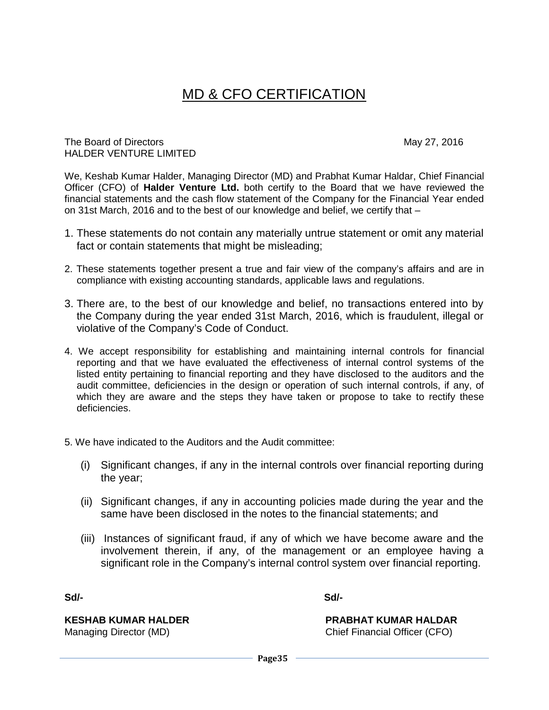# MD & CFO CERTIFICATION

The Board of Directors **May 27, 2016** HALDER VENTURE LIMITED

We, Keshab Kumar Halder, Managing Director (MD) and Prabhat Kumar Haldar, Chief Financial Officer (CFO) of **Halder Venture Ltd.** both certify to the Board that we have reviewed the financial statements and the cash flow statement of the Company for the Financial Year ended on 31st March, 2016 and to the best of our knowledge and belief, we certify that –

- 1. These statements do not contain any materially untrue statement or omit any material fact or contain statements that might be misleading;
- 2. These statements together present a true and fair view of the company's affairs and are in compliance with existing accounting standards, applicable laws and regulations.
- 3. There are, to the best of our knowledge and belief, no transactions entered into by the Company during the year ended 31st March, 2016, which is fraudulent, illegal or violative of the Company's Code of Conduct.
- 4. We accept responsibility for establishing and maintaining internal controls for financial reporting and that we have evaluated the effectiveness of internal control systems of the listed entity pertaining to financial reporting and they have disclosed to the auditors and the audit committee, deficiencies in the design or operation of such internal controls, if any, of which they are aware and the steps they have taken or propose to take to rectify these deficiencies.
- 5. We have indicated to the Auditors and the Audit committee:
	- (i) Significant changes, if any in the internal controls over financial reporting during the year;
	- (ii) Significant changes, if any in accounting policies made during the year and the same have been disclosed in the notes to the financial statements; and
	- (iii) Instances of significant fraud, if any of which we have become aware and the involvement therein, if any, of the management or an employee having a significant role in the Company's internal control system over financial reporting.

**Sd/- Sd/-**

**KESHAB KUMAR HALDER PRABHAT KUMAR HALDAR** Managing Director (MD) Chief Financial Officer (CFO)

**Page35**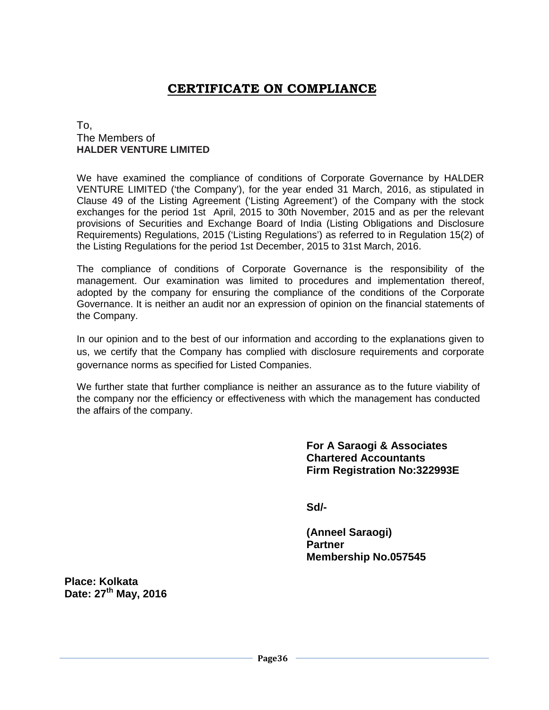# **CERTIFICATE ON COMPLIANCE**

To, The Members of **HALDER VENTURE LIMITED**

We have examined the compliance of conditions of Corporate Governance by HALDER VENTURE LIMITED ('the Company'), for the year ended 31 March, 2016, as stipulated in Clause 49 of the Listing Agreement ('Listing Agreement') of the Company with the stock exchanges for the period 1st April, 2015 to 30th November, 2015 and as per the relevant provisions of Securities and Exchange Board of India (Listing Obligations and Disclosure Requirements) Regulations, 2015 ('Listing Regulations') as referred to in Regulation 15(2) of the Listing Regulations for the period 1st December, 2015 to 31st March, 2016.

The compliance of conditions of Corporate Governance is the responsibility of the management. Our examination was limited to procedures and implementation thereof, adopted by the company for ensuring the compliance of the conditions of the Corporate Governance. It is neither an audit nor an expression of opinion on the financial statements of the Company.

In our opinion and to the best of our information and according to the explanations given to us, we certify that the Company has complied with disclosure requirements and corporate governance norms as specified for Listed Companies.

We further state that further compliance is neither an assurance as to the future viability of the company nor the efficiency or effectiveness with which the management has conducted the affairs of the company.

> **For A Saraogi & Associates Chartered Accountants Firm Registration No:322993E**

**Sd/-**

**(Anneel Saraogi) Partner Membership No.057545**

**Place: Kolkata Date: 27th May, 2016**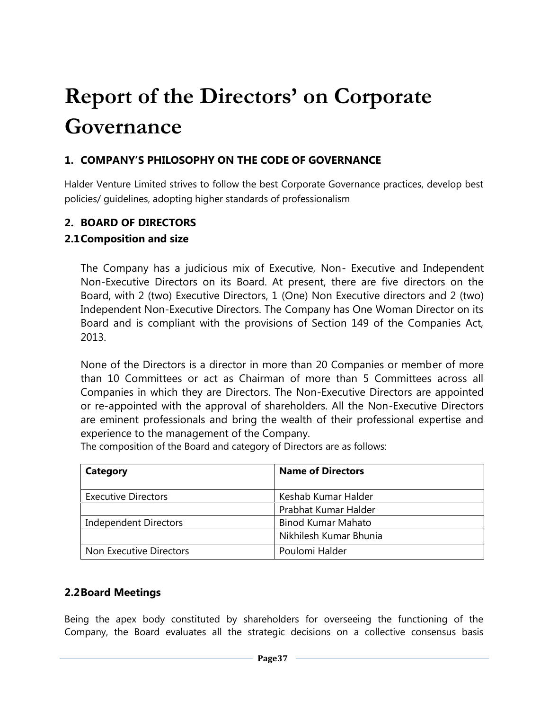# **Report of the Directors' on Corporate Governance**

# **1. COMPANY'S PHILOSOPHY ON THE CODE OF GOVERNANCE**

Halder Venture Limited strives to follow the best Corporate Governance practices, develop best policies/ guidelines, adopting higher standards of professionalism

### **2. BOARD OF DIRECTORS**

### **2.1Composition and size**

The Company has a judicious mix of Executive, Non- Executive and Independent Non-Executive Directors on its Board. At present, there are five directors on the Board, with 2 (two) Executive Directors, 1 (One) Non Executive directors and 2 (two) Independent Non-Executive Directors. The Company has One Woman Director on its Board and is compliant with the provisions of Section 149 of the Companies Act, 2013.

None of the Directors is a director in more than 20 Companies or member of more than 10 Committees or act as Chairman of more than 5 Committees across all Companies in which they are Directors. The Non-Executive Directors are appointed or re-appointed with the approval of shareholders. All the Non-Executive Directors are eminent professionals and bring the wealth of their professional expertise and experience to the management of the Company.

The composition of the Board and category of Directors are as follows:

| <b>Category</b>              | <b>Name of Directors</b> |
|------------------------------|--------------------------|
| <b>Executive Directors</b>   | Keshab Kumar Halder      |
|                              | Prabhat Kumar Halder     |
| <b>Independent Directors</b> | Binod Kumar Mahato       |
|                              | Nikhilesh Kumar Bhunia   |
| Non Executive Directors      | Poulomi Halder           |

### **2.2Board Meetings**

Being the apex body constituted by shareholders for overseeing the functioning of the Company, the Board evaluates all the strategic decisions on a collective consensus basis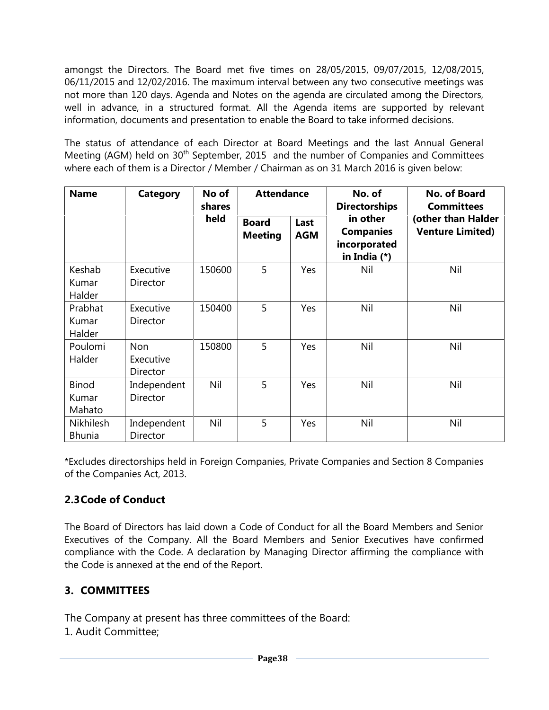amongst the Directors. The Board met five times on 28/05/2015, 09/07/2015, 12/08/2015, 06/11/2015 and 12/02/2016. The maximum interval between any two consecutive meetings was not more than 120 days. Agenda and Notes on the agenda are circulated among the Directors, well in advance, in a structured format. All the Agenda items are supported by relevant information, documents and presentation to enable the Board to take informed decisions.

The status of attendance of each Director at Board Meetings and the last Annual General Meeting (AGM) held on  $30<sup>th</sup>$  September, 2015 and the number of Companies and Committees where each of them is a Director / Member / Chairman as on 31 March 2016 is given below:

| <b>Name</b>                | <b>Category</b>                     | No of<br>shares | <b>Attendance</b>              |                    | No. of<br><b>Directorships</b>                                 | <b>No. of Board</b><br><b>Committees</b>      |  |
|----------------------------|-------------------------------------|-----------------|--------------------------------|--------------------|----------------------------------------------------------------|-----------------------------------------------|--|
|                            |                                     | held            | <b>Board</b><br><b>Meeting</b> | Last<br><b>AGM</b> | in other<br><b>Companies</b><br>incorporated<br>in India $(*)$ | (other than Halder<br><b>Venture Limited)</b> |  |
| Keshab<br>Kumar<br>Halder  | Executive<br><b>Director</b>        | 150600          | 5                              | Yes                | Nil                                                            | Nil                                           |  |
| Prabhat<br>Kumar<br>Halder | Executive<br>Director               | 150400          | 5                              | Yes                | Nil                                                            | Nil                                           |  |
| Poulomi<br>Halder          | <b>Non</b><br>Executive<br>Director | 150800          | 5                              | Yes                | Nil                                                            | Nil                                           |  |
| Binod<br>Kumar<br>Mahato   | Independent<br>Director             | Nil             | 5                              | Yes                | Nil                                                            | Nil                                           |  |
| Nikhilesh<br><b>Bhunia</b> | Independent<br>Director             | Nil             | 5                              | Yes                | Nil                                                            | Nil                                           |  |

\*Excludes directorships held in Foreign Companies, Private Companies and Section 8 Companies of the Companies Act, 2013.

# **2.3Code of Conduct**

The Board of Directors has laid down a Code of Conduct for all the Board Members and Senior Executives of the Company. All the Board Members and Senior Executives have confirmed compliance with the Code. A declaration by Managing Director affirming the compliance with the Code is annexed at the end of the Report.

# **3. COMMITTEES**

The Company at present has three committees of the Board: 1. Audit Committee;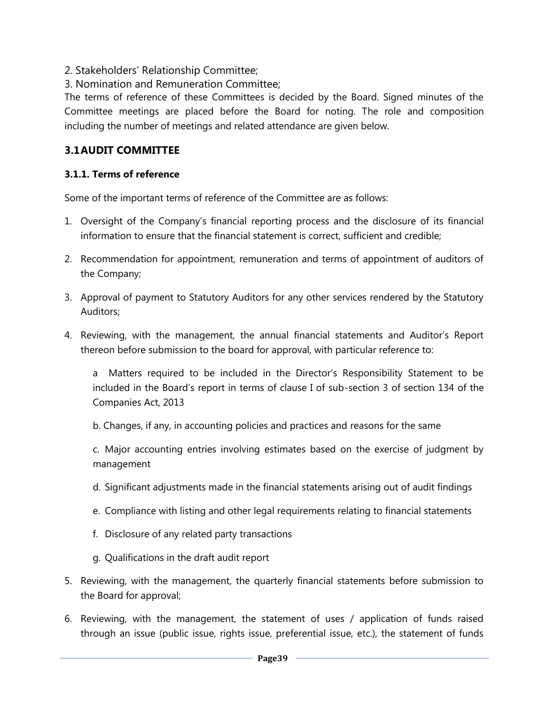- 2. Stakeholders' Relationship Committee;
- 3. Nomination and Remuneration Committee;

The terms of reference of these Committees is decided by the Board. Signed minutes of the Committee meetings are placed before the Board for noting. The role and composition including the number of meetings and related attendance are given below.

### **3.1AUDIT COMMITTEE**

### **3.1.1. Terms of reference**

Some of the important terms of reference of the Committee are as follows:

- 1. Oversight of the Company's financial reporting process and the disclosure of its financial information to ensure that the financial statement is correct, sufficient and credible;
- 2. Recommendation for appointment, remuneration and terms of appointment of auditors of the Company;
- 3. Approval of payment to Statutory Auditors for any other services rendered by the Statutory Auditors;
- 4. Reviewing, with the management, the annual financial statements and Auditor's Report thereon before submission to the board for approval, with particular reference to:

a Matters required to be included in the Director's Responsibility Statement to be included in the Board's report in terms of clause I of sub-section 3 of section 134 of the Companies Act, 2013

b. Changes, if any, in accounting policies and practices and reasons for the same

c. Major accounting entries involving estimates based on the exercise of judgment by management

- d. Significant adjustments made in the financial statements arising out of audit findings
- e. Compliance with listing and other legal requirements relating to financial statements
- f. Disclosure of any related party transactions
- g. Qualifications in the draft audit report
- 5. Reviewing, with the management, the quarterly financial statements before submission to the Board for approval;
- 6. Reviewing, with the management, the statement of uses / application of funds raised through an issue (public issue, rights issue, preferential issue, etc.), the statement of funds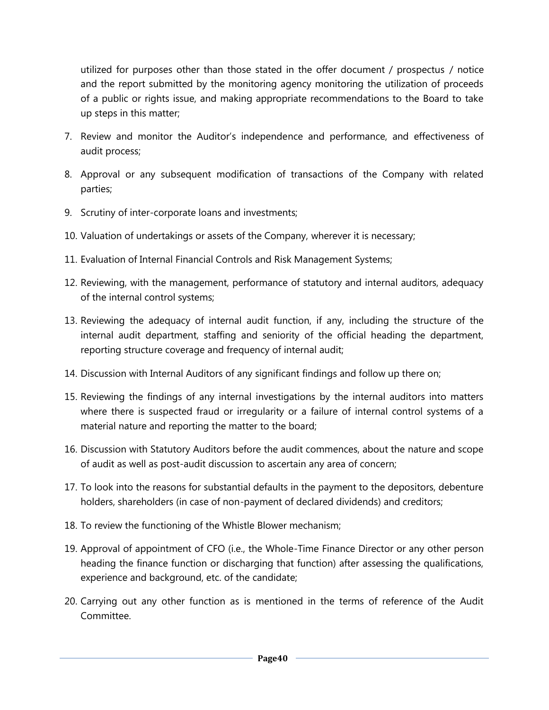utilized for purposes other than those stated in the offer document / prospectus / notice and the report submitted by the monitoring agency monitoring the utilization of proceeds of a public or rights issue, and making appropriate recommendations to the Board to take up steps in this matter;

- 7. Review and monitor the Auditor's independence and performance, and effectiveness of audit process;
- 8. Approval or any subsequent modification of transactions of the Company with related parties;
- 9. Scrutiny of inter-corporate loans and investments;
- 10. Valuation of undertakings or assets of the Company, wherever it is necessary;
- 11. Evaluation of Internal Financial Controls and Risk Management Systems;
- 12. Reviewing, with the management, performance of statutory and internal auditors, adequacy of the internal control systems;
- 13. Reviewing the adequacy of internal audit function, if any, including the structure of the internal audit department, staffing and seniority of the official heading the department, reporting structure coverage and frequency of internal audit;
- 14. Discussion with Internal Auditors of any significant findings and follow up there on;
- 15. Reviewing the findings of any internal investigations by the internal auditors into matters where there is suspected fraud or irregularity or a failure of internal control systems of a material nature and reporting the matter to the board;
- 16. Discussion with Statutory Auditors before the audit commences, about the nature and scope of audit as well as post-audit discussion to ascertain any area of concern;
- 17. To look into the reasons for substantial defaults in the payment to the depositors, debenture holders, shareholders (in case of non-payment of declared dividends) and creditors;
- 18. To review the functioning of the Whistle Blower mechanism;
- 19. Approval of appointment of CFO (i.e., the Whole-Time Finance Director or any other person heading the finance function or discharging that function) after assessing the qualifications, experience and background, etc. of the candidate;
- 20. Carrying out any other function as is mentioned in the terms of reference of the Audit Committee.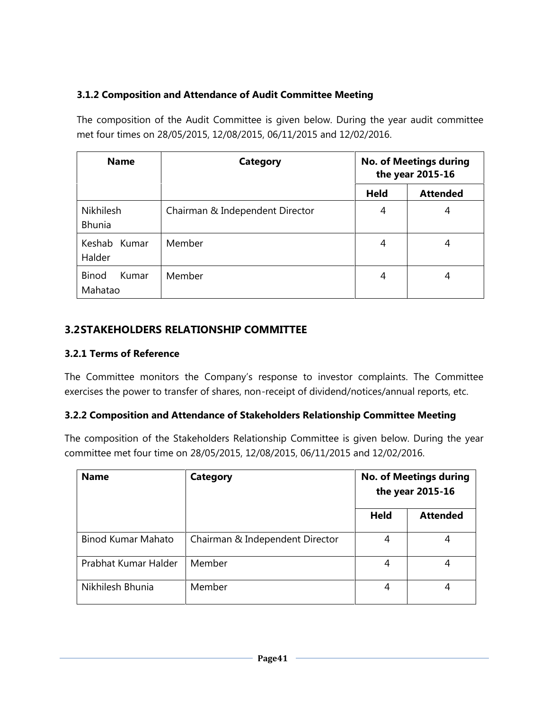### **3.1.2 Composition and Attendance of Audit Committee Meeting**

The composition of the Audit Committee is given below. During the year audit committee met four times on 28/05/2015, 12/08/2015, 06/11/2015 and 12/02/2016.

| <b>Name</b>                       | <b>Category</b>                 | <b>No. of Meetings during</b><br>the year 2015-16 |                 |  |
|-----------------------------------|---------------------------------|---------------------------------------------------|-----------------|--|
|                                   |                                 | <b>Held</b>                                       | <b>Attended</b> |  |
| <b>Nikhilesh</b><br><b>Bhunia</b> | Chairman & Independent Director | 4                                                 | 4               |  |
| Keshab Kumar<br>Halder            | Member                          | 4                                                 | 4               |  |
| <b>Binod</b><br>Kumar<br>Mahatao  | Member                          | 4                                                 | 4               |  |

# **3.2STAKEHOLDERS RELATIONSHIP COMMITTEE**

### **3.2.1 Terms of Reference**

The Committee monitors the Company's response to investor complaints. The Committee exercises the power to transfer of shares, non-receipt of dividend/notices/annual reports, etc.

### **3.2.2 Composition and Attendance of Stakeholders Relationship Committee Meeting**

The composition of the Stakeholders Relationship Committee is given below. During the year committee met four time on 28/05/2015, 12/08/2015, 06/11/2015 and 12/02/2016.

| <b>Name</b><br><b>Category</b> |                                 | <b>No. of Meetings during</b><br>the year 2015-16 |                 |  |
|--------------------------------|---------------------------------|---------------------------------------------------|-----------------|--|
|                                |                                 | <b>Held</b>                                       | <b>Attended</b> |  |
| <b>Binod Kumar Mahato</b>      | Chairman & Independent Director | 4                                                 | 4               |  |
| Prabhat Kumar Halder           | Member                          | 4                                                 | 4               |  |
| Nikhilesh Bhunia               | Member                          | 4                                                 | 4               |  |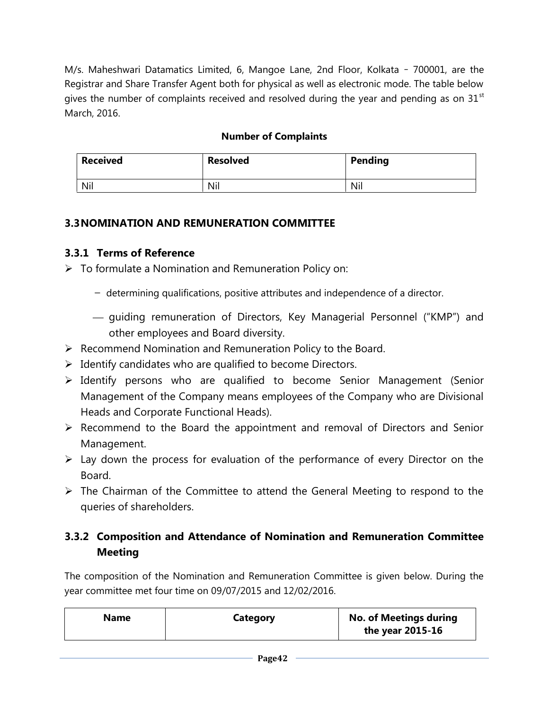M/s. Maheshwari Datamatics Limited, 6, Mangoe Lane, 2nd Floor, Kolkata – 700001, are the Registrar and Share Transfer Agent both for physical as well as electronic mode. The table below gives the number of complaints received and resolved during the year and pending as on 31 $^{\rm st}$ March, 2016.

### **Number of Complaints**

| <b>Received</b> | <b>Resolved</b> | <b>Pending</b> |
|-----------------|-----------------|----------------|
| Nil             | Nil             | Nil            |

### **3.3NOMINATION AND REMUNERATION COMMITTEE**

### **3.3.1 Terms of Reference**

> To formulate a Nomination and Remuneration Policy on:

- determining qualifications, positive attributes and independence of a director.
- guiding remuneration of Directors, Key Managerial Personnel ("KMP") and other employees and Board diversity.
- Recommend Nomination and Remuneration Policy to the Board.
- $\triangleright$  Identify candidates who are qualified to become Directors.
- $\triangleright$  Identify persons who are qualified to become Senior Management (Senior Management of the Company means employees of the Company who are Divisional Heads and Corporate Functional Heads).
- $\triangleright$  Recommend to the Board the appointment and removal of Directors and Senior Management.
- $\triangleright$  Lay down the process for evaluation of the performance of every Director on the Board.
- $\triangleright$  The Chairman of the Committee to attend the General Meeting to respond to the queries of shareholders.

# **3.3.2 Composition and Attendance of Nomination and Remuneration Committee Meeting**

The composition of the Nomination and Remuneration Committee is given below. During the year committee met four time on 09/07/2015 and 12/02/2016.

| <b>No. of Meetings during</b><br>Category<br><b>Name</b><br>the year 2015-16 |
|------------------------------------------------------------------------------|
|------------------------------------------------------------------------------|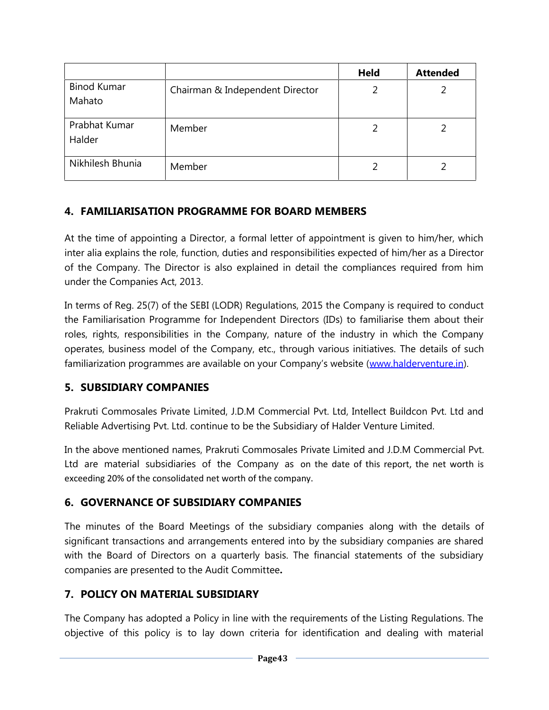|                              |                                 | <b>Held</b> | <b>Attended</b> |
|------------------------------|---------------------------------|-------------|-----------------|
| <b>Binod Kumar</b><br>Mahato | Chairman & Independent Director |             |                 |
| Prabhat Kumar<br>Halder      | Member                          |             |                 |
| Nikhilesh Bhunia             | Member                          |             |                 |

# **4. FAMILIARISATION PROGRAMME FOR BOARD MEMBERS**

At the time of appointing a Director, a formal letter of appointment is given to him/her, which inter alia explains the role, function, duties and responsibilities expected of him/her as a Director of the Company. The Director is also explained in detail the compliances required from him under the Companies Act, 2013.

In terms of Reg. 25(7) of the SEBI (LODR) Regulations, 2015 the Company is required to conduct the Familiarisation Programme for Independent Directors (IDs) to familiarise them about their roles, rights, responsibilities in the Company, nature of the industry in which the Company operates, business model of the Company, etc., through various initiatives. The details of such familiarization programmes are available on your Company's website (www.halderventure.in).

### **5. SUBSIDIARY COMPANIES**

Prakruti Commosales Private Limited, J.D.M Commercial Pvt. Ltd, Intellect Buildcon Pvt. Ltd and Reliable Advertising Pvt. Ltd. continue to be the Subsidiary of Halder Venture Limited.

In the above mentioned names, Prakruti Commosales Private Limited and J.D.M Commercial Pvt. Ltd are material subsidiaries of the Company as on the date of this report, the net worth is exceeding 20% of the consolidated net worth of the company.

### **6. GOVERNANCE OF SUBSIDIARY COMPANIES**

The minutes of the Board Meetings of the subsidiary companies along with the details of significant transactions and arrangements entered into by the subsidiary companies are shared with the Board of Directors on a quarterly basis. The financial statements of the subsidiary companies are presented to the Audit Committee**.**

### **7. POLICY ON MATERIAL SUBSIDIARY**

The Company has adopted a Policy in line with the requirements of the Listing Regulations. The objective of this policy is to lay down criteria for identification and dealing with material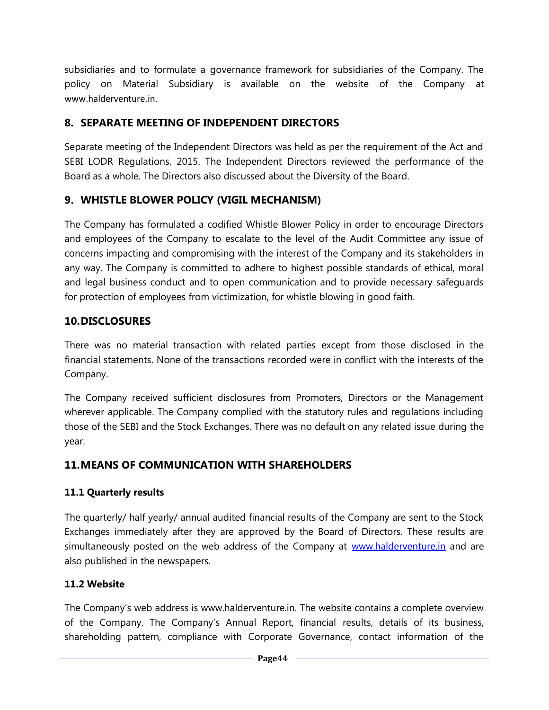subsidiaries and to formulate a governance framework for subsidiaries of the Company. The policy on Material Subsidiary is available on the website of the Company at www.halderventure.in.

## **8. SEPARATE MEETING OF INDEPENDENT DIRECTORS**

Separate meeting of the Independent Directors was held as per the requirement of the Act and SEBI LODR Regulations, 2015. The Independent Directors reviewed the performance of the Board as a whole. The Directors also discussed about the Diversity of the Board.

# **9. WHISTLE BLOWER POLICY (VIGIL MECHANISM)**

The Company has formulated a codified Whistle Blower Policy in order to encourage Directors and employees of the Company to escalate to the level of the Audit Committee any issue of concerns impacting and compromising with the interest of the Company and its stakeholders in any way. The Company is committed to adhere to highest possible standards of ethical, moral and legal business conduct and to open communication and to provide necessary safeguards for protection of employees from victimization, for whistle blowing in good faith.

### **10.DISCLOSURES**

There was no material transaction with related parties except from those disclosed in the financial statements. None of the transactions recorded were in conflict with the interests of the Company.

The Company received sufficient disclosures from Promoters, Directors or the Management wherever applicable. The Company complied with the statutory rules and regulations including those of the SEBI and the Stock Exchanges. There was no default on any related issue during the year.

### **11.MEANS OF COMMUNICATION WITH SHAREHOLDERS**

### **11.1 Quarterly results**

The quarterly/ half yearly/ annual audited financial results of the Company are sent to the Stock Exchanges immediately after they are approved by the Board of Directors. These results are simultaneously posted on the web address of the Company at www.halderventure.in and are also published in the newspapers.

### **11.2 Website**

The Company's web address is www.halderventure.in. The website contains a complete overview of the Company. The Company's Annual Report, financial results, details of its business, shareholding pattern, compliance with Corporate Governance, contact information of the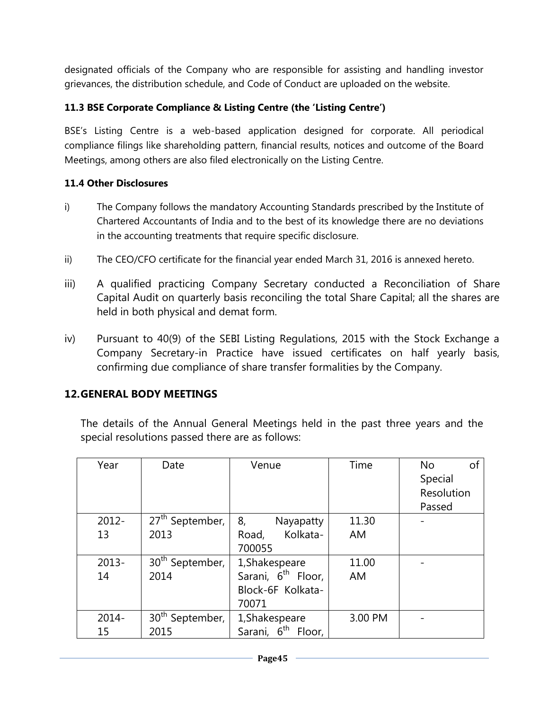designated officials of the Company who are responsible for assisting and handling investor grievances, the distribution schedule, and Code of Conduct are uploaded on the website.

### **11.3 BSE Corporate Compliance & Listing Centre (the 'Listing Centre')**

BSE's Listing Centre is a web-based application designed for corporate. All periodical compliance filings like shareholding pattern, financial results, notices and outcome of the Board Meetings, among others are also filed electronically on the Listing Centre.

### **11.4 Other Disclosures**

- i) The Company follows the mandatory Accounting Standards prescribed by the Institute of Chartered Accountants of India and to the best of its knowledge there are no deviations in the accounting treatments that require specific disclosure.
- ii) The CEO/CFO certificate for the financial year ended March 31, 2016 is annexed hereto.
- iii) A qualified practicing Company Secretary conducted a Reconciliation of Share Capital Audit on quarterly basis reconciling the total Share Capital; all the shares are held in both physical and demat form.
- iv) Pursuant to 40(9) of the SEBI Listing Regulations, 2015 with the Stock Exchange a Company Secretary-in Practice have issued certificates on half yearly basis, confirming due compliance of share transfer formalities by the Company.

### **12.GENERAL BODY MEETINGS**

The details of the Annual General Meetings held in the past three years and the special resolutions passed there are as follows:

| Year     | Date                        | Venue                          | Time    | of<br>No   |
|----------|-----------------------------|--------------------------------|---------|------------|
|          |                             |                                |         | Special    |
|          |                             |                                |         | Resolution |
|          |                             |                                |         | Passed     |
| 2012-    | 27 <sup>th</sup> September, | 8,<br>Nayapatty                | 11.30   |            |
| 13       | 2013                        | Kolkata-<br>Road,              | AM      |            |
|          |                             | 700055                         |         |            |
| $2013 -$ | 30 <sup>th</sup> September, | 1, Shakespeare                 | 11.00   |            |
| 14       | 2014                        | Sarani, 6 <sup>th</sup> Floor, | AM      |            |
|          |                             | Block-6F Kolkata-              |         |            |
|          |                             | 70071                          |         |            |
| $2014 -$ | $30th$ September,           | 1, Shakespeare                 | 3.00 PM |            |
| 15       | 2015                        | Sarani, 6 <sup>th</sup> Floor, |         |            |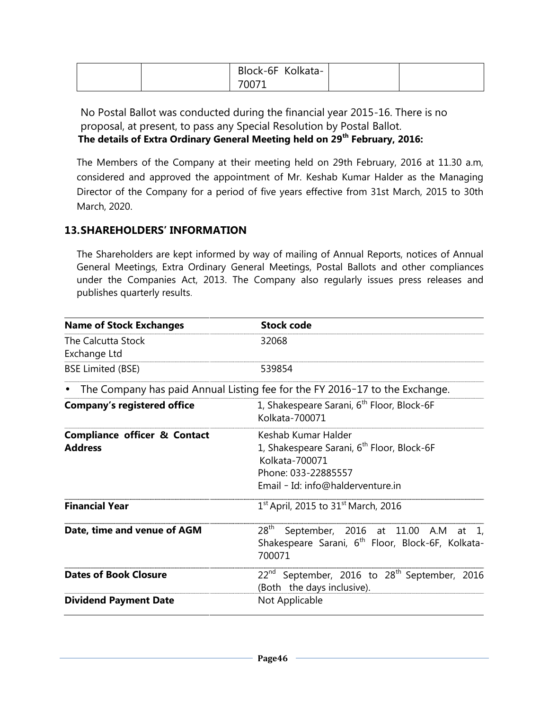|  | Block-6F Kolkata- |  |
|--|-------------------|--|
|  | 70071             |  |

No Postal Ballot was conducted during the financial year 2015-16. There is no proposal, at present, to pass any Special Resolution by Postal Ballot. **The details of Extra Ordinary General Meeting held on 29th February, 2016:**

The Members of the Company at their meeting held on 29th February, 2016 at 11.30 a.m, considered and approved the appointment of Mr. Keshab Kumar Halder as the Managing Director of the Company for a period of five years effective from 31st March, 2015 to 30th March, 2020.

### **13.SHAREHOLDERS' INFORMATION**

The Shareholders are kept informed by way of mailing of Annual Reports, notices of Annual General Meetings, Extra Ordinary General Meetings, Postal Ballots and other compliances under the Companies Act, 2013. The Company also regularly issues press releases and publishes quarterly results.

| <b>Name of Stock Exchanges</b>                            | <b>Stock code</b>                                                                                                                                           |
|-----------------------------------------------------------|-------------------------------------------------------------------------------------------------------------------------------------------------------------|
| The Calcutta Stock<br>Exchange Ltd                        | 32068                                                                                                                                                       |
| <b>BSE Limited (BSE)</b>                                  | 539854                                                                                                                                                      |
|                                                           | The Company has paid Annual Listing fee for the FY 2016-17 to the Exchange.                                                                                 |
| <b>Company's registered office</b>                        | 1, Shakespeare Sarani, 6 <sup>th</sup> Floor, Block-6F<br>Kolkata-700071                                                                                    |
| <b>Compliance officer &amp; Contact</b><br><b>Address</b> | Keshab Kumar Halder<br>1, Shakespeare Sarani, 6 <sup>th</sup> Floor, Block-6F<br>Kolkata-700071<br>Phone: 033-22885557<br>Email - Id: info@halderventure.in |
| <b>Financial Year</b>                                     | $1st$ April, 2015 to 31 <sup>st</sup> March, 2016                                                                                                           |
| Date, time and venue of AGM                               | 28 <sup>th</sup><br>September, 2016 at 11.00 A.M at 1,<br>Shakespeare Sarani, 6 <sup>th</sup> Floor, Block-6F, Kolkata-<br>700071                           |
| <b>Dates of Book Closure</b>                              | September, 2016 to 28 <sup>th</sup> September, 2016<br>22 <sup>nd</sup><br>(Both the days inclusive).                                                       |
| <b>Dividend Payment Date</b>                              | Not Applicable                                                                                                                                              |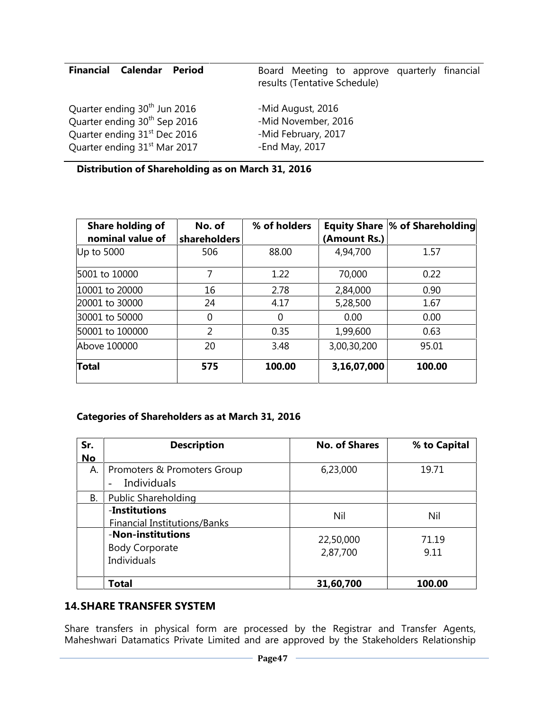| Financial Calendar Period |  |                              |  | Board Meeting to approve quarterly financial |  |
|---------------------------|--|------------------------------|--|----------------------------------------------|--|
|                           |  | results (Tentative Schedule) |  |                                              |  |

Quarter ending 30<sup>th</sup> Jun 2016 Quarter ending 30<sup>th</sup> Sep 2016 Quarter ending 31<sup>st</sup> Dec 2016 Quarter ending 31<sup>st</sup> Mar 2017

-Mid August, 2016 -Mid November, 2016 -Mid February, 2017 -End May, 2017

**Distribution of Shareholding as on March 31, 2016**

| Share holding of<br>nominal value of | No. of<br>shareholders | % of holders | (Amount Rs.) | Equity Share  % of Shareholding |
|--------------------------------------|------------------------|--------------|--------------|---------------------------------|
| $Up$ to 5000                         | 506                    | 88.00        | 4,94,700     | 1.57                            |
| 5001 to 10000                        | 7                      | 1.22         | 70,000       | 0.22                            |
| 10001 to 20000                       | 16                     | 2.78         | 2,84,000     | 0.90                            |
| 20001 to 30000                       | 24                     | 4.17         | 5,28,500     | 1.67                            |
| 30001 to 50000                       | 0                      | 0            | 0.00         | 0.00                            |
| 50001 to 100000                      | 2                      | 0.35         | 1,99,600     | 0.63                            |
| Above 100000                         | 20                     | 3.48         | 3,00,30,200  | 95.01                           |
| <b>Total</b>                         | 575                    | 100.00       | 3,16,07,000  | 100.00                          |

### **Categories of Shareholders as at March 31, 2016**

| Sr.       | <b>Description</b>                                               | <b>No. of Shares</b>  | % to Capital  |
|-----------|------------------------------------------------------------------|-----------------------|---------------|
| <b>No</b> |                                                                  |                       |               |
|           | A.   Promoters & Promoters Group<br>Individuals                  | 6,23,000              | 19.71         |
| В.        | Public Shareholding                                              |                       |               |
|           | -Institutions<br><b>Financial Institutions/Banks</b>             | Nil                   | Nil           |
|           | -Non-institutions<br><b>Body Corporate</b><br><b>Individuals</b> | 22,50,000<br>2,87,700 | 71.19<br>9.11 |
|           | <b>Total</b>                                                     | 31,60,700             | 100.00        |

### **14.SHARE TRANSFER SYSTEM**

Share transfers in physical form are processed by the Registrar and Transfer Agents, Maheshwari Datamatics Private Limited and are approved by the Stakeholders Relationship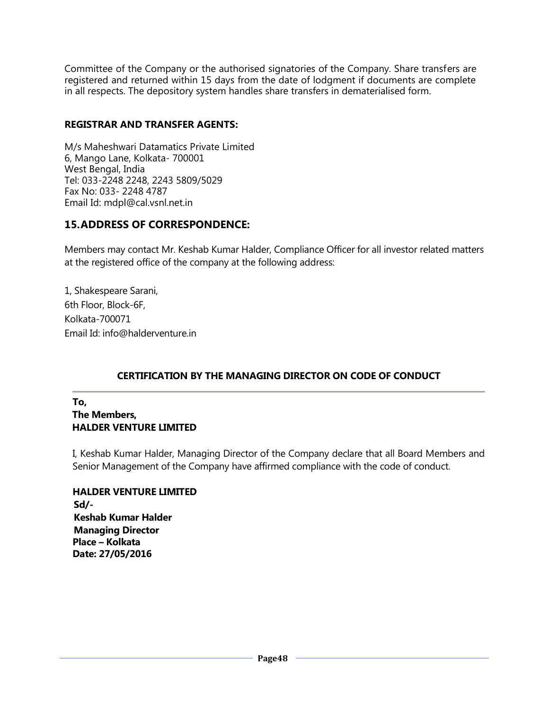Committee of the Company or the authorised signatories of the Company. Share transfers are registered and returned within 15 days from the date of lodgment if documents are complete in all respects. The depository system handles share transfers in dematerialised form.

### **REGISTRAR AND TRANSFER AGENTS:**

M/s Maheshwari Datamatics Private Limited 6, Mango Lane, Kolkata- 700001 West Bengal, India Tel: 033-2248 2248, 2243 5809/5029 Fax No: 033- 2248 4787 Email Id: mdpl@cal.vsnl.net.in

### **15.ADDRESS OF CORRESPONDENCE:**

Members may contact Mr. Keshab Kumar Halder, Compliance Officer for all investor related matters at the registered office of the company at the following address:

1, Shakespeare Sarani, 6th Floor, Block-6F, Kolkata-700071 Email Id: info@halderventure.in

### **CERTIFICATION BY THE MANAGING DIRECTOR ON CODE OF CONDUCT**

**To, The Members, HALDER VENTURE LIMITED**

I, Keshab Kumar Halder, Managing Director of the Company declare that all Board Members and Senior Management of the Company have affirmed compliance with the code of conduct.

**HALDER VENTURE LIMITED Sd/- Keshab Kumar Halder Managing Director Place – Kolkata Date: 27/05/2016**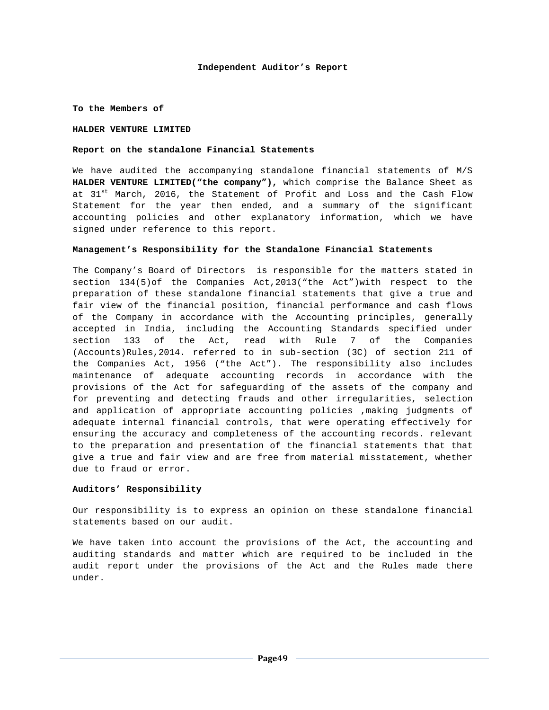#### **To the Members of**

#### **HALDER VENTURE LIMITED**

#### **Report on the standalone Financial Statements**

We have audited the accompanying standalone financial statements of M/S **HALDER VENTURE LIMITED("the company"),** which comprise the Balance Sheet as at 31<sup>st</sup> March, 2016, the Statement of Profit and Loss and the Cash Flow Statement for the year then ended, and a summary of the significant accounting policies and other explanatory information, which we have signed under reference to this report.

#### **Management's Responsibility for the Standalone Financial Statements**

The Company's Board of Directors is responsible for the matters stated in section 134(5)of the Companies Act,2013("the Act")with respect to the preparation of these standalone financial statements that give a true and fair view of the financial position, financial performance and cash flows of the Company in accordance with the Accounting principles, generally accepted in India, including the Accounting Standards specified under section 133 of the Act, read with Rule 7 of the Companies (Accounts)Rules,2014. referred to in sub-section (3C) of section 211 of the Companies Act, 1956 ("the Act"). The responsibility also includes maintenance of adequate accounting records in accordance with the provisions of the Act for safeguarding of the assets of the company and for preventing and detecting frauds and other irregularities, selection and application of appropriate accounting policies ,making judgments of adequate internal financial controls, that were operating effectively for ensuring the accuracy and completeness of the accounting records. relevant to the preparation and presentation of the financial statements that that give a true and fair view and are free from material misstatement, whether due to fraud or error.

#### **Auditors' Responsibility**

Our responsibility is to express an opinion on these standalone financial statements based on our audit.

We have taken into account the provisions of the Act, the accounting and auditing standards and matter which are required to be included in the audit report under the provisions of the Act and the Rules made there under.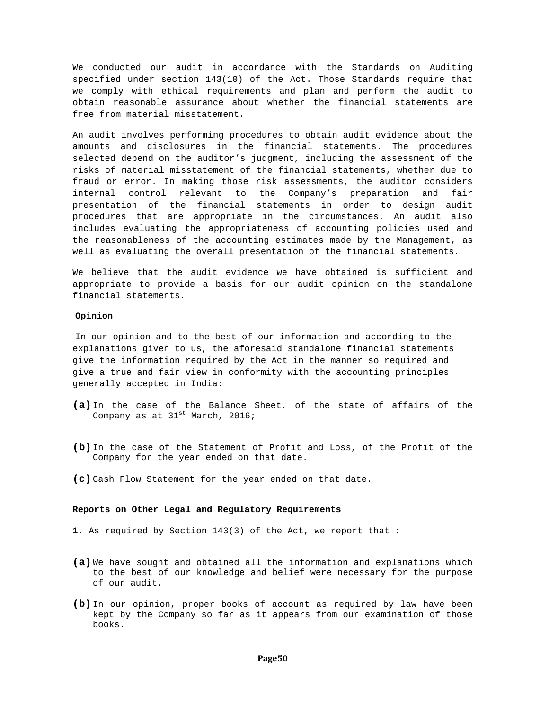We conducted our audit in accordance with the Standards on Auditing specified under section 143(10) of the Act. Those Standards require that we comply with ethical requirements and plan and perform the audit to obtain reasonable assurance about whether the financial statements are free from material misstatement.

An audit involves performing procedures to obtain audit evidence about the amounts and disclosures in the financial statements. The procedures selected depend on the auditor's judgment, including the assessment of the risks of material misstatement of the financial statements, whether due to fraud or error. In making those risk assessments, the auditor considers internal control relevant to the Company's preparation and fair presentation of the financial statements in order to design audit procedures that are appropriate in the circumstances. An audit also includes evaluating the appropriateness of accounting policies used and the reasonableness of the accounting estimates made by the Management, as well as evaluating the overall presentation of the financial statements.

We believe that the audit evidence we have obtained is sufficient and appropriate to provide a basis for our audit opinion on the standalone financial statements.

#### **Opinion**

In our opinion and to the best of our information and according to the explanations given to us, the aforesaid standalone financial statements give the information required by the Act in the manner so required and give a true and fair view in conformity with the accounting principles generally accepted in India:

- **(a)** In the case of the Balance Sheet, of the state of affairs of the Company as at  $31^{st}$  March, 2016;
- **(b)** In the case of the Statement of Profit and Loss, of the Profit of the Company for the year ended on that date.
- **(c)** Cash Flow Statement for the year ended on that date.

#### **Reports on Other Legal and Regulatory Requirements**

- **1.** As required by Section 143(3) of the Act, we report that :
- **(a)** We have sought and obtained all the information and explanations which to the best of our knowledge and belief were necessary for the purpose of our audit.
- **(b)** In our opinion, proper books of account as required by law have been kept by the Company so far as it appears from our examination of those books.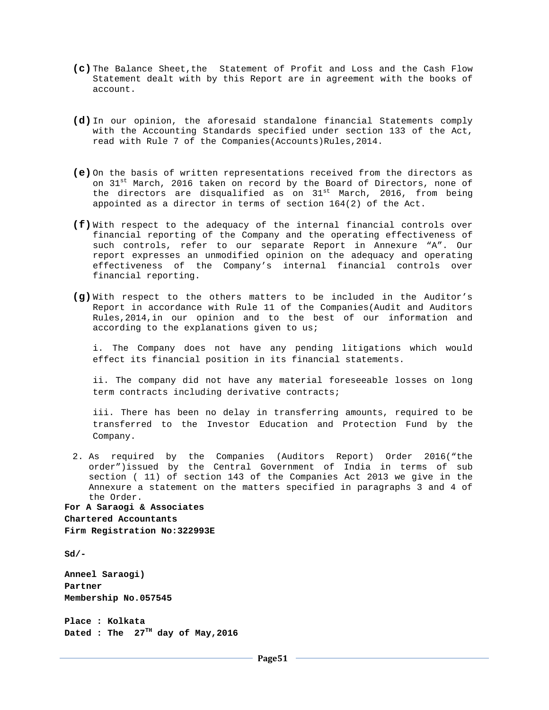- **(c)** The Balance Sheet,the Statement of Profit and Loss and the Cash Flow Statement dealt with by this Report are in agreement with the books of account.
- **(d)** In our opinion, the aforesaid standalone financial Statements comply with the Accounting Standards specified under section 133 of the Act, read with Rule 7 of the Companies(Accounts)Rules,2014.
- **(e)** On the basis of written representations received from the directors as on 31<sup>st</sup> March, 2016 taken on record by the Board of Directors, none of the directors are disqualified as on  $31^{st}$  March, 2016, from being appointed as a director in terms of section 164(2) of the Act.
- **(f)** With respect to the adequacy of the internal financial controls over financial reporting of the Company and the operating effectiveness of such controls, refer to our separate Report in Annexure "A". Our report expresses an unmodified opinion on the adequacy and operating effectiveness of the Company's internal financial controls over financial reporting.
- **(g)** With respect to the others matters to be included in the Auditor's Report in accordance with Rule 11 of the Companies(Audit and Auditors Rules,2014,in our opinion and to the best of our information and according to the explanations given to us;

i. The Company does not have any pending litigations which would effect its financial position in its financial statements.

ii. The company did not have any material foreseeable losses on long term contracts including derivative contracts;

iii. There has been no delay in transferring amounts, required to be transferred to the Investor Education and Protection Fund by the Company.

2. As required by the Companies (Auditors Report) Order 2016("the order")issued by the Central Government of India in terms of sub section ( 11) of section 143 of the Companies Act 2013 we give in the Annexure a statement on the matters specified in paragraphs 3 and 4 of the Order.

```
For A Saraogi & Associates
Chartered Accountants
Firm Registration No:322993E
```
**Sd/-**

```
Anneel Saraogi)
Partner
Membership No.057545
```
**Place : Kolkata Dated : The 27TH day of May,2016**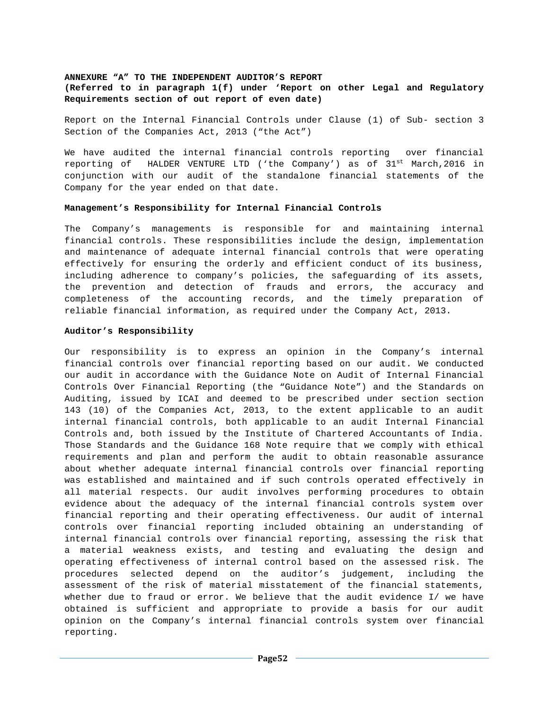#### **ANNEXURE "A" TO THE INDEPENDENT AUDITOR'S REPORT (Referred to in paragraph 1(f) under 'Report on other Legal and Regulatory Requirements section of out report of even date)**

Report on the Internal Financial Controls under Clause (1) of Sub- section 3 Section of the Companies Act, 2013 ("the Act")

We have audited the internal financial controls reporting over financial reporting of HALDER VENTURE LTD ('the Company') as of  $31^{st}$  March, 2016 in conjunction with our audit of the standalone financial statements of the Company for the year ended on that date.

#### **Management's Responsibility for Internal Financial Controls**

The Company's managements is responsible for and maintaining internal financial controls. These responsibilities include the design, implementation and maintenance of adequate internal financial controls that were operating effectively for ensuring the orderly and efficient conduct of its business, including adherence to company's policies, the safeguarding of its assets, the prevention and detection of frauds and errors, the accuracy and completeness of the accounting records, and the timely preparation of reliable financial information, as required under the Company Act, 2013.

#### **Auditor's Responsibility**

Our responsibility is to express an opinion in the Company's internal financial controls over financial reporting based on our audit. We conducted our audit in accordance with the Guidance Note on Audit of Internal Financial Controls Over Financial Reporting (the "Guidance Note") and the Standards on Auditing, issued by ICAI and deemed to be prescribed under section section 143 (10) of the Companies Act, 2013, to the extent applicable to an audit internal financial controls, both applicable to an audit Internal Financial Controls and, both issued by the Institute of Chartered Accountants of India. Those Standards and the Guidance 168 Note require that we comply with ethical requirements and plan and perform the audit to obtain reasonable assurance about whether adequate internal financial controls over financial reporting was established and maintained and if such controls operated effectively in all material respects. Our audit involves performing procedures to obtain evidence about the adequacy of the internal financial controls system over financial reporting and their operating effectiveness. Our audit of internal controls over financial reporting included obtaining an understanding of internal financial controls over financial reporting, assessing the risk that a material weakness exists, and testing and evaluating the design and operating effectiveness of internal control based on the assessed risk. The procedures selected depend on the auditor's judgement, including the assessment of the risk of material misstatement of the financial statements, whether due to fraud or error. We believe that the audit evidence I/ we have obtained is sufficient and appropriate to provide a basis for our audit opinion on the Company's internal financial controls system over financial reporting.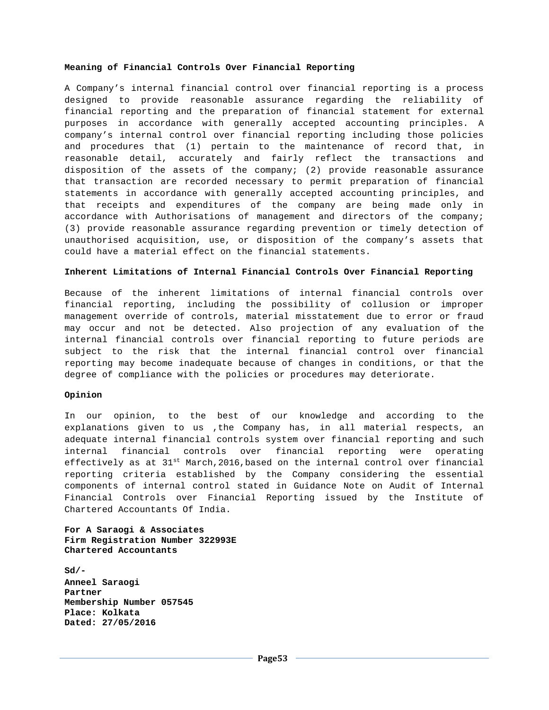#### **Meaning of Financial Controls Over Financial Reporting**

A Company's internal financial control over financial reporting is a process designed to provide reasonable assurance regarding the reliability of financial reporting and the preparation of financial statement for external purposes in accordance with generally accepted accounting principles. A company's internal control over financial reporting including those policies and procedures that (1) pertain to the maintenance of record that, in reasonable detail, accurately and fairly reflect the transactions and disposition of the assets of the company; (2) provide reasonable assurance that transaction are recorded necessary to permit preparation of financial statements in accordance with generally accepted accounting principles, and that receipts and expenditures of the company are being made only in accordance with Authorisations of management and directors of the company; (3) provide reasonable assurance regarding prevention or timely detection of unauthorised acquisition, use, or disposition of the company's assets that could have a material effect on the financial statements.

#### **Inherent Limitations of Internal Financial Controls Over Financial Reporting**

Because of the inherent limitations of internal financial controls over financial reporting, including the possibility of collusion or improper management override of controls, material misstatement due to error or fraud may occur and not be detected. Also projection of any evaluation of the internal financial controls over financial reporting to future periods are subject to the risk that the internal financial control over financial reporting may become inadequate because of changes in conditions, or that the degree of compliance with the policies or procedures may deteriorate.

#### **Opinion**

In our opinion, to the best of our knowledge and according to the explanations given to us ,the Company has, in all material respects, an adequate internal financial controls system over financial reporting and such internal financial controls over financial reporting were operating effectively as at  $31^{st}$  March, 2016, based on the internal control over financial reporting criteria established by the Company considering the essential components of internal control stated in Guidance Note on Audit of Internal Financial Controls over Financial Reporting issued by the Institute of Chartered Accountants Of India.

**For A Saraogi & Associates Firm Registration Number 322993E Chartered Accountants**

**Sd/- Anneel Saraogi Partner Membership Number 057545 Place: Kolkata Dated: 27/05/2016**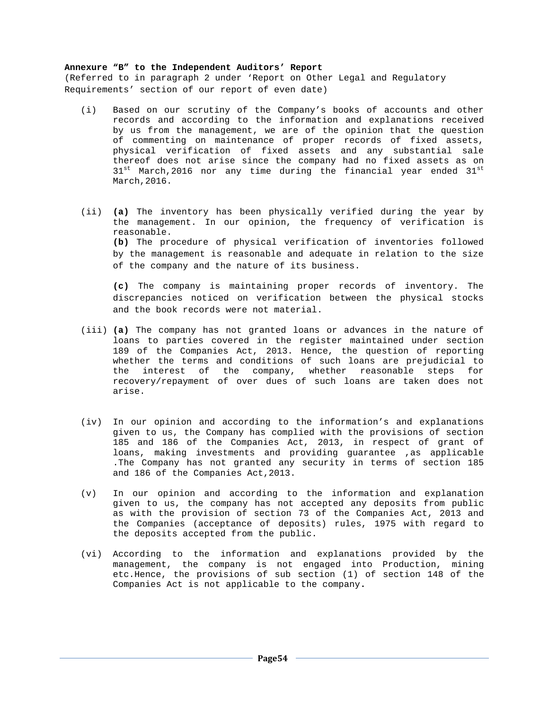#### **Annexure "B" to the Independent Auditors' Report**

(Referred to in paragraph 2 under 'Report on Other Legal and Regulatory Requirements' section of our report of even date)

- (i) Based on our scrutiny of the Company's books of accounts and other records and according to the information and explanations received by us from the management, we are of the opinion that the question of commenting on maintenance of proper records of fixed assets, physical verification of fixed assets and any substantial sale thereof does not arise since the company had no fixed assets as on  $31<sup>st</sup>$  March, 2016 nor any time during the financial year ended  $31<sup>st</sup>$ March,2016.
- (ii) **(a)** The inventory has been physically verified during the year by the management. In our opinion, the frequency of verification is reasonable. **(b)** The procedure of physical verification of inventories followed by the management is reasonable and adequate in relation to the size of the company and the nature of its business.

**(c)** The company is maintaining proper records of inventory. The discrepancies noticed on verification between the physical stocks and the book records were not material.

- (iii) **(a)** The company has not granted loans or advances in the nature of loans to parties covered in the register maintained under section 189 of the Companies Act, 2013. Hence, the question of reporting whether the terms and conditions of such loans are prejudicial to the interest of the company, whether reasonable steps for recovery/repayment of over dues of such loans are taken does not arise.
- (iv) In our opinion and according to the information's and explanations given to us, the Company has complied with the provisions of section 185 and 186 of the Companies Act, 2013, in respect of grant of loans, making investments and providing guarantee ,as applicable .The Company has not granted any security in terms of section 185 and 186 of the Companies Act,2013.
- (v) In our opinion and according to the information and explanation given to us, the company has not accepted any deposits from public as with the provision of section 73 of the Companies Act, 2013 and the Companies (acceptance of deposits) rules, 1975 with regard to the deposits accepted from the public.
- (vi) According to the information and explanations provided by the management, the company is not engaged into Production, mining etc.Hence, the provisions of sub section (1) of section 148 of the Companies Act is not applicable to the company**.**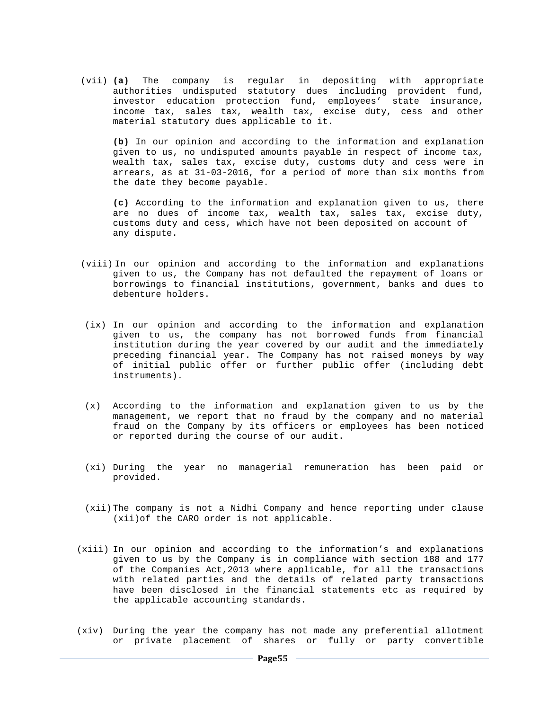(vii) **(a)** The company is regular in depositing with appropriate authorities undisputed statutory dues including provident fund, investor education protection fund, employees' state insurance, income tax, sales tax, wealth tax, excise duty, cess and other material statutory dues applicable to it.

**(b)** In our opinion and according to the information and explanation given to us, no undisputed amounts payable in respect of income tax, wealth tax, sales tax, excise duty, customs duty and cess were in arrears, as at 31-03-2016, for a period of more than six months from the date they become payable.

**(c)** According to the information and explanation given to us, there are no dues of income tax, wealth tax, sales tax, excise duty, customs duty and cess, which have not been deposited on account of any dispute.

- (viii) In our opinion and according to the information and explanations given to us, the Company has not defaulted the repayment of loans or borrowings to financial institutions, government, banks and dues to debenture holders.
- (ix) In our opinion and according to the information and explanation given to us, the company has not borrowed funds from financial institution during the year covered by our audit and the immediately preceding financial year. The Company has not raised moneys by way of initial public offer or further public offer (including debt instruments).
- (x) According to the information and explanation given to us by the management, we report that no fraud by the company and no material fraud on the Company by its officers or employees has been noticed or reported during the course of our audit.
- (xi) During the year no managerial remuneration has been paid or provided.
- (xii) The company is not a Nidhi Company and hence reporting under clause (xii)of the CARO order is not applicable.
- (xiii) In our opinion and according to the information's and explanations given to us by the Company is in compliance with section 188 and 177 of the Companies Act,2013 where applicable, for all the transactions with related parties and the details of related party transactions have been disclosed in the financial statements etc as required by the applicable accounting standards.
- (xiv) During the year the company has not made any preferential allotment or private placement of shares or fully or party convertible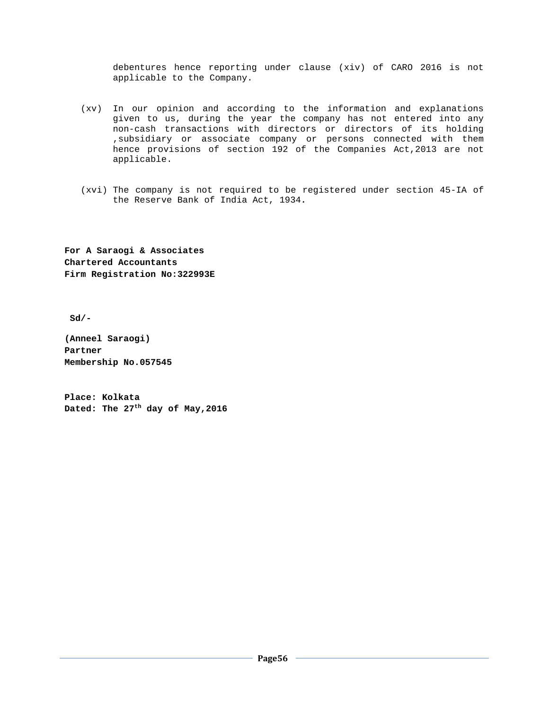debentures hence reporting under clause (xiv) of CARO 2016 is not applicable to the Company.

- (xv) In our opinion and according to the information and explanations given to us, during the year the company has not entered into any non-cash transactions with directors or directors of its holding ,subsidiary or associate company or persons connected with them hence provisions of section 192 of the Companies Act,2013 are not applicable.
- (xvi) The company is not required to be registered under section 45-IA of the Reserve Bank of India Act, 1934**.**

**For A Saraogi & Associates Chartered Accountants Firm Registration No:322993E**

**Sd/-**

**(Anneel Saraogi) Partner Membership No.057545**

**Place: Kolkata Dated: The 27th day of May,2016**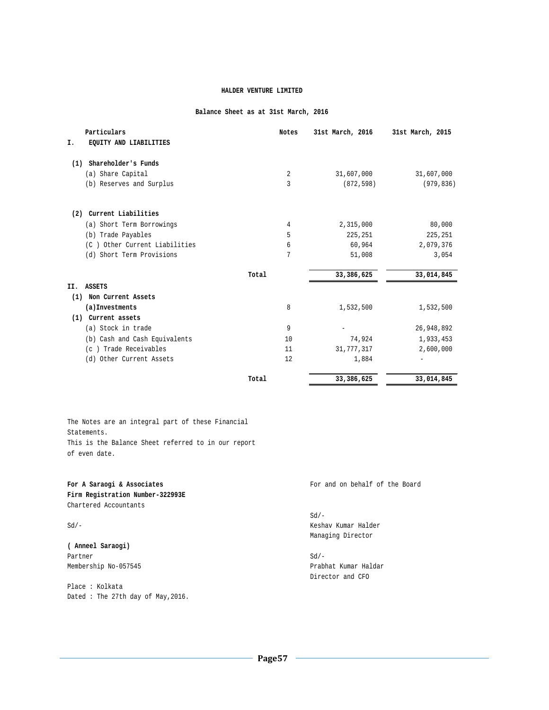#### **HALDER VENTURE LIMITED**

#### **Balance Sheet as at 31st March, 2016**

| Ι.  | Particulars<br>EQUITY AND LIABILITIES    | Notes          | 31st March, 2016 | 31st March, 2015 |
|-----|------------------------------------------|----------------|------------------|------------------|
| (1) | Shareholder's Funds                      |                |                  |                  |
|     | (a) Share Capital                        | $\overline{2}$ | 31,607,000       | 31,607,000       |
|     | (b) Reserves and Surplus                 | 3              | (872, 598)       | (979, 836)       |
| (2) | Current Liabilities                      |                |                  |                  |
|     | (a) Short Term Borrowings                | 4              | 2,315,000        | 80,000           |
|     | (b) Trade Payables                       | 5              | 225,251          | 225,251          |
|     | ) Other Current Liabilities<br>$\subset$ | 6              | 60,964           | 2,079,376        |
|     | (d) Short Term Provisions                | 7              | 51,008           | 3,054            |
|     |                                          | Total          | 33,386,625       | 33,014,845       |
| II. | <b>ASSETS</b>                            |                |                  |                  |
| (1) | Non Current Assets                       |                |                  |                  |
|     | (a) Investments                          | 8              | 1,532,500        | 1,532,500        |
|     | (1) Current assets                       |                |                  |                  |
|     | (a) Stock in trade                       | 9              |                  | 26,948,892       |
|     | (b) Cash and Cash Equivalents            | 10             | 74,924           | 1,933,453        |
|     | ) Trade Receivables<br>( c               | 11             | 31,777,317       | 2,600,000        |
|     | (d) Other Current Assets                 | 12             | 1,884            |                  |
|     |                                          | Total          | 33,386,625       | 33,014,845       |

The Notes are an integral part of these Financial Statements. This is the Balance Sheet referred to in our report of even date.

### **Firm Registration Number-322993E** Chartered Accountants

**( Anneel Saraogi)**

Partner Sd/-Membership No-057545 Prabhat Kumar Haldar

Place : Kolkata Dated : The 27th day of May,2016.

**For A Saraogi & Associates** For and on behalf of the Board

 $Sd/-$ Sd/- Keshav Kumar Halder Managing Director

Director and CFO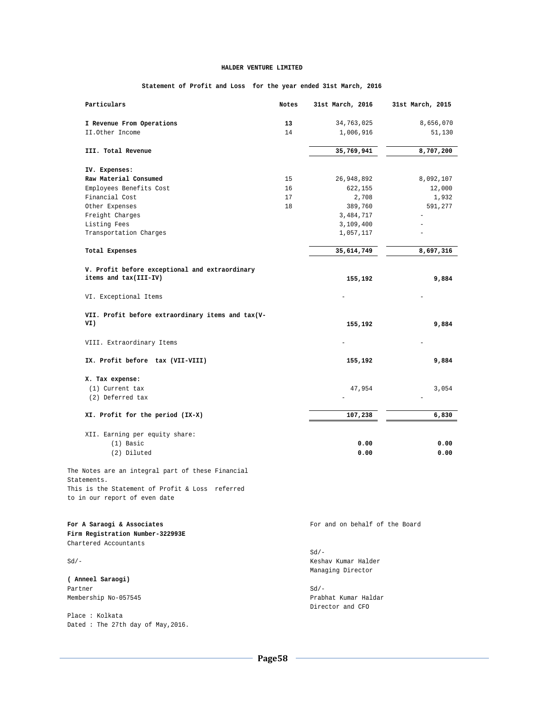#### **HALDER VENTURE LIMITED**

#### **Statement of Profit and Loss for the year ended 31st March, 2016**

| Particulars                                                                      | Notes | 31st March, 2016                         | 31st March, 2015 |
|----------------------------------------------------------------------------------|-------|------------------------------------------|------------------|
| I Revenue From Operations                                                        | 13    | 34,763,025                               | 8,656,070        |
| II.Other Income                                                                  | 14    | 1,006,916                                | 51,130           |
| III. Total Revenue                                                               |       | 35,769,941                               | 8,707,200        |
| IV. Expenses:                                                                    |       |                                          |                  |
| Raw Material Consumed                                                            | 15    | 26,948,892                               | 8,092,107        |
| Employees Benefits Cost                                                          | 16    | 622,155                                  | 12,000           |
| Financial Cost                                                                   | 17    | 2,708                                    | 1,932            |
| Other Expenses                                                                   | 18    | 389,760                                  | 591,277          |
| Freight Charges                                                                  |       | 3,484,717                                |                  |
| Listing Fees                                                                     |       | 3,109,400                                |                  |
| Transportation Charges                                                           |       | 1,057,117                                |                  |
| Total Expenses                                                                   |       | 35,614,749                               | 8,697,316        |
| V. Profit before exceptional and extraordinary                                   |       |                                          |                  |
| items and tax(III-IV)                                                            |       | 155,192                                  | 9,884            |
| VI. Exceptional Items                                                            |       |                                          |                  |
| VII. Profit before extraordinary items and tax(V-<br>VI)                         |       | 155,192                                  | 9,884            |
| VIII. Extraordinary Items                                                        |       |                                          |                  |
| IX. Profit before tax (VII-VIII)                                                 |       | 155,192                                  | 9,884            |
| X. Tax expense:                                                                  |       |                                          |                  |
| (1) Current tax                                                                  |       | 47,954                                   | 3,054            |
| (2) Deferred tax                                                                 |       |                                          |                  |
| XI. Profit for the period (IX-X)                                                 |       | 107,238                                  | 6,830            |
| XII. Earning per equity share:                                                   |       |                                          |                  |
| $(1)$ Basic                                                                      |       | 0.00                                     | 0.00             |
| (2) Diluted                                                                      |       | 0.00                                     | 0.00             |
| The Notes are an integral part of these Financial                                |       |                                          |                  |
| Statements.                                                                      |       |                                          |                  |
| This is the Statement of Profit & Loss referred<br>to in our report of even date |       |                                          |                  |
| For A Saraogi & Associates                                                       |       | For and on behalf of the Board           |                  |
| Firm Registration Number-322993E                                                 |       |                                          |                  |
| Chartered Accountants                                                            |       |                                          |                  |
|                                                                                  |       | $Sd/-$                                   |                  |
| $Sd/-$                                                                           |       | Keshav Kumar Halder                      |                  |
|                                                                                  |       | Managing Director                        |                  |
| ( Anneel Saraogi)                                                                |       |                                          |                  |
| Partner                                                                          |       | $Sd/-$                                   |                  |
| Membership No-057545                                                             |       | Prabhat Kumar Haldar<br>Director and CFO |                  |
| Place : Kolkata<br>Dated: The 27th day of May, 2016.                             |       |                                          |                  |
|                                                                                  |       |                                          |                  |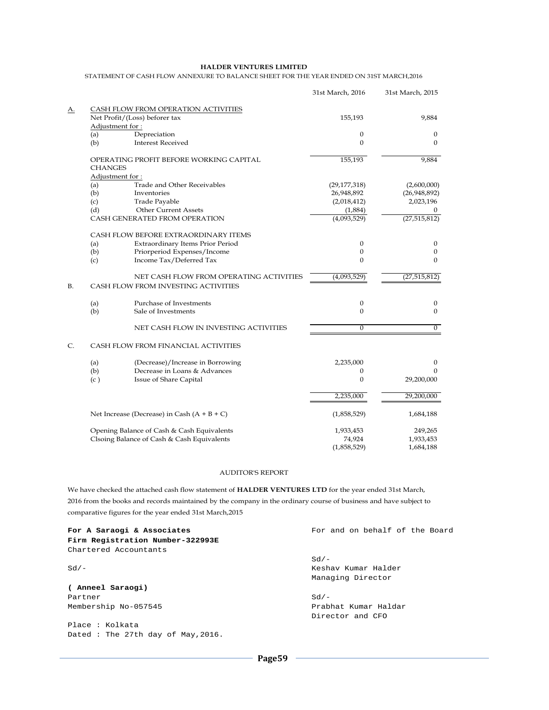#### **HALDER VENTURES LIMITED**

#### STATEMENT OF CASH FLOW ANNEXURE TO BALANCE SHEET FOR THE YEAR ENDED ON 31ST MARCH,2016

|           |                |                                               | 31st March, 2016    | 31st March, 2015 |
|-----------|----------------|-----------------------------------------------|---------------------|------------------|
| <u>A.</u> |                | CASH FLOW FROM OPERATION ACTIVITIES           |                     |                  |
|           |                | Net Profit/(Loss) beforer tax                 | 155,193             | 9,884            |
|           |                | Adjustment for:                               |                     |                  |
|           | (a)            | Depreciation                                  | $\sigma$            | $\mathbf{0}$     |
|           | (b)            | <b>Interest Received</b>                      | $\mathbf{0}$        | $\mathbf{0}$     |
|           |                | OPERATING PROFIT BEFORE WORKING CAPITAL       | 155,193             | 9,884            |
|           | <b>CHANGES</b> |                                               |                     |                  |
|           |                | Adjustment for:                               |                     |                  |
|           | (a)            | Trade and Other Receivables                   | (29, 177, 318)      | (2,600,000)      |
|           | (b)            | Inventories                                   | 26,948,892          | (26,948,892)     |
|           | (c)            | <b>Trade Payable</b>                          | (2,018,412)         | 2,023,196        |
|           | (d)            | Other Current Assets                          | (1,884)             | $\Omega$         |
|           |                | CASH GENERATED FROM OPERATION                 | (4,093,529)         | (27, 515, 812)   |
|           |                | CASH FLOW BEFORE EXTRAORDINARY ITEMS          |                     |                  |
|           | (a)            | Extraordinary Items Prior Period              | $\mathbf{0}$        | $\mathbf{0}$     |
|           | (b)            | Priorperiod Expenses/Income                   | $\boldsymbol{0}$    | $\mathbf{0}$     |
|           | (c)            | Income Tax/Deferred Tax                       | $\Omega$            | $\Omega$         |
|           |                | NET CASH FLOW FROM OPERATING ACTIVITIES       | (4,093,529)         | (27, 515, 812)   |
| <b>B.</b> |                | CASH FLOW FROM INVESTING ACTIVITIES           |                     |                  |
|           | (a)            | Purchase of Investments                       | $\boldsymbol{0}$    | 0                |
|           | (b)            | Sale of Investments                           | $\Omega$            | $\mathbf{0}$     |
|           |                | NET CASH FLOW IN INVESTING ACTIVITIES         | $\Omega$            | $\overline{0}$   |
| C.        |                | CASH FLOW FROM FINANCIAL ACTIVITIES           |                     |                  |
|           | (a)            | (Decrease)/Increase in Borrowing              | 2,235,000           | 0                |
|           | (b)            | Decrease in Loans & Advances                  | 0                   | $\Omega$         |
|           | (c)            | Issue of Share Capital                        | $\boldsymbol{0}$    | 29,200,000       |
|           |                |                                               | 2,235,000           | 29,200,000       |
|           |                | Net Increase (Decrease) in Cash $(A + B + C)$ | (1,858,529)         | 1,684,188        |
|           |                |                                               |                     |                  |
|           |                | Opening Balance of Cash & Cash Equivalents    | 1,933,453<br>74,924 | 249,265          |
|           |                | Clsoing Balance of Cash & Cash Equivalents    |                     | 1,933,453        |
|           |                |                                               | (1,858,529)         | 1,684,188        |

#### AUDITOR'S REPORT

We have checked the attached cash flow statement of **HALDER VENTURES LTD** for the year ended 31st March, 2016 from the books and records maintained by the company in the ordinary course of business and have subject to comparative figures for the year ended 31st March,2015

| For A Saraogi & Associates        | For and on behalf of the Board |  |  |
|-----------------------------------|--------------------------------|--|--|
| Firm Registration Number-322993E  |                                |  |  |
| Chartered Accountants             |                                |  |  |
|                                   | $Sd/-$                         |  |  |
| $Sd/-$                            | Keshav Kumar Halder            |  |  |
|                                   | Managing Director              |  |  |
| ( Anneel Saraogi)                 |                                |  |  |
| Partner                           | $Sd/-$                         |  |  |
| Membership No-057545              | Prabhat Kumar Haldar           |  |  |
|                                   | Director and CFO               |  |  |
| Place : Kolkata                   |                                |  |  |
| Dated: The 27th day of May, 2016. |                                |  |  |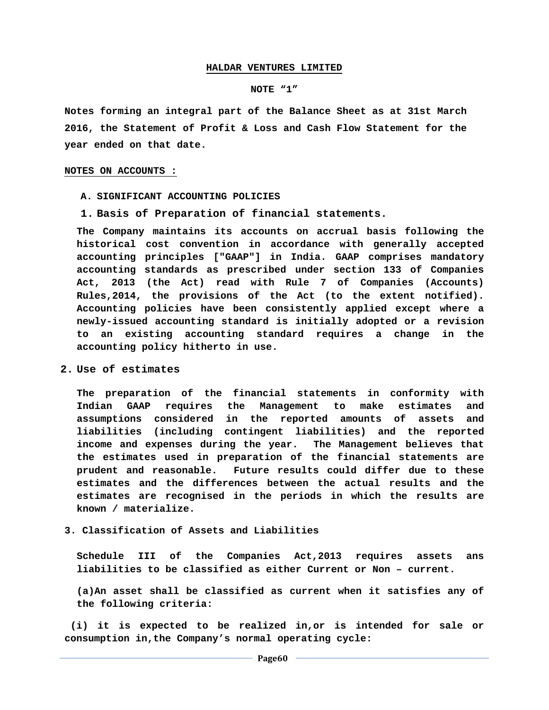#### **NOTE "1"**

**Notes forming an integral part of the Balance Sheet as at 31st March 2016, the Statement of Profit & Loss and Cash Flow Statement for the year ended on that date.**

#### **NOTES ON ACCOUNTS :**

#### **A. SIGNIFICANT ACCOUNTING POLICIES**

**1. Basis of Preparation of financial statements.**

**The Company maintains its accounts on accrual basis following the historical cost convention in accordance with generally accepted accounting principles ["GAAP"] in India. GAAP comprises mandatory accounting standards as prescribed under section 133 of Companies Act, 2013 (the Act) read with Rule 7 of Companies (Accounts) Rules,2014, the provisions of the Act (to the extent notified). Accounting policies have been consistently applied except where a newly-issued accounting standard is initially adopted or a revision to an existing accounting standard requires a change in the accounting policy hitherto in use.**

#### **2. Use of estimates**

**The preparation of the financial statements in conformity with Indian GAAP requires the Management to make estimates and assumptions considered in the reported amounts of assets and liabilities (including contingent liabilities) and the reported income and expenses during the year. The Management believes that the estimates used in preparation of the financial statements are prudent and reasonable. Future results could differ due to these estimates and the differences between the actual results and the estimates are recognised in the periods in which the results are known / materialize.**

#### **3. Classification of Assets and Liabilities**

**Schedule III of the Companies Act,2013 requires assets ans liabilities to be classified as either Current or Non – current.**

**(a)An asset shall be classified as current when it satisfies any of the following criteria:**

**(i) it is expected to be realized in,or is intended for sale or consumption in,the Company's normal operating cycle:**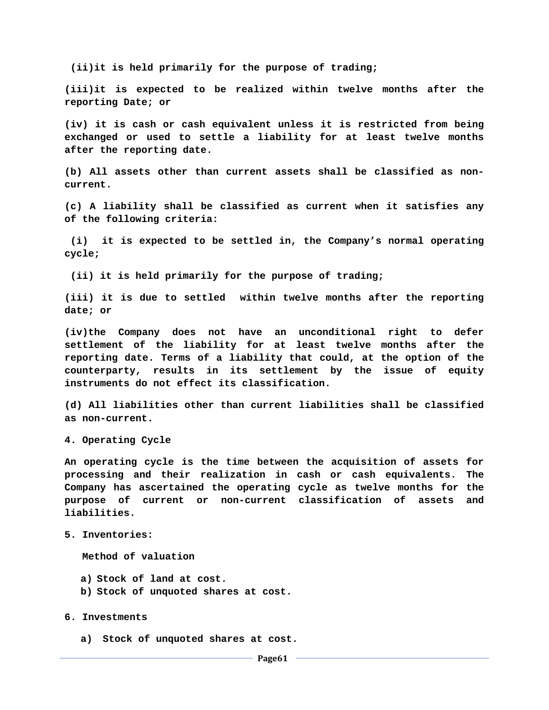**(ii)it is held primarily for the purpose of trading;**

**(iii)it is expected to be realized within twelve months after the reporting Date; or**

**(iv) it is cash or cash equivalent unless it is restricted from being exchanged or used to settle a liability for at least twelve months after the reporting date.**

**(b) All assets other than current assets shall be classified as noncurrent.**

**(c) A liability shall be classified as current when it satisfies any of the following criteria:**

**(i) it is expected to be settled in, the Company's normal operating cycle;**

**(ii) it is held primarily for the purpose of trading;**

**(iii) it is due to settled within twelve months after the reporting date; or**

**(iv)the Company does not have an unconditional right to defer settlement of the liability for at least twelve months after the reporting date. Terms of a liability that could, at the option of the counterparty, results in its settlement by the issue of equity instruments do not effect its classification.**

**(d) All liabilities other than current liabilities shall be classified as non-current.**

**4. Operating Cycle**

**An operating cycle is the time between the acquisition of assets for processing and their realization in cash or cash equivalents. The Company has ascertained the operating cycle as twelve months for the purpose of current or non-current classification of assets and liabilities.**

**5. Inventories:**

**Method of valuation**

- **a) Stock of land at cost.**
- **b) Stock of unquoted shares at cost.**

#### **6. Investments**

**a) Stock of unquoted shares at cost.**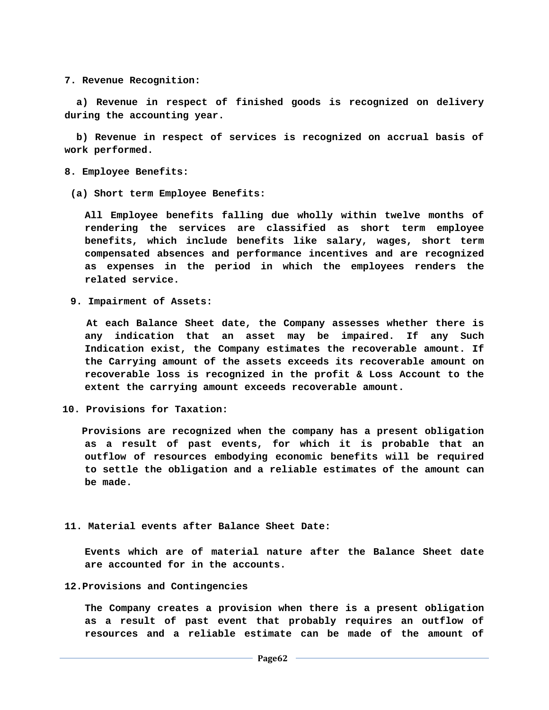**7. Revenue Recognition:**

**a) Revenue in respect of finished goods is recognized on delivery during the accounting year.**

**b) Revenue in respect of services is recognized on accrual basis of work performed.**

**8. Employee Benefits:**

**(a) Short term Employee Benefits:**

**All Employee benefits falling due wholly within twelve months of rendering the services are classified as short term employee benefits, which include benefits like salary, wages, short term compensated absences and performance incentives and are recognized as expenses in the period in which the employees renders the related service.**

**9. Impairment of Assets:**

**At each Balance Sheet date, the Company assesses whether there is any indication that an asset may be impaired. If any Such Indication exist, the Company estimates the recoverable amount. If the Carrying amount of the assets exceeds its recoverable amount on recoverable loss is recognized in the profit & Loss Account to the extent the carrying amount exceeds recoverable amount.**

**10. Provisions for Taxation:**

**Provisions are recognized when the company has a present obligation as a result of past events, for which it is probable that an outflow of resources embodying economic benefits will be required to settle the obligation and a reliable estimates of the amount can be made.**

#### **11. Material events after Balance Sheet Date:**

**Events which are of material nature after the Balance Sheet date are accounted for in the accounts.**

#### **12.Provisions and Contingencies**

**The Company creates a provision when there is a present obligation as a result of past event that probably requires an outflow of resources and a reliable estimate can be made of the amount of**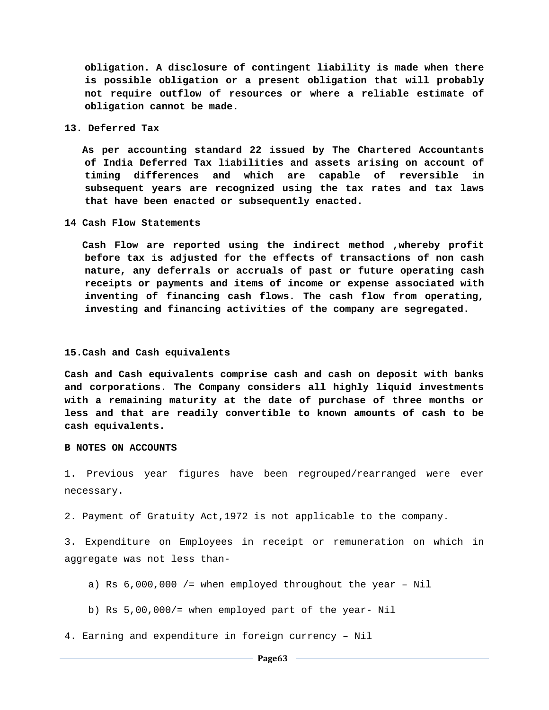**obligation. A disclosure of contingent liability is made when there is possible obligation or a present obligation that will probably not require outflow of resources or where a reliable estimate of obligation cannot be made.**

### **13. Deferred Tax**

**As per accounting standard 22 issued by The Chartered Accountants of India Deferred Tax liabilities and assets arising on account of timing differences and which are capable of reversible in subsequent years are recognized using the tax rates and tax laws that have been enacted or subsequently enacted.**

**14 Cash Flow Statements**

**Cash Flow are reported using the indirect method ,whereby profit before tax is adjusted for the effects of transactions of non cash nature, any deferrals or accruals of past or future operating cash receipts or payments and items of income or expense associated with inventing of financing cash flows. The cash flow from operating, investing and financing activities of the company are segregated.**

#### **15.Cash and Cash equivalents**

**Cash and Cash equivalents comprise cash and cash on deposit with banks and corporations. The Company considers all highly liquid investments with a remaining maturity at the date of purchase of three months or less and that are readily convertible to known amounts of cash to be cash equivalents.**

**B NOTES ON ACCOUNTS**

1. Previous year figures have been regrouped/rearranged were ever necessary.

2. Payment of Gratuity Act,1972 is not applicable to the company.

3. Expenditure on Employees in receipt or remuneration on which in aggregate was not less than-

- a) Rs  $6,000,000$  /= when employed throughout the year Nil
- b) Rs 5,00,000/= when employed part of the year- Nil
- 4. Earning and expenditure in foreign currency Nil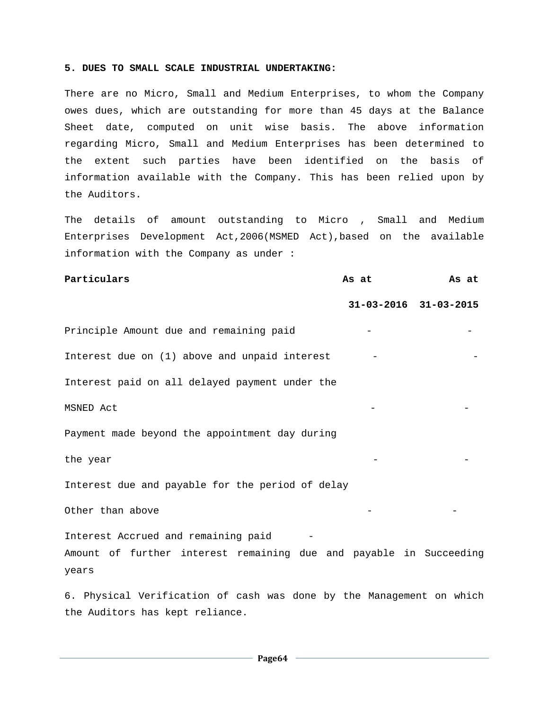#### **5. DUES TO SMALL SCALE INDUSTRIAL UNDERTAKING:**

There are no Micro, Small and Medium Enterprises, to whom the Company owes dues, which are outstanding for more than 45 days at the Balance Sheet date, computed on unit wise basis. The above information regarding Micro, Small and Medium Enterprises has been determined to the extent such parties have been identified on the basis of information available with the Company. This has been relied upon by the Auditors.

The details of amount outstanding to Micro , Small and Medium Enterprises Development Act,2006(MSMED Act),based on the available information with the Company as under :

| Particulars                                                                                                        | As at                             | As at |
|--------------------------------------------------------------------------------------------------------------------|-----------------------------------|-------|
|                                                                                                                    | $31 - 03 - 2016$ $31 - 03 - 2015$ |       |
| Principle Amount due and remaining paid                                                                            |                                   |       |
| Interest due on (1) above and unpaid interest                                                                      |                                   |       |
| Interest paid on all delayed payment under the                                                                     |                                   |       |
| MSNED Act                                                                                                          |                                   |       |
| Payment made beyond the appointment day during                                                                     |                                   |       |
| the year                                                                                                           |                                   |       |
| Interest due and payable for the period of delay                                                                   |                                   |       |
| Other than above                                                                                                   |                                   |       |
| Interest Accrued and remaining paid<br>Amount of further interest remaining due and payable in Succeeding<br>years |                                   |       |
| 6. Physical Verification of cash was done by the Management on which<br>the Auditors has kept reliance.            |                                   |       |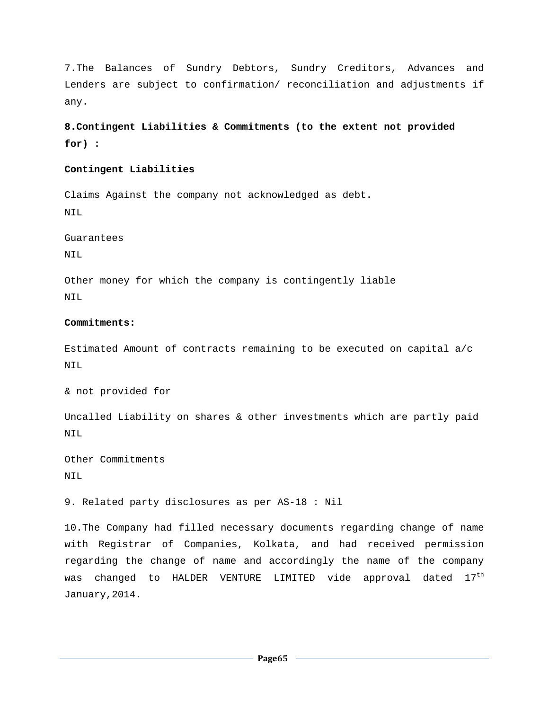7.The Balances of Sundry Debtors, Sundry Creditors, Advances and Lenders are subject to confirmation/ reconciliation and adjustments if any.

**8.Contingent Liabilities & Commitments (to the extent not provided for) :**

### **Contingent Liabilities**

Claims Against the company not acknowledged as debt**.** NIL

```
Guarantees
```
NIL

Other money for which the company is contingently liable NIL

### **Commitments:**

Estimated Amount of contracts remaining to be executed on capital a/c NIL

& not provided for

Uncalled Liability on shares & other investments which are partly paid NTT.

Other Commitments NTT.

9. Related party disclosures as per AS-18 : Nil

10.The Company had filled necessary documents regarding change of name with Registrar of Companies, Kolkata, and had received permission regarding the change of name and accordingly the name of the company was changed to HALDER VENTURE LIMITED vide approval dated 17<sup>th</sup> January,2014.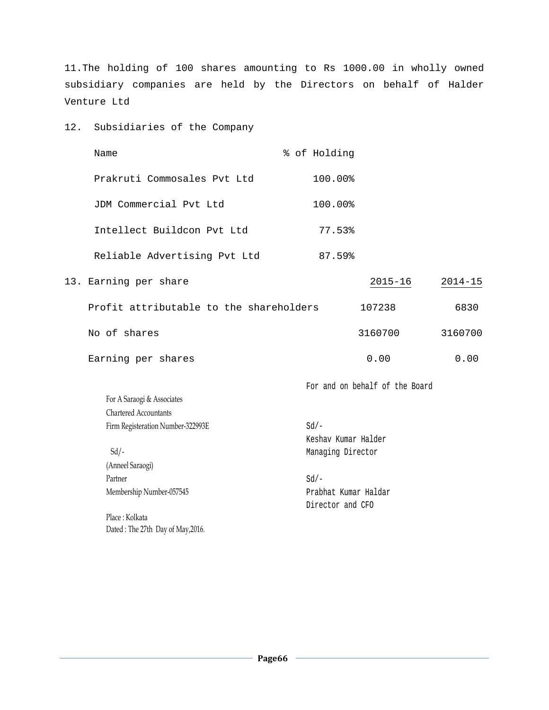11.The holding of 100 shares amounting to Rs 1000.00 in wholly owned subsidiary companies are held by the Directors on behalf of Halder Venture Ltd

12. Subsidiaries of the Company

| Name                                                       | % of Holding                    |                                |             |  |
|------------------------------------------------------------|---------------------------------|--------------------------------|-------------|--|
| Prakruti Commosales Pvt Ltd                                | 100.00%                         |                                |             |  |
| JDM Commercial Pvt Ltd                                     | 100.00%                         |                                |             |  |
| Intellect Buildcon Pvt Ltd                                 | 77.53%                          |                                |             |  |
| Reliable Advertising Pvt Ltd                               | $87.59\%$                       |                                |             |  |
| 13. Earning per share                                      |                                 | 2015-16                        | $2014 - 15$ |  |
| Profit attributable to the shareholders                    |                                 | 107238                         | 6830        |  |
| No of shares                                               |                                 | 3160700                        | 3160700     |  |
| Earning per shares                                         |                                 | 0.00                           | 0.00        |  |
| For A Saraogi & Associates<br><b>Chartered Accountants</b> |                                 | For and on behalf of the Board |             |  |
| Firm Registeration Number-322993E                          | $Sd$ / -<br>Keshav Kumar Halder |                                |             |  |
| $Sd$ .                                                     | Managing Director               |                                |             |  |
| (Anneel Saraogi)                                           |                                 |                                |             |  |
| Partner                                                    | $Sd/-$                          |                                |             |  |
| Membership Number-057545                                   | Prabhat Kumar Haldar            |                                |             |  |
|                                                            | Director and CFO                |                                |             |  |
| Place: Kolkata                                             |                                 |                                |             |  |

Dated : The 27th Day of May,2016.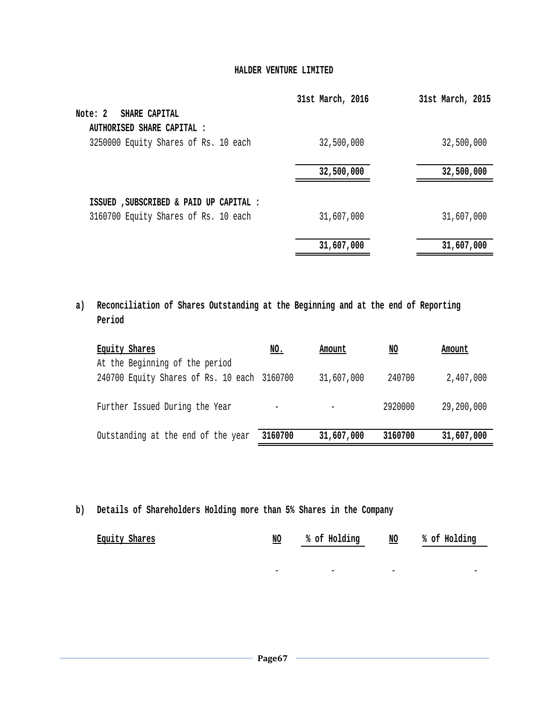### **HALDER VENTURE LIMITED**

|                                        | 31st March, 2016 | 31st March, 2015 |
|----------------------------------------|------------------|------------------|
| <b>SHARE CAPITAL</b><br>Note: 2        |                  |                  |
| AUTHORISED SHARE CAPITAL :             |                  |                  |
| 3250000 Equity Shares of Rs. 10 each   | 32,500,000       | 32,500,000       |
|                                        | 32,500,000       | 32,500,000       |
| ISSUED, SUBSCRIBED & PAID UP CAPITAL : |                  |                  |
| 3160700 Equity Shares of Rs. 10 each   | 31,607,000       | 31,607,000       |
|                                        | 31,607,000       | 31,607,000       |

### **a) Reconciliation of Shares Outstanding at the Beginning and at the end of Reporting Period**

| Equity Shares                               | <u>NO.</u> | Amount     | NO      | Amount     |
|---------------------------------------------|------------|------------|---------|------------|
| At the Beginning of the period              |            |            |         |            |
| 240700 Equity Shares of Rs. 10 each 3160700 |            | 31,607,000 | 240700  | 2,407,000  |
|                                             |            |            |         |            |
| Further Issued During the Year              |            |            | 2920000 | 29,200,000 |
|                                             |            |            |         |            |
| Outstanding at the end of the year          | 3160700    | 31,607,000 | 3160700 | 31,607,000 |

### **b) Details of Shareholders Holding more than 5% Shares in the Company**

| Equity Shares | NO                       | % of Holding             | $\underline{\text{NO}}$  | % of Holding             |
|---------------|--------------------------|--------------------------|--------------------------|--------------------------|
|               | $\overline{\phantom{0}}$ | $\overline{\phantom{0}}$ | $\overline{\phantom{0}}$ | $\overline{\phantom{0}}$ |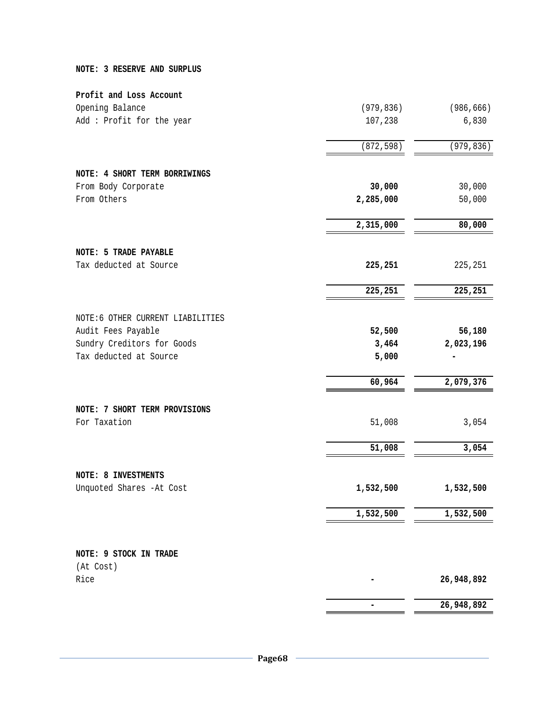### **NOTE: 3 RESERVE AND SURPLUS**

| Profit and Loss Account           |            |            |
|-----------------------------------|------------|------------|
| Opening Balance                   | (979, 836) | (986, 666) |
| Add: Profit for the year          | 107,238    | 6,830      |
|                                   | (872, 598) | (979, 836) |
| NOTE: 4 SHORT TERM BORRIWINGS     |            |            |
| From Body Corporate               | 30,000     | 30,000     |
| From Others                       | 2,285,000  | 50,000     |
|                                   | 2,315,000  | 80,000     |
| NOTE: 5 TRADE PAYABLE             |            |            |
| Tax deducted at Source            | 225,251    | 225,251    |
|                                   | 225,251    | 225,251    |
| NOTE: 6 OTHER CURRENT LIABILITIES |            |            |
| Audit Fees Payable                | 52,500     | 56,180     |
| Sundry Creditors for Goods        | 3,464      | 2,023,196  |
| Tax deducted at Source            | 5,000      |            |
|                                   | 60,964     | 2,079,376  |
| NOTE: 7 SHORT TERM PROVISIONS     |            |            |
| For Taxation                      | 51,008     | 3,054      |
|                                   | 51,008     | 3,054      |
| NOTE: 8 INVESTMENTS               |            |            |
| Unquoted Shares -At Cost          | 1,532,500  | 1,532,500  |
|                                   | 1,532,500  | 1,532,500  |
|                                   |            |            |
| NOTE: 9 STOCK IN TRADE            |            |            |
| (At Cost)<br>Rice                 |            | 26,948,892 |
|                                   |            | 26,948,892 |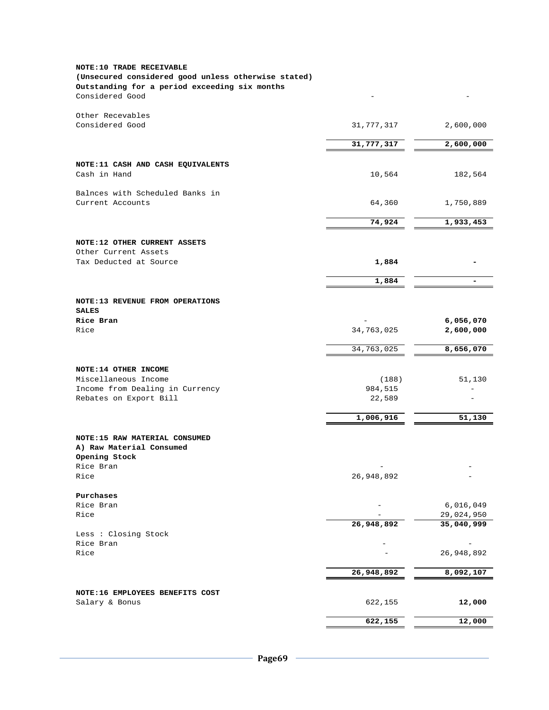#### **NOTE:10 TRADE RECEIVABLE (Unsecured considered good unless otherwise stated) Outstanding for a period exceeding six months** Considered Good - -

| Other Recevables                                   |            |                          |
|----------------------------------------------------|------------|--------------------------|
| Considered Good                                    | 31,777,317 | 2,600,000                |
|                                                    | 31,777,317 | 2,600,000                |
|                                                    |            |                          |
| NOTE: 11 CASH AND CASH EQUIVALENTS<br>Cash in Hand | 10,564     | 182,564                  |
| Balnces with Scheduled Banks in                    |            |                          |
| Current Accounts                                   | 64,360     | 1,750,889                |
|                                                    | 74,924     | 1,933,453                |
| NOTE:12 OTHER CURRENT ASSETS                       |            |                          |
| Other Current Assets                               |            |                          |
| Tax Deducted at Source                             | 1,884      |                          |
|                                                    | 1,884      | $\overline{\phantom{0}}$ |
| NOTE:13 REVENUE FROM OPERATIONS                    |            |                          |
| <b>SALES</b>                                       |            |                          |
| Rice Bran                                          |            | 6,056,070                |
| Rice                                               | 34,763,025 | 2,600,000                |
|                                                    | 34,763,025 | 8,656,070                |
| NOTE: 14 OTHER INCOME                              |            |                          |
| Miscellaneous Income                               | (188)      | 51,130                   |
| Income from Dealing in Currency                    | 984,515    |                          |
| Rebates on Export Bill                             | 22,589     |                          |
|                                                    | 1,006,916  | 51,130                   |
| NOTE:15 RAW MATERIAL CONSUMED                      |            |                          |
| A) Raw Material Consumed                           |            |                          |
| Opening Stock                                      |            |                          |
| Rice Bran<br>Rice                                  | 26,948,892 |                          |
| Purchases                                          |            |                          |
| Rice Bran                                          |            | 6,016,049                |
| Rice                                               |            | 29,024,950               |
|                                                    | 26,948,892 | 35,040,999               |
| Less : Closing Stock                               |            |                          |
| Rice Bran                                          |            | $\qquad \qquad -$        |
| Rice                                               |            | 26,948,892               |
|                                                    | 26,948,892 | 8,092,107                |
| NOTE:16 EMPLOYEES BENEFITS COST                    |            |                          |
| Salary & Bonus                                     | 622,155    | 12,000                   |
|                                                    | 622,155    | 12,000                   |
|                                                    |            |                          |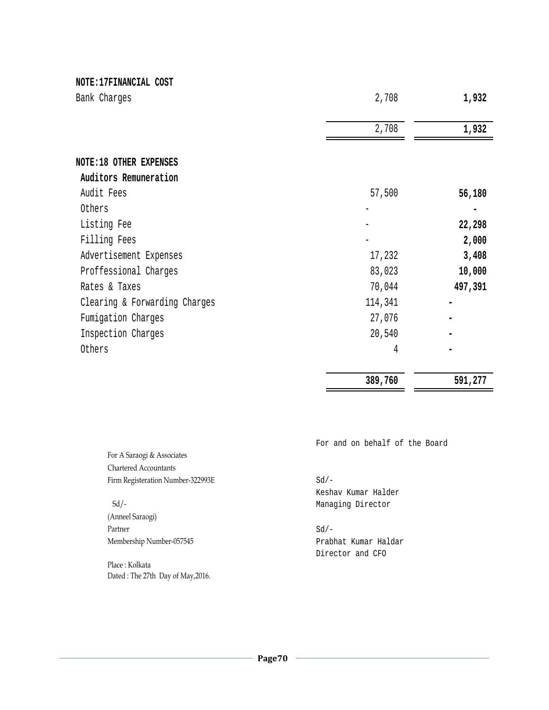### **NOTE:17FINANCIAL COST**

| Bank Charges                  | 2,708   | 1,932   |
|-------------------------------|---------|---------|
|                               | 2,708   | 1,932   |
| NOTE:18 OTHER EXPENSES        |         |         |
| Auditors Remuneration         |         |         |
| Audit Fees                    | 57,500  | 56,180  |
| Others                        |         |         |
| Listing Fee                   |         | 22,298  |
| Filling Fees                  |         | 2,000   |
| Advertisement Expenses        | 17,232  | 3,408   |
| Proffessional Charges         | 83,023  | 10,000  |
| Rates & Taxes                 | 70,044  | 497,391 |
| Clearing & Forwarding Charges | 114,341 |         |
| Fumigation Charges            | 27,076  |         |
| Inspection Charges            | 20,540  |         |
| Others                        | 4       |         |
|                               | 389,760 | 591,277 |

For A Saraogi & Associates Chartered Accountants Firm Registeration Number-322993E Sd/-

(Anneel Saraogi) Partner Sd/- $Sd$  /-

Place : Kolkata Dated : The 27th Day of May,2016. For and on behalf of the Board

Keshav Kumar Halder Managing Director

Membership Number-057545 Prabhat Kumar Haldar Director and CFO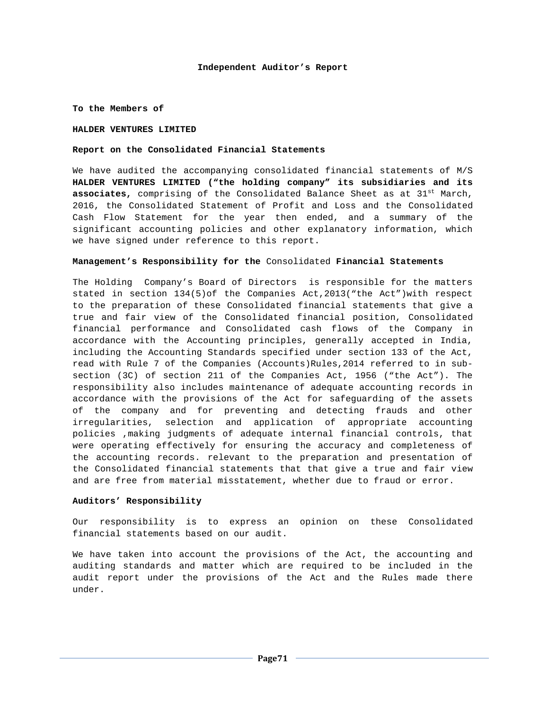#### **To the Members of**

#### **HALDER VENTURES LIMITED**

#### **Report on the Consolidated Financial Statements**

We have audited the accompanying consolidated financial statements of M/S **HALDER VENTURES LIMITED ("the holding company" its subsidiaries and its associates,** comprising of the Consolidated Balance Sheet as at 31<sup>st</sup> March, 2016, the Consolidated Statement of Profit and Loss and the Consolidated Cash Flow Statement for the year then ended, and a summary of the significant accounting policies and other explanatory information, which we have signed under reference to this report.

#### **Management's Responsibility for the** Consolidated **Financial Statements**

The Holding Company's Board of Directors is responsible for the matters stated in section 134(5)of the Companies Act,2013("the Act")with respect to the preparation of these Consolidated financial statements that give a true and fair view of the Consolidated financial position, Consolidated financial performance and Consolidated cash flows of the Company in accordance with the Accounting principles, generally accepted in India, including the Accounting Standards specified under section 133 of the Act, read with Rule 7 of the Companies (Accounts)Rules,2014 referred to in subsection (3C) of section 211 of the Companies Act, 1956 ("the Act"). The responsibility also includes maintenance of adequate accounting records in accordance with the provisions of the Act for safeguarding of the assets of the company and for preventing and detecting frauds and other irregularities, selection and application of appropriate accounting policies ,making judgments of adequate internal financial controls, that were operating effectively for ensuring the accuracy and completeness of the accounting records. relevant to the preparation and presentation of the Consolidated financial statements that that give a true and fair view and are free from material misstatement, whether due to fraud or error.

### **Auditors' Responsibility**

Our responsibility is to express an opinion on these Consolidated financial statements based on our audit.

We have taken into account the provisions of the Act, the accounting and auditing standards and matter which are required to be included in the audit report under the provisions of the Act and the Rules made there under.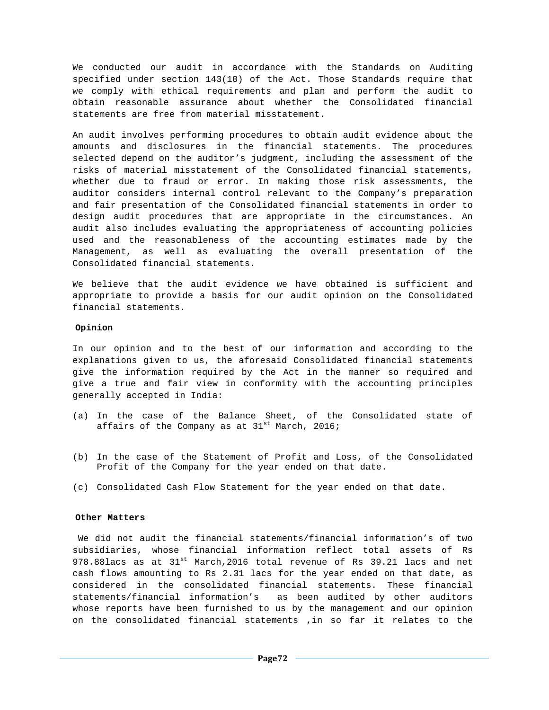We conducted our audit in accordance with the Standards on Auditing specified under section 143(10) of the Act. Those Standards require that we comply with ethical requirements and plan and perform the audit to obtain reasonable assurance about whether the Consolidated financial statements are free from material misstatement.

An audit involves performing procedures to obtain audit evidence about the amounts and disclosures in the financial statements. The procedures selected depend on the auditor's judgment, including the assessment of the risks of material misstatement of the Consolidated financial statements, whether due to fraud or error. In making those risk assessments, the auditor considers internal control relevant to the Company's preparation and fair presentation of the Consolidated financial statements in order to design audit procedures that are appropriate in the circumstances. An audit also includes evaluating the appropriateness of accounting policies used and the reasonableness of the accounting estimates made by the Management, as well as evaluating the overall presentation of the Consolidated financial statements.

We believe that the audit evidence we have obtained is sufficient and appropriate to provide a basis for our audit opinion on the Consolidated financial statements.

### **Opinion**

In our opinion and to the best of our information and according to the explanations given to us, the aforesaid Consolidated financial statements give the information required by the Act in the manner so required and give a true and fair view in conformity with the accounting principles generally accepted in India:

- (a) In the case of the Balance Sheet, of the Consolidated state of affairs of the Company as at  $31^{st}$  March, 2016;
- (b) In the case of the Statement of Profit and Loss, of the Consolidated Profit of the Company for the year ended on that date.
- (c) Consolidated Cash Flow Statement for the year ended on that date.

#### **Other Matters**

We did not audit the financial statements/financial information's of two subsidiaries, whose financial information reflect total assets of Rs 978.88lacs as at  $31^{st}$  March, 2016 total revenue of Rs 39.21 lacs and net cash flows amounting to Rs 2.31 lacs for the year ended on that date, as considered in the consolidated financial statements. These financial statements/financial information's as been audited by other auditors whose reports have been furnished to us by the management and our opinion on the consolidated financial statements ,in so far it relates to the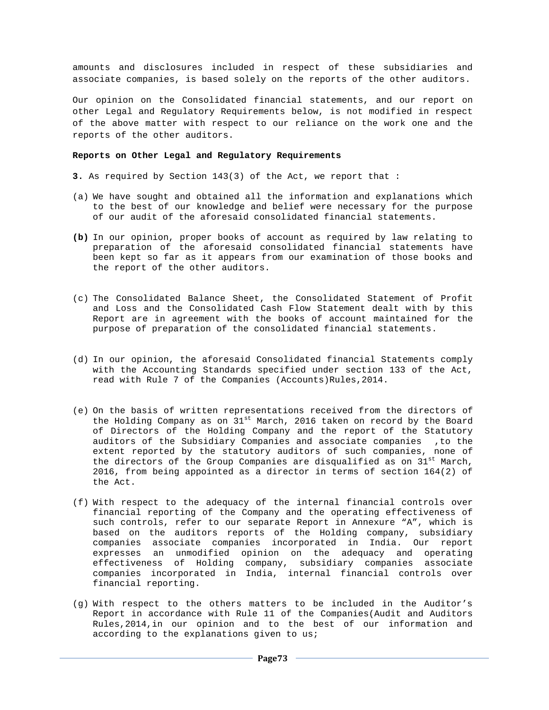amounts and disclosures included in respect of these subsidiaries and associate companies, is based solely on the reports of the other auditors.

Our opinion on the Consolidated financial statements, and our report on other Legal and Regulatory Requirements below, is not modified in respect of the above matter with respect to our reliance on the work one and the reports of the other auditors.

#### **Reports on Other Legal and Regulatory Requirements**

**3.** As required by Section 143(3) of the Act, we report that :

- (a) We have sought and obtained all the information and explanations which to the best of our knowledge and belief were necessary for the purpose of our audit of the aforesaid consolidated financial statements.
- **(b)** In our opinion, proper books of account as required by law relating to preparation of the aforesaid consolidated financial statements have been kept so far as it appears from our examination of those books and the report of the other auditors.
- (c) The Consolidated Balance Sheet, the Consolidated Statement of Profit and Loss and the Consolidated Cash Flow Statement dealt with by this Report are in agreement with the books of account maintained for the purpose of preparation of the consolidated financial statements.
- (d) In our opinion, the aforesaid Consolidated financial Statements comply with the Accounting Standards specified under section 133 of the Act, read with Rule 7 of the Companies (Accounts)Rules,2014.
- (e) On the basis of written representations received from the directors of the Holding Company as on  $31^{st}$  March, 2016 taken on record by the Board of Directors of the Holding Company and the report of the Statutory auditors of the Subsidiary Companies and associate companies ,to the extent reported by the statutory auditors of such companies, none of the directors of the Group Companies are disqualified as on  $31<sup>st</sup>$  March, 2016, from being appointed as a director in terms of section 164(2) of the Act.
- (f) With respect to the adequacy of the internal financial controls over financial reporting of the Company and the operating effectiveness of such controls, refer to our separate Report in Annexure "A", which is based on the auditors reports of the Holding company, subsidiary companies associate companies incorporated in India. Our report expresses an unmodified opinion on the adequacy and operating effectiveness of Holding company, subsidiary companies associate companies incorporated in India, internal financial controls over financial reporting.
- (g) With respect to the others matters to be included in the Auditor's Report in accordance with Rule 11 of the Companies(Audit and Auditors Rules,2014,in our opinion and to the best of our information and according to the explanations given to us;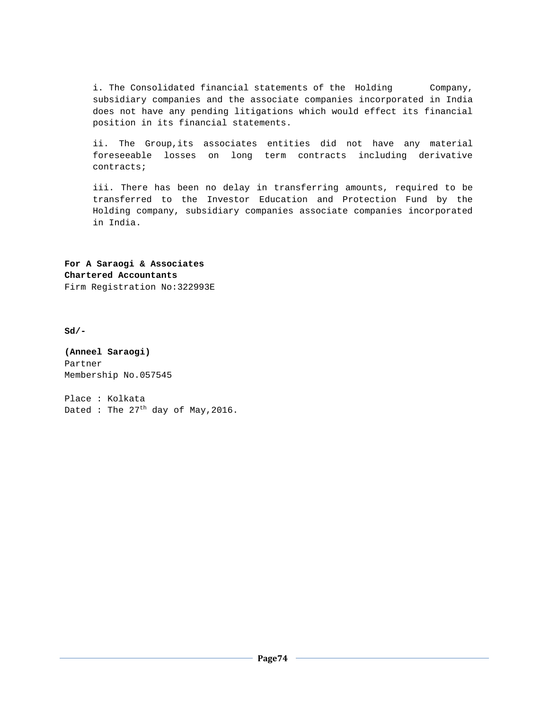i. The Consolidated financial statements of the Holding Company, subsidiary companies and the associate companies incorporated in India does not have any pending litigations which would effect its financial position in its financial statements.

ii. The Group,its associates entities did not have any material foreseeable losses on long term contracts including derivative contracts;

iii. There has been no delay in transferring amounts, required to be transferred to the Investor Education and Protection Fund by the Holding company, subsidiary companies associate companies incorporated in India.

# **For A Saraogi & Associates Chartered Accountants** Firm Registration No:322993E

**Sd/-**

**(Anneel Saraogi)** Partner Membership No.057545

Place : Kolkata Dated : The  $27^{\text{th}}$  day of May,2016.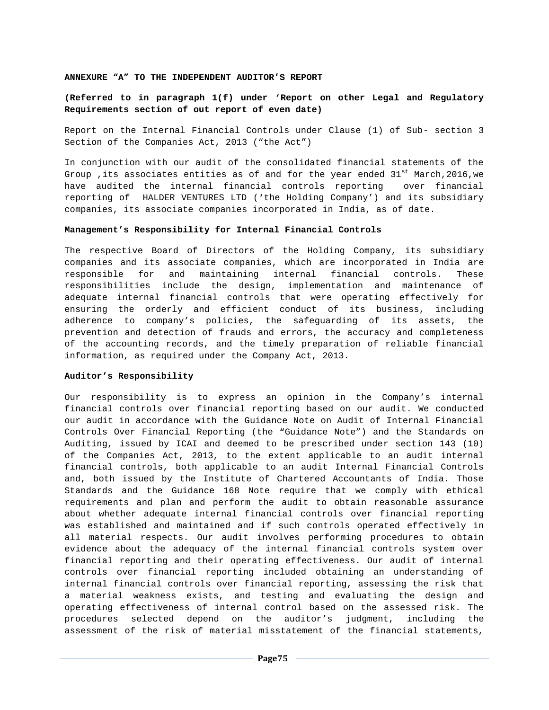#### **ANNEXURE "A" TO THE INDEPENDENT AUDITOR'S REPORT**

# **(Referred to in paragraph 1(f) under 'Report on other Legal and Regulatory Requirements section of out report of even date)**

Report on the Internal Financial Controls under Clause (1) of Sub- section 3 Section of the Companies Act, 2013 ("the Act")

In conjunction with our audit of the consolidated financial statements of the Group , its associates entities as of and for the year ended  $31<sup>st</sup>$  March, 2016, we have audited the internal financial controls reporting over financial reporting of HALDER VENTURES LTD ('the Holding Company') and its subsidiary companies, its associate companies incorporated in India, as of date.

#### **Management's Responsibility for Internal Financial Controls**

The respective Board of Directors of the Holding Company, its subsidiary companies and its associate companies, which are incorporated in India are responsible for and maintaining internal financial controls. These responsibilities include the design, implementation and maintenance of adequate internal financial controls that were operating effectively for ensuring the orderly and efficient conduct of its business, including adherence to company's policies, the safeguarding of its assets, the prevention and detection of frauds and errors, the accuracy and completeness of the accounting records, and the timely preparation of reliable financial information, as required under the Company Act, 2013.

#### **Auditor's Responsibility**

Our responsibility is to express an opinion in the Company's internal financial controls over financial reporting based on our audit. We conducted our audit in accordance with the Guidance Note on Audit of Internal Financial Controls Over Financial Reporting (the "Guidance Note") and the Standards on Auditing, issued by ICAI and deemed to be prescribed under section 143 (10) of the Companies Act, 2013, to the extent applicable to an audit internal financial controls, both applicable to an audit Internal Financial Controls and, both issued by the Institute of Chartered Accountants of India. Those Standards and the Guidance 168 Note require that we comply with ethical requirements and plan and perform the audit to obtain reasonable assurance about whether adequate internal financial controls over financial reporting was established and maintained and if such controls operated effectively in all material respects. Our audit involves performing procedures to obtain evidence about the adequacy of the internal financial controls system over financial reporting and their operating effectiveness. Our audit of internal controls over financial reporting included obtaining an understanding of internal financial controls over financial reporting, assessing the risk that a material weakness exists, and testing and evaluating the design and operating effectiveness of internal control based on the assessed risk. The procedures selected depend on the auditor's judgment, including the assessment of the risk of material misstatement of the financial statements,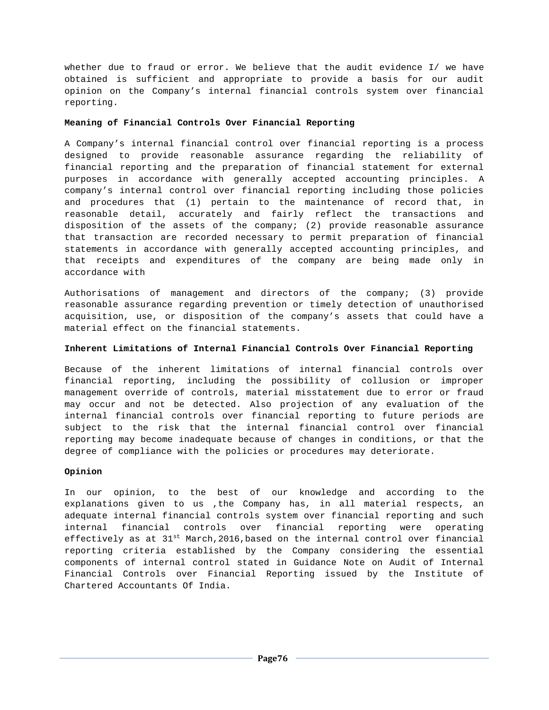whether due to fraud or error. We believe that the audit evidence I/ we have obtained is sufficient and appropriate to provide a basis for our audit opinion on the Company's internal financial controls system over financial reporting.

#### **Meaning of Financial Controls Over Financial Reporting**

A Company's internal financial control over financial reporting is a process designed to provide reasonable assurance regarding the reliability of financial reporting and the preparation of financial statement for external purposes in accordance with generally accepted accounting principles. A company's internal control over financial reporting including those policies and procedures that (1) pertain to the maintenance of record that, in reasonable detail, accurately and fairly reflect the transactions and disposition of the assets of the company; (2) provide reasonable assurance that transaction are recorded necessary to permit preparation of financial statements in accordance with generally accepted accounting principles, and that receipts and expenditures of the company are being made only in accordance with

Authorisations of management and directors of the company; (3) provide reasonable assurance regarding prevention or timely detection of unauthorised acquisition, use, or disposition of the company's assets that could have a material effect on the financial statements.

### **Inherent Limitations of Internal Financial Controls Over Financial Reporting**

Because of the inherent limitations of internal financial controls over financial reporting, including the possibility of collusion or improper management override of controls, material misstatement due to error or fraud may occur and not be detected. Also projection of any evaluation of the internal financial controls over financial reporting to future periods are subject to the risk that the internal financial control over financial reporting may become inadequate because of changes in conditions, or that the degree of compliance with the policies or procedures may deteriorate.

### **Opinion**

In our opinion, to the best of our knowledge and according to the explanations given to us ,the Company has, in all material respects, an adequate internal financial controls system over financial reporting and such internal financial controls over financial reporting were operating effectively as at  $31^{st}$  March, 2016, based on the internal control over financial reporting criteria established by the Company considering the essential components of internal control stated in Guidance Note on Audit of Internal Financial Controls over Financial Reporting issued by the Institute of Chartered Accountants Of India.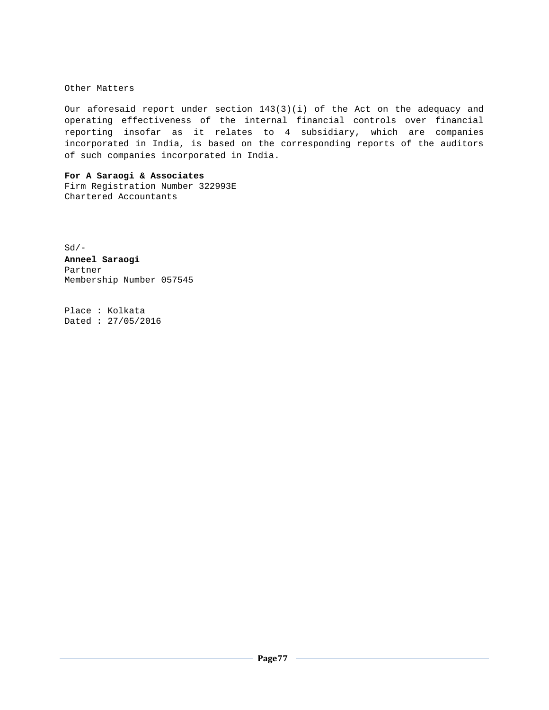# Other Matters

Our aforesaid report under section 143(3)(i) of the Act on the adequacy and operating effectiveness of the internal financial controls over financial reporting insofar as it relates to 4 subsidiary, which are companies incorporated in India, is based on the corresponding reports of the auditors of such companies incorporated in India.

**For A Saraogi & Associates** Firm Registration Number 322993E Chartered Accountants

 $Sd/-$ 

**Anneel Saraogi** Partner Membership Number 057545

Place : Kolkata Dated : 27/05/2016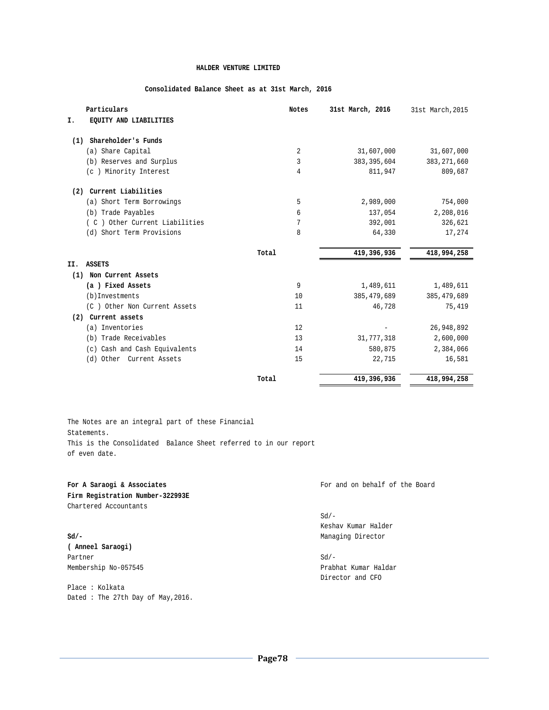### **Consolidated Balance Sheet as at 31st March, 2016**

| Particulars<br>EQUITY AND LIABILITIES<br>Ι. | Notes | 31st March, 2016 | 31st March, 2015 |
|---------------------------------------------|-------|------------------|------------------|
| Shareholder's Funds<br>(1)                  |       |                  |                  |
| (a) Share Capital                           | 2     | 31,607,000       | 31,607,000       |
| (b) Reserves and Surplus                    | 3     | 383, 395, 604    | 383, 271, 660    |
| (c) Minority Interest                       | 4     | 811,947          | 809,687          |
| (2) Current Liabilities                     |       |                  |                  |
| (a) Short Term Borrowings                   | 5     | 2,989,000        | 754,000          |
| (b) Trade Payables                          | 6     | 137,054          | 2,208,016        |
| ( C ) Other Current Liabilities             | 7     | 392,001          | 326,621          |
| (d) Short Term Provisions                   | 8     | 64,330           | 17,274           |
|                                             | Total | 419,396,936      | 418,994,258      |
| <b>ASSETS</b><br>II.                        |       |                  |                  |
| Non Current Assets<br>(1)                   |       |                  |                  |
| (a) Fixed Assets                            | 9     | 1,489,611        | 1,489,611        |
| (b) Investments                             | 10    | 385, 479, 689    | 385, 479, 689    |
| (C ) Other Non Current Assets               | 11    | 46,728           | 75,419           |
| (2) Current assets                          |       |                  |                  |
| (a) Inventories                             | 12    |                  | 26,948,892       |
| (b) Trade Receivables                       | 13    | 31,777,318       | 2,600,000        |
| (c) Cash and Cash Equivalents               | 14    | 580,875          | 2,384,066        |
| (d) Other Current Assets                    | 15    | 22,715           | 16,581           |
|                                             | Total | 419,396,936      | 418,994,258      |

The Notes are an integral part of these Financial Statements. This is the Consolidated Balance Sheet referred to in our report of even date.

### **For A Saraogi & Associates** For and on behalf of the Board **Firm Registration Number-322993E** Chartered Accountants

**Sd/-** Managing Director **( Anneel Saraogi)** Partner Sd/-Membership No-057545 Prabhat Kumar Haldar

Place : Kolkata Dated : The 27th Day of May,2016.

 $Sd/-$ Keshav Kumar Halder

Director and CFO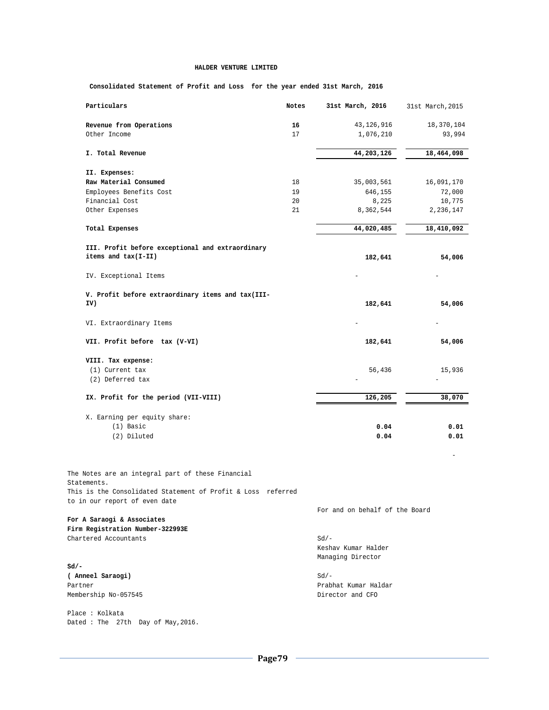### **Consolidated Statement of Profit and Loss for the year ended 31st March, 2016**

| Particulars                                                  | Notes | 31st March, 2016               | 31st March, 2015 |
|--------------------------------------------------------------|-------|--------------------------------|------------------|
| Revenue from Operations                                      | 16    | 43, 126, 916                   | 18,370,104       |
| Other Income                                                 | 17    | 1,076,210                      | 93,994           |
| I. Total Revenue                                             |       | 44,203,126                     | 18,464,098       |
| II. Expenses:                                                |       |                                |                  |
| Raw Material Consumed                                        | 18    | 35,003,561                     | 16,091,170       |
| Employees Benefits Cost                                      | 19    | 646,155                        | 72,000           |
| Financial Cost                                               | 20    | 8,225                          | 10,775           |
| Other Expenses                                               | 21    | 8,362,544                      | 2,236,147        |
| Total Expenses                                               |       | 44,020,485                     | 18,410,092       |
| III. Profit before exceptional and extraordinary             |       |                                |                  |
| items and tax(I-II)                                          |       | 182,641                        | 54,006           |
| IV. Exceptional Items                                        |       |                                |                  |
| V. Profit before extraordinary items and tax(III-            |       |                                |                  |
| IV)                                                          |       | 182,641                        | 54,006           |
| VI. Extraordinary Items                                      |       |                                |                  |
| VII. Profit before tax (V-VI)                                |       | 182,641                        | 54,006           |
| VIII. Tax expense:                                           |       |                                |                  |
| (1) Current tax                                              |       | 56,436                         | 15,936           |
| (2) Deferred tax                                             |       |                                |                  |
| IX. Profit for the period (VII-VIII)                         |       | 126,205                        | 38,070           |
| X. Earning per equity share:                                 |       |                                |                  |
| $(1)$ Basic                                                  |       | 0.04                           | 0.01             |
| (2) Diluted                                                  |       | 0.04                           | 0.01             |
|                                                              |       |                                |                  |
| The Notes are an integral part of these Financial            |       |                                |                  |
| Statements.                                                  |       |                                |                  |
| This is the Consolidated Statement of Profit & Loss referred |       |                                |                  |
| to in our report of even date                                |       |                                |                  |
|                                                              |       | For and on behalf of the Board |                  |
| For A Saraogi & Associates                                   |       |                                |                  |
| Firm Registration Number-322993E                             |       |                                |                  |
| Chartered Accountants                                        |       | $Sd/-$                         |                  |
|                                                              |       | Keshav Kumar Halder            |                  |
|                                                              |       | Managing Director              |                  |
| $Sd/-$                                                       |       |                                |                  |
| ( Anneel Saraogi)                                            |       | $Sd/-$                         |                  |
| Partner                                                      |       | Prabhat Kumar Haldar           |                  |
| Membership No-057545                                         |       | Director and CFO               |                  |
| Place : Kolkata                                              |       |                                |                  |
| Dated: The 27th Day of May, 2016.                            |       |                                |                  |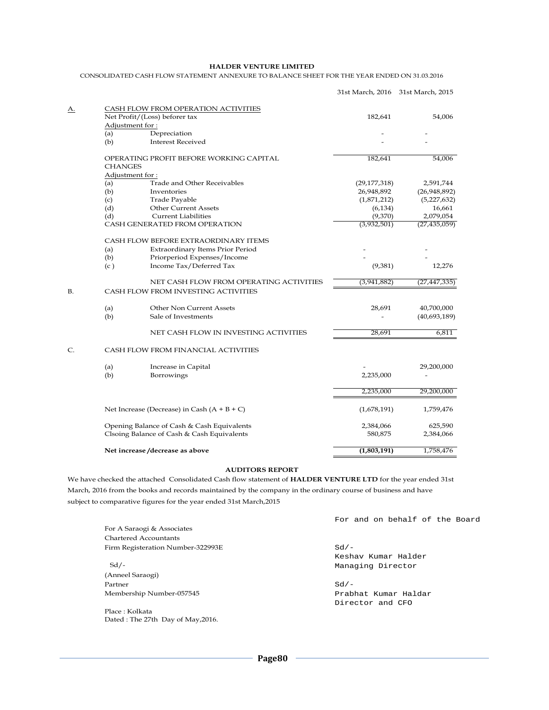CONSOLIDATED CASH FLOW STATEMENT ANNEXURE TO BALANCE SHEET FOR THE YEAR ENDED ON 31.03.2016

|                 |                                               | 31st March, 2016 31st March, 2015 |                |
|-----------------|-----------------------------------------------|-----------------------------------|----------------|
|                 | CASH FLOW FROM OPERATION ACTIVITIES           |                                   |                |
|                 | Net Profit/(Loss) beforer tax                 | 182,641                           | 54,006         |
| Adjustment for: |                                               |                                   |                |
| (a)             | Depreciation                                  |                                   |                |
| (b)             | <b>Interest Received</b>                      |                                   |                |
|                 | OPERATING PROFIT BEFORE WORKING CAPITAL       | 182,641                           | 54,006         |
| <b>CHANGES</b>  |                                               |                                   |                |
| Adjustment for: |                                               |                                   |                |
| (a)             | Trade and Other Receivables                   | (29, 177, 318)                    | 2,591,744      |
| (b)             | Inventories                                   | 26,948,892                        | (26,948,892)   |
| (c)             | Trade Payable                                 | (1,871,212)                       | (5,227,632)    |
| (d)             | <b>Other Current Assets</b>                   | (6, 134)                          | 16,661         |
| (d)             | <b>Current Liabilities</b>                    | (9,370)                           | 2,079,054      |
|                 | CASH GENERATED FROM OPERATION                 | (3,932,501)                       | (27, 435, 059) |
|                 |                                               |                                   |                |
|                 | CASH FLOW BEFORE EXTRAORDINARY ITEMS          |                                   |                |
| (a)             | Extraordinary Items Prior Period              |                                   |                |
| (b)             | Priorperiod Expenses/Income                   |                                   |                |
| (c)             | Income Tax/Deferred Tax                       | (9, 381)                          | 12,276         |
|                 | NET CASH FLOW FROM OPERATING ACTIVITIES       | (3,941,882)                       | (27, 447, 335) |
|                 | CASH FLOW FROM INVESTING ACTIVITIES           |                                   |                |
| (a)             | Other Non Current Assets                      | 28,691                            | 40,700,000     |
| (b)             | Sale of Investments                           |                                   | (40,693,189)   |
|                 |                                               |                                   |                |
|                 | NET CASH FLOW IN INVESTING ACTIVITIES         | 28,691                            | 6,811          |
|                 | CASH FLOW FROM FINANCIAL ACTIVITIES           |                                   |                |
| (a)             | Increase in Capital                           |                                   | 29,200,000     |
| (b)             | Borrowings                                    | 2,235,000                         |                |
|                 |                                               | 2,235,000                         | 29,200,000     |
|                 | Net Increase (Decrease) in Cash $(A + B + C)$ | (1,678,191)                       | 1,759,476      |
|                 |                                               |                                   |                |
|                 | Opening Balance of Cash & Cash Equivalents    | 2,384,066                         | 625,590        |
|                 | Clsoing Balance of Cash & Cash Equivalents    | 580,875                           | 2,384,066      |
|                 |                                               |                                   |                |

### **AUDITORS REPORT**

We have checked the attached Consolidated Cash flow statement of **HALDER VENTURE LTD** for the year ended 31st March, 2016 from the books and records maintained by the company in the ordinary course of business and have subject to comparative figures for the year ended 31st March,2015

|                                   | For and on behalf of the Board |
|-----------------------------------|--------------------------------|
| For A Saraogi & Associates        |                                |
| Chartered Accountants             |                                |
| Firm Registeration Number-322993E | $Sd/-$                         |
|                                   | Keshay Kumar Halder            |
| $Sd$ /-                           | Managing Director              |
| (Anneel Saraogi)                  |                                |
| Partner                           | $Sd/-$                         |
| Membership Number-057545          | Prabhat Kumar Haldar           |
|                                   | Director and CFO               |
| Place: Kolkata                    |                                |

Dated : The 27th Day of May,2016.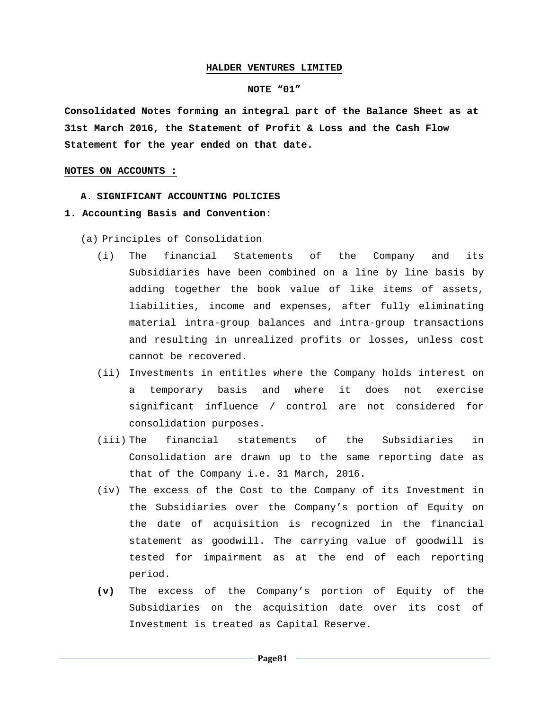#### **NOTE "01"**

**Consolidated Notes forming an integral part of the Balance Sheet as at 31st March 2016, the Statement of Profit & Loss and the Cash Flow Statement for the year ended on that date.**

#### **NOTES ON ACCOUNTS :**

### **A. SIGNIFICANT ACCOUNTING POLICIES**

### **1. Accounting Basis and Convention:**

- (a) Principles of Consolidation
	- (i) The financial Statements of the Company and its Subsidiaries have been combined on a line by line basis by adding together the book value of like items of assets, liabilities, income and expenses, after fully eliminating material intra-group balances and intra-group transactions and resulting in unrealized profits or losses, unless cost cannot be recovered.
	- (ii) Investments in entitles where the Company holds interest on a temporary basis and where it does not exercise significant influence / control are not considered for consolidation purposes.
	- (iii) The financial statements of the Subsidiaries in Consolidation are drawn up to the same reporting date as that of the Company i.e. 31 March, 2016.
	- (iv) The excess of the Cost to the Company of its Investment in the Subsidiaries over the Company's portion of Equity on the date of acquisition is recognized in the financial statement as goodwill. The carrying value of goodwill is tested for impairment as at the end of each reporting period.
	- **(v)** The excess of the Company's portion of Equity of the Subsidiaries on the acquisition date over its cost of Investment is treated as Capital Reserve.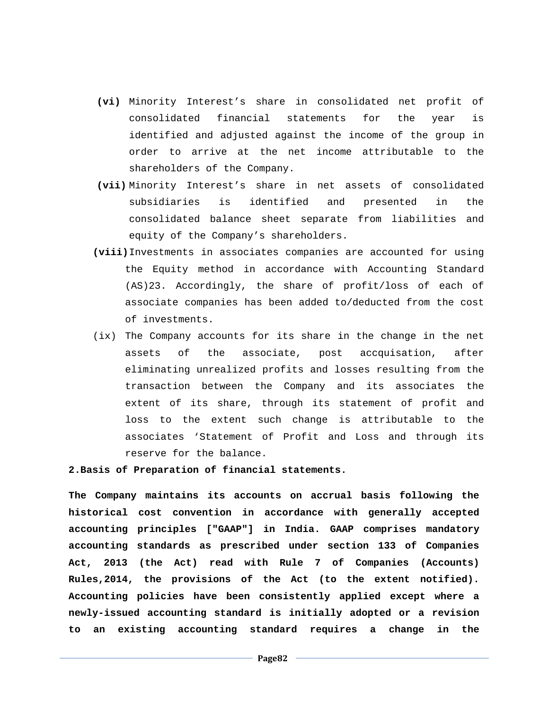- **(vi)** Minority Interest's share in consolidated net profit of consolidated financial statements for the year is identified and adjusted against the income of the group in order to arrive at the net income attributable to the shareholders of the Company.
- **(vii)** Minority Interest's share in net assets of consolidated subsidiaries is identified and presented in the consolidated balance sheet separate from liabilities and equity of the Company's shareholders.
- **(viii)**Investments in associates companies are accounted for using the Equity method in accordance with Accounting Standard (AS)23. Accordingly, the share of profit/loss of each of associate companies has been added to/deducted from the cost of investments.
- (ix) The Company accounts for its share in the change in the net assets of the associate, post accquisation, after eliminating unrealized profits and losses resulting from the transaction between the Company and its associates the extent of its share, through its statement of profit and loss to the extent such change is attributable to the associates 'Statement of Profit and Loss and through its reserve for the balance.

**2.Basis of Preparation of financial statements.**

**The Company maintains its accounts on accrual basis following the historical cost convention in accordance with generally accepted accounting principles ["GAAP"] in India. GAAP comprises mandatory accounting standards as prescribed under section 133 of Companies Act, 2013 (the Act) read with Rule 7 of Companies (Accounts) Rules,2014, the provisions of the Act (to the extent notified). Accounting policies have been consistently applied except where a newly-issued accounting standard is initially adopted or a revision to an existing accounting standard requires a change in the**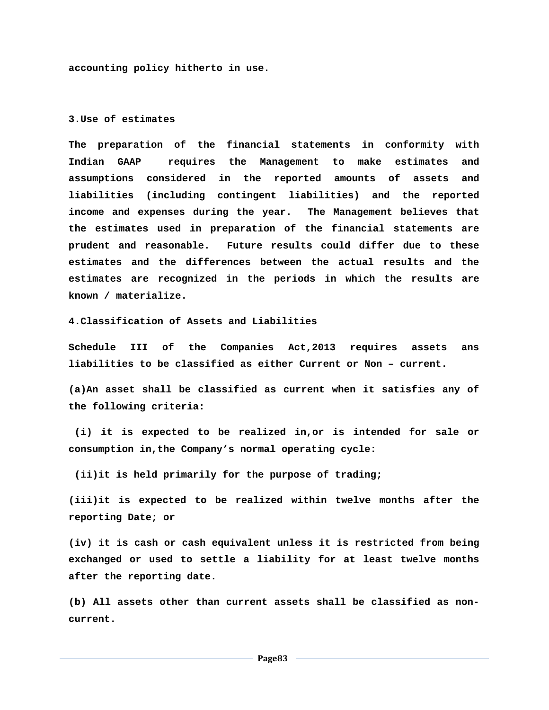**accounting policy hitherto in use.**

### **3.Use of estimates**

**The preparation of the financial statements in conformity with Indian GAAP requires the Management to make estimates and assumptions considered in the reported amounts of assets and liabilities (including contingent liabilities) and the reported income and expenses during the year. The Management believes that the estimates used in preparation of the financial statements are prudent and reasonable. Future results could differ due to these estimates and the differences between the actual results and the estimates are recognized in the periods in which the results are known / materialize.**

**4.Classification of Assets and Liabilities**

**Schedule III of the Companies Act,2013 requires assets ans liabilities to be classified as either Current or Non – current.**

**(a)An asset shall be classified as current when it satisfies any of the following criteria:**

**(i) it is expected to be realized in,or is intended for sale or consumption in,the Company's normal operating cycle:**

**(ii)it is held primarily for the purpose of trading;**

**(iii)it is expected to be realized within twelve months after the reporting Date; or**

**(iv) it is cash or cash equivalent unless it is restricted from being exchanged or used to settle a liability for at least twelve months after the reporting date.**

**(b) All assets other than current assets shall be classified as noncurrent.**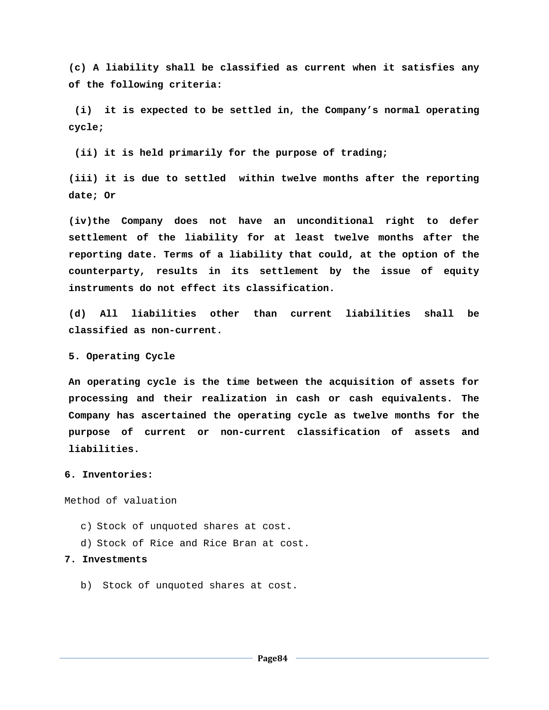**(c) A liability shall be classified as current when it satisfies any of the following criteria:**

**(i) it is expected to be settled in, the Company's normal operating cycle;**

**(ii) it is held primarily for the purpose of trading;**

**(iii) it is due to settled within twelve months after the reporting date; Or**

**(iv)the Company does not have an unconditional right to defer settlement of the liability for at least twelve months after the reporting date. Terms of a liability that could, at the option of the counterparty, results in its settlement by the issue of equity instruments do not effect its classification.**

**(d) All liabilities other than current liabilities shall be classified as non-current.**

### **5. Operating Cycle**

**An operating cycle is the time between the acquisition of assets for processing and their realization in cash or cash equivalents. The Company has ascertained the operating cycle as twelve months for the purpose of current or non-current classification of assets and liabilities.**

#### **6. Inventories:**

Method of valuation

- c) Stock of unquoted shares at cost.
- d) Stock of Rice and Rice Bran at cost.

### **7. Investments**

b) Stock of unquoted shares at cost.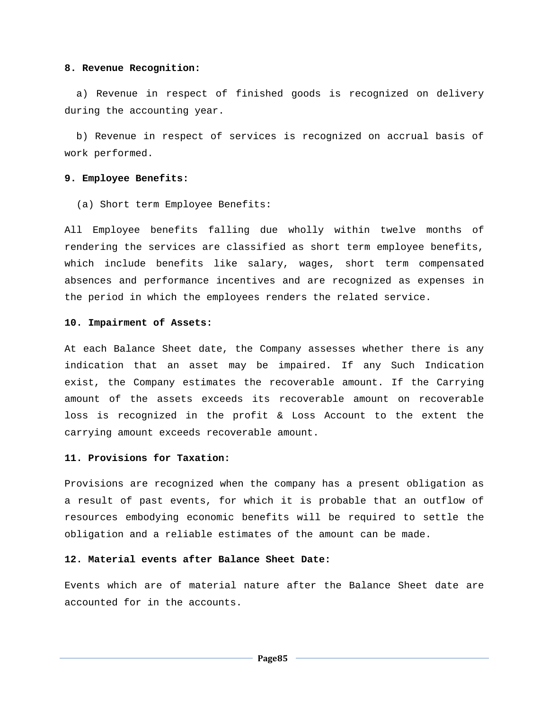### **8. Revenue Recognition:**

a) Revenue in respect of finished goods is recognized on delivery during the accounting year.

b) Revenue in respect of services is recognized on accrual basis of work performed.

### **9. Employee Benefits:**

(a) Short term Employee Benefits:

All Employee benefits falling due wholly within twelve months of rendering the services are classified as short term employee benefits, which include benefits like salary, wages, short term compensated absences and performance incentives and are recognized as expenses in the period in which the employees renders the related service.

### **10. Impairment of Assets:**

At each Balance Sheet date, the Company assesses whether there is any indication that an asset may be impaired. If any Such Indication exist, the Company estimates the recoverable amount. If the Carrying amount of the assets exceeds its recoverable amount on recoverable loss is recognized in the profit & Loss Account to the extent the carrying amount exceeds recoverable amount.

# **11. Provisions for Taxation:**

Provisions are recognized when the company has a present obligation as a result of past events, for which it is probable that an outflow of resources embodying economic benefits will be required to settle the obligation and a reliable estimates of the amount can be made.

# **12. Material events after Balance Sheet Date:**

Events which are of material nature after the Balance Sheet date are accounted for in the accounts.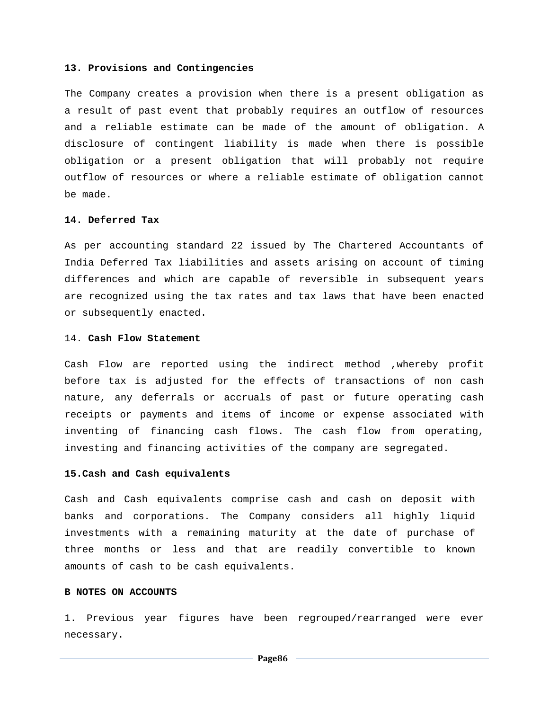### **13. Provisions and Contingencies**

The Company creates a provision when there is a present obligation as a result of past event that probably requires an outflow of resources and a reliable estimate can be made of the amount of obligation. A disclosure of contingent liability is made when there is possible obligation or a present obligation that will probably not require outflow of resources or where a reliable estimate of obligation cannot be made.

#### **14. Deferred Tax**

As per accounting standard 22 issued by The Chartered Accountants of India Deferred Tax liabilities and assets arising on account of timing differences and which are capable of reversible in subsequent years are recognized using the tax rates and tax laws that have been enacted or subsequently enacted.

#### 14. **Cash Flow Statement**

Cash Flow are reported using the indirect method ,whereby profit before tax is adjusted for the effects of transactions of non cash nature, any deferrals or accruals of past or future operating cash receipts or payments and items of income or expense associated with inventing of financing cash flows. The cash flow from operating, investing and financing activities of the company are segregated.

### **15.Cash and Cash equivalents**

Cash and Cash equivalents comprise cash and cash on deposit with banks and corporations. The Company considers all highly liquid investments with a remaining maturity at the date of purchase of three months or less and that are readily convertible to known amounts of cash to be cash equivalents.

### **B NOTES ON ACCOUNTS**

1. Previous year figures have been regrouped/rearranged were ever necessary.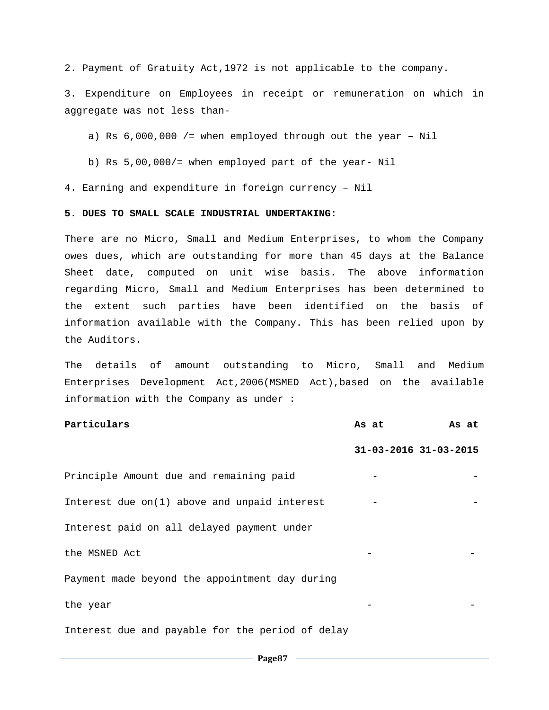2. Payment of Gratuity Act,1972 is not applicable to the company.

3. Expenditure on Employees in receipt or remuneration on which in aggregate was not less than-

a) Rs  $6,000,000$  /= when employed through out the year - Nil

b) Rs 5,00,000/= when employed part of the year- Nil

4. Earning and expenditure in foreign currency – Nil

### **5. DUES TO SMALL SCALE INDUSTRIAL UNDERTAKING:**

There are no Micro, Small and Medium Enterprises, to whom the Company owes dues, which are outstanding for more than 45 days at the Balance Sheet date, computed on unit wise basis. The above information regarding Micro, Small and Medium Enterprises has been determined to the extent such parties have been identified on the basis of information available with the Company. This has been relied upon by the Auditors.

The details of amount outstanding to Micro, Small and Medium Enterprises Development Act,2006(MSMED Act),based on the available information with the Company as under :

### **Particulars As at As at**

**31-03-2016 31-03-2015**

| Principle Amount due and remaining paid        |  |
|------------------------------------------------|--|
| Interest due $on(1)$ above and unpaid interest |  |
| Interest paid on all delayed payment under     |  |
| the MSNED Act                                  |  |
| Payment made beyond the appointment day during |  |
| the year                                       |  |

Interest due and payable for the period of delay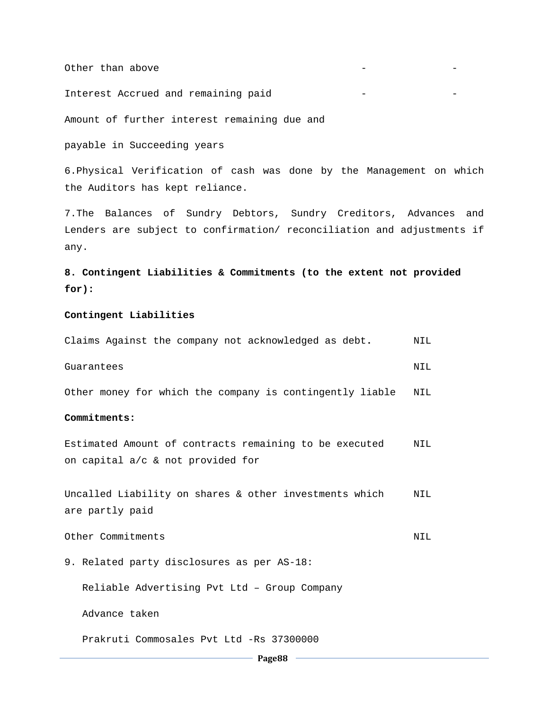Other than above

Interest Accrued and remaining paid

Amount of further interest remaining due and

payable in Succeeding years

6.Physical Verification of cash was done by the Management on which the Auditors has kept reliance.

7.The Balances of Sundry Debtors, Sundry Creditors, Advances and Lenders are subject to confirmation/ reconciliation and adjustments if any.

# **8. Contingent Liabilities & Commitments (to the extent not provided for):**

### **Contingent Liabilities**

| Claims Against the company not acknowledged as debt.     | NIL |
|----------------------------------------------------------|-----|
| Guarantees                                               | NIL |
| Other money for which the company is contingently liable | NIL |
| Commitments:                                             |     |
| Estimated Amount of contracts remaining to be executed   | NIL |
| on capital a/c & not provided for                        |     |
| Uncalled Liability on shares & other investments which   | NIL |
| are partly paid                                          |     |
| Other Commitments                                        | NIL |
| 9. Related party disclosures as per AS-18:               |     |

Reliable Advertising Pvt Ltd – Group Company

Advance taken

Prakruti Commosales Pvt Ltd -Rs 37300000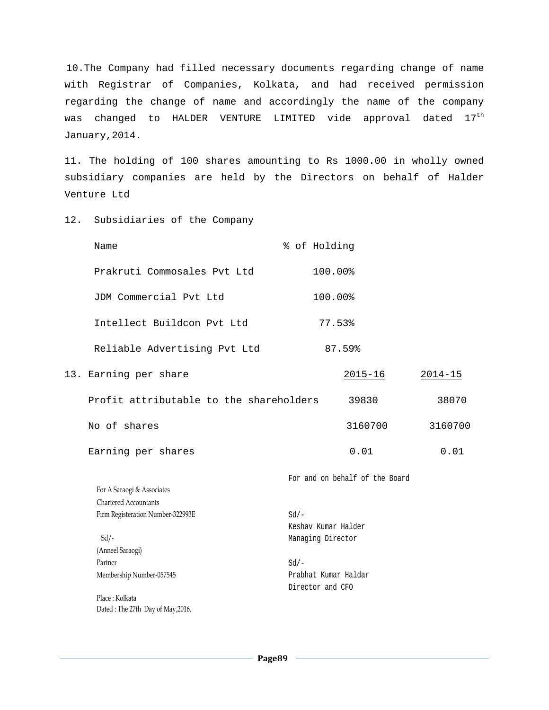10.The Company had filled necessary documents regarding change of name with Registrar of Companies, Kolkata, and had received permission regarding the change of name and accordingly the name of the company was changed to HALDER VENTURE LIMITED vide approval dated 17<sup>th</sup> January,2014.

11. The holding of 100 shares amounting to Rs 1000.00 in wholly owned subsidiary companies are held by the Directors on behalf of Halder Venture Ltd

12. Subsidiaries of the Company

| Name                                    | % of Holding |             |             |  |
|-----------------------------------------|--------------|-------------|-------------|--|
| Prakruti Commosales Pvt Ltd             |              | 100.00%     |             |  |
| JDM Commercial Pvt Ltd                  |              | 100.00%     |             |  |
| Intellect Buildcon Pyt Ltd              |              | 77.53%      |             |  |
| Reliable Advertising Pvt Ltd            |              | 87.59%      |             |  |
| 13. Earning per share                   |              | $2015 - 16$ | $2014 - 15$ |  |
| Profit attributable to the shareholders |              | 39830       | 38070       |  |
| No of shares                            |              | 3160700     | 3160700     |  |
| Earning per shares                      |              | 0.01        | 0.01        |  |

For and on behalf of the Board

Firm Registeration Number-322993E Sd/-Keshav Kumar Halder Managing Director Partner Solution and the state of the Solution of Solution Solution Solution Solution Solution Solution Solution Solution Solution Solution Solution Solution Solution Solution Solution Solution Solution Solution Solution S

Membership Number-057545 Prabhat Kumar Haldar Director and CFO

Place : Kolkata Dated : The 27th Day of May,2016.

For A Saraogi & Associates Chartered Accountants

(Anneel Saraogi)

 $Sd$  /-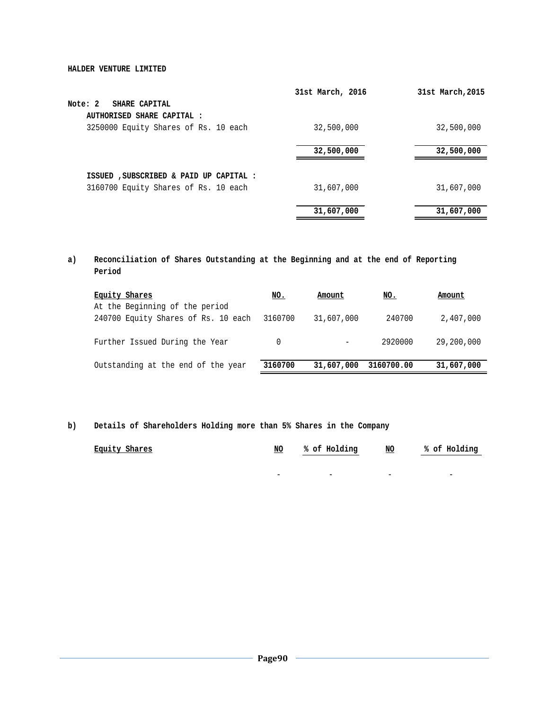|                                         | 31st March, 2016 | 31st March, 2015 |
|-----------------------------------------|------------------|------------------|
| <b>SHARE CAPITAL</b><br>Note: 2         |                  |                  |
| AUTHORISED SHARE CAPITAL:               |                  |                  |
| 3250000 Equity Shares of Rs. 10 each    | 32,500,000       | 32,500,000       |
|                                         | 32,500,000       | 32,500,000       |
| ISSUED , SUBSCRIBED & PAID UP CAPITAL : |                  |                  |
| 3160700 Equity Shares of Rs. 10 each    | 31,607,000       | 31,607,000       |
|                                         | 31,607,000       | 31,607,000       |

# **a) Reconciliation of Shares Outstanding at the Beginning and at the end of Reporting Period**

| Equity Shares                       | NO.     | Amount            | NO.        | Amount     |  |
|-------------------------------------|---------|-------------------|------------|------------|--|
| At the Beginning of the period      |         |                   |            |            |  |
| 240700 Equity Shares of Rs. 10 each | 3160700 | 31,607,000        | 240700     | 2,407,000  |  |
| Further Issued During the Year      |         | $\qquad \qquad -$ | 2920000    | 29,200,000 |  |
| Outstanding at the end of the year  | 3160700 | 31,607,000        | 3160700.00 | 31,607,000 |  |

### **b) Details of Shareholders Holding more than 5% Shares in the Company**

| Equity Shares | <u>NO</u>                | % of Holding             | NO.                      | % of Holding    |
|---------------|--------------------------|--------------------------|--------------------------|-----------------|
|               | $\overline{\phantom{0}}$ | $\overline{\phantom{0}}$ | $\overline{\phantom{0}}$ | $\qquad \qquad$ |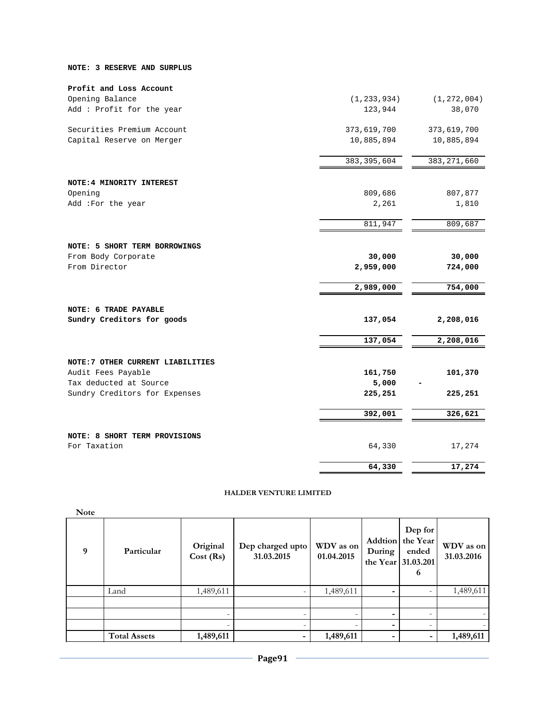### **NOTE: 3 RESERVE AND SURPLUS**

| Profit and Loss Account           |               |               |
|-----------------------------------|---------------|---------------|
| Opening Balance                   | (1, 233, 934) | (1, 272, 004) |
| Add: Profit for the year          | 123,944       | 38,070        |
| Securities Premium Account        | 373,619,700   | 373,619,700   |
| Capital Reserve on Merger         | 10,885,894    | 10,885,894    |
|                                   | 383, 395, 604 | 383, 271, 660 |
| NOTE: 4 MINORITY INTEREST         |               |               |
| Opening                           | 809,686       | 807,877       |
| Add:For the year                  | 2,261         | 1,810         |
|                                   | 811,947       | 809,687       |
| NOTE: 5 SHORT TERM BORROWINGS     |               |               |
| From Body Corporate               | 30,000        | 30,000        |
| From Director                     | 2,959,000     | 724,000       |
|                                   | 2,989,000     | 754,000       |
| NOTE: 6 TRADE PAYABLE             |               |               |
| Sundry Creditors for goods        | 137,054       | 2,208,016     |
|                                   | 137,054       | 2,208,016     |
| NOTE: 7 OTHER CURRENT LIABILITIES |               |               |
| Audit Fees Payable                | 161,750       | 101,370       |
| Tax deducted at Source            | 5,000         |               |
| Sundry Creditors for Expenses     | 225,251       | 225,251       |
|                                   | 392,001       | 326,621       |
| NOTE: 8 SHORT TERM PROVISIONS     |               |               |
| For Taxation                      | 64,330        | 17,274        |
|                                   | 64,330        | 17,274        |
|                                   |               |               |

#### **HALDER VENTURE LIMITED**

| <b>Note</b> |                     |                       |                                |                         |        |                                                                 |                         |
|-------------|---------------------|-----------------------|--------------------------------|-------------------------|--------|-----------------------------------------------------------------|-------------------------|
| 9           | Particular          | Original<br>Cost (Rs) | Dep charged upto<br>31.03.2015 | WDV as on<br>01.04.2015 | During | Dep for<br>Addtion the Year<br>ended<br>the Year 31.03.201<br>6 | WDV as on<br>31.03.2016 |
|             | Land                | 1,489,611             | -                              | 1,489,611               |        |                                                                 | 1,489,611               |
|             |                     |                       |                                |                         |        |                                                                 |                         |
|             |                     |                       |                                |                         |        |                                                                 |                         |
|             |                     |                       | -                              |                         |        |                                                                 |                         |
|             | <b>Total Assets</b> | 1,489,611             | ۰                              | 1,489,611               | -      |                                                                 | 1,489,611               |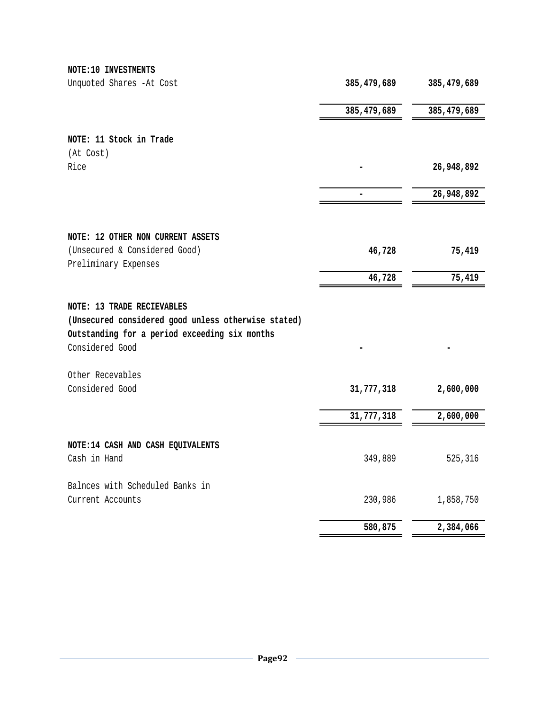| NOTE:10 INVESTMENTS                                 |               |             |
|-----------------------------------------------------|---------------|-------------|
| Unquoted Shares -At Cost                            | 385, 479, 689 | 385,479,689 |
|                                                     | 385, 479, 689 | 385,479,689 |
| NOTE: 11 Stock in Trade                             |               |             |
| (At Cost)                                           |               |             |
| Rice                                                |               | 26,948,892  |
|                                                     |               | 26,948,892  |
| NOTE: 12 OTHER NON CURRENT ASSETS                   |               |             |
| (Unsecured & Considered Good)                       | 46,728        | 75,419      |
| Preliminary Expenses                                |               |             |
|                                                     | 46,728        | 75,419      |
| NOTE: 13 TRADE RECIEVABLES                          |               |             |
| (Unsecured considered good unless otherwise stated) |               |             |
| Outstanding for a period exceeding six months       |               |             |
| Considered Good                                     |               |             |
| Other Recevables                                    |               |             |
| Considered Good                                     | 31,777,318    | 2,600,000   |
|                                                     | 31,777,318    | 2,600,000   |
| NOTE:14 CASH AND CASH EQUIVALENTS                   |               |             |
| Cash in Hand                                        | 349,889       | 525,316     |
| Balnces with Scheduled Banks in                     |               |             |
| Current Accounts                                    | 230,986       | 1,858,750   |
|                                                     | 580,875       | 2,384,066   |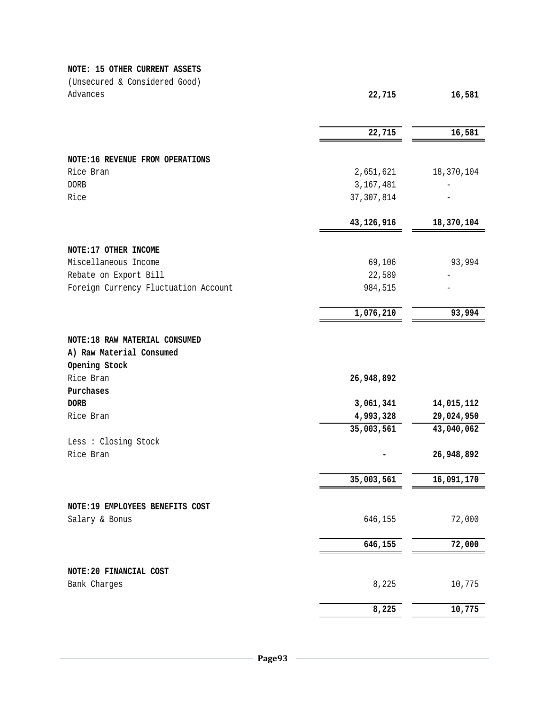### **NOTE: 15 OTHER CURRENT ASSETS**

|          | (Unsecured & Considered Good) |  |
|----------|-------------------------------|--|
| Advances |                               |  |

|                                      | 22,715       | 16,581     |
|--------------------------------------|--------------|------------|
| NOTE:16 REVENUE FROM OPERATIONS      |              |            |
| Rice Bran                            | 2,651,621    | 18,370,104 |
| DORB                                 | 3, 167, 481  |            |
| Rice                                 | 37, 307, 814 |            |
|                                      | 43,126,916   | 18,370,104 |
| NOTE:17 OTHER INCOME                 |              |            |
| Miscellaneous Income                 | 69,106       | 93,994     |
| Rebate on Export Bill                | 22,589       |            |
| Foreign Currency Fluctuation Account | 984,515      |            |
|                                      | 1,076,210    | 93,994     |
| NOTE:18 RAW MATERIAL CONSUMED        |              |            |
| A) Raw Material Consumed             |              |            |
| Opening Stock                        |              |            |
| Rice Bran                            | 26,948,892   |            |
| Purchases                            |              |            |
| <b>DORB</b>                          | 3,061,341    | 14,015,112 |
| Rice Bran                            | 4,993,328    | 29,024,950 |
|                                      | 35,003,561   | 43,040,062 |
| Less : Closing Stock                 |              |            |
| Rice Bran                            |              | 26,948,892 |
|                                      | 35,003,561   | 16,091,170 |
| NOTE:19 EMPLOYEES BENEFITS COST      |              |            |
| Salary & Bonus                       | 646,155      | 72,000     |
|                                      | 646,155      | 72,000     |
| NOTE:20 FINANCIAL COST               |              |            |
| Bank Charges                         | 8,225        | 10,775     |
|                                      | 8,225        | 10,775     |

Advances **22,715 16,581**